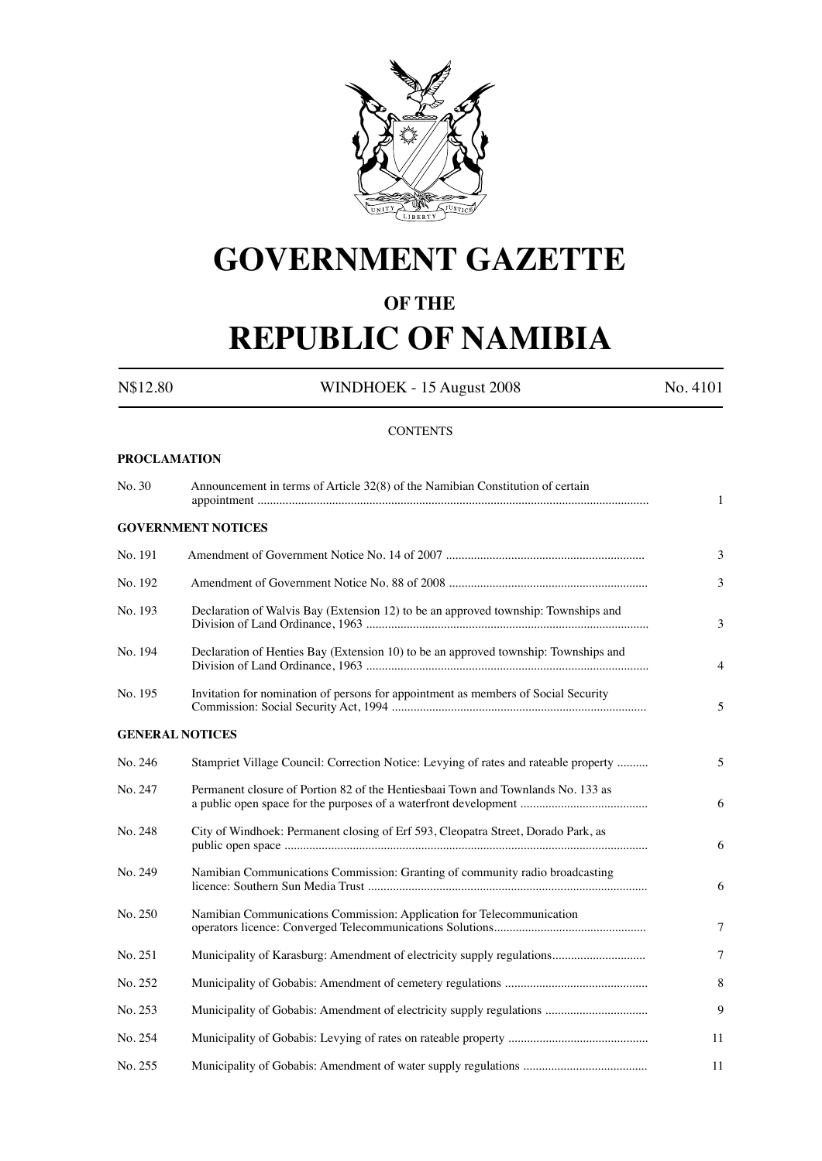

# **GOVERNMENT GAZETTE**

## **OF THE**

# **REPUBLIC OF NAMIBIA**

N\$12.80 WINDHOEK - 15 August 2008 No. 4101

## **CONTENTS**

## **PROCLAMATION**

| No. 30  | Announcement in terms of Article 32(8) of the Namibian Constitution of certain       | $\mathbf{1}$ |
|---------|--------------------------------------------------------------------------------------|--------------|
|         | <b>GOVERNMENT NOTICES</b>                                                            |              |
| No. 191 |                                                                                      | 3            |
| No. 192 |                                                                                      | 3            |
| No. 193 | Declaration of Walvis Bay (Extension 12) to be an approved township: Townships and   | 3            |
| No. 194 | Declaration of Henties Bay (Extension 10) to be an approved township: Townships and  | 4            |
| No. 195 | Invitation for nomination of persons for appointment as members of Social Security   | 5            |
|         | <b>GENERAL NOTICES</b>                                                               |              |
| No. 246 | Stampriet Village Council: Correction Notice: Levying of rates and rateable property | 5            |
| No. 247 | Permanent closure of Portion 82 of the Hentiesbaai Town and Townlands No. 133 as     | 6            |
| No. 248 | City of Windhoek: Permanent closing of Erf 593, Cleopatra Street, Dorado Park, as    | 6            |
| No. 249 | Namibian Communications Commission: Granting of community radio broadcasting         | 6            |
| No. 250 | Namibian Communications Commission: Application for Telecommunication                | 7            |
| No. 251 |                                                                                      | $\tau$       |
| No. 252 |                                                                                      | 8            |
| No. 253 |                                                                                      | 9            |
| No. 254 |                                                                                      | 11           |
| No. 255 |                                                                                      | 11           |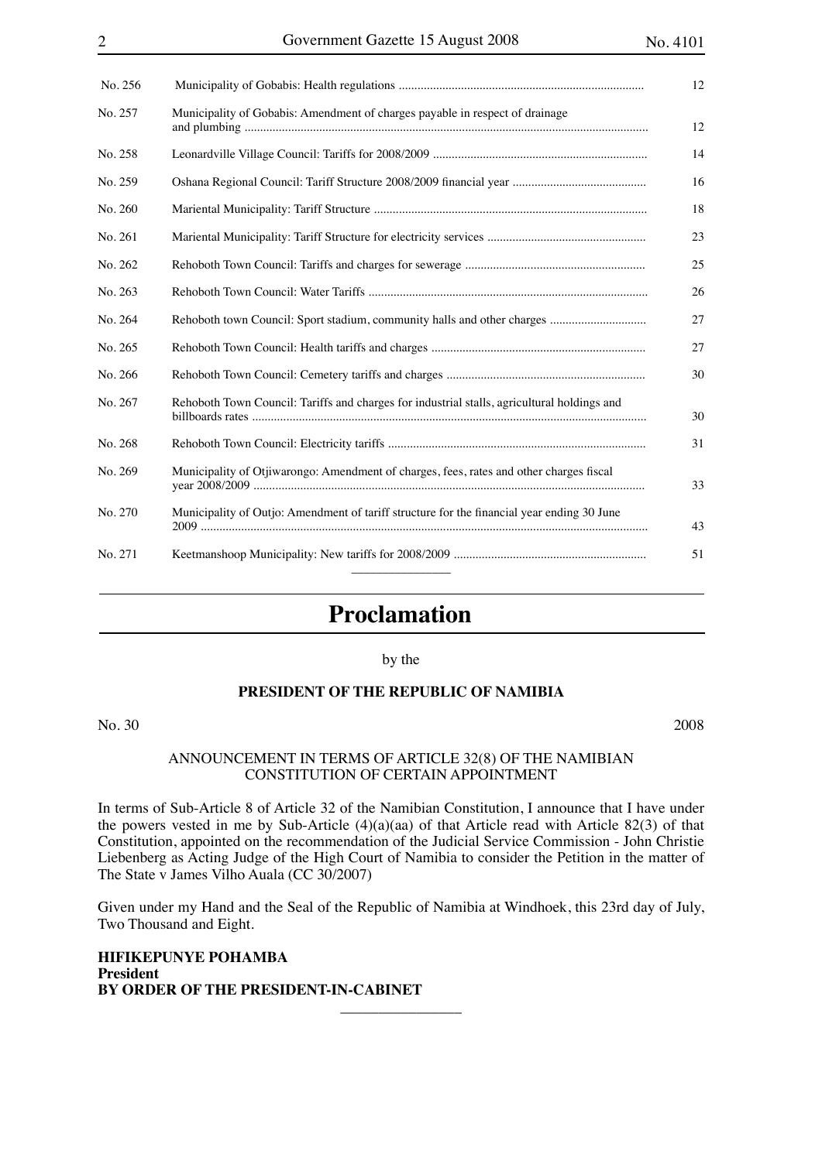| No. 256 |                                                                                             |
|---------|---------------------------------------------------------------------------------------------|
| No. 257 | Municipality of Gobabis: Amendment of charges payable in respect of drainage                |
| No. 258 |                                                                                             |
| No. 259 |                                                                                             |
| No. 260 |                                                                                             |
| No. 261 |                                                                                             |
| No. 262 |                                                                                             |
| No. 263 |                                                                                             |
| No. 264 |                                                                                             |
| No. 265 |                                                                                             |
| No. 266 |                                                                                             |
| No. 267 | Rehoboth Town Council: Tariffs and charges for industrial stalls, agricultural holdings and |
| No. 268 |                                                                                             |
| No. 269 | Municipality of Otjiwarongo: Amendment of charges, fees, rates and other charges fiscal     |
| No. 270 | Municipality of Outjo: Amendment of tariff structure for the financial year ending 30 June  |
| No. 271 |                                                                                             |

## **Proclamation**

by the

## **PRESIDENT OF THE REPUBLIC OF NAMIBIA**

No. 30 2008

#### ANNOUNCEMENT IN TERMS OF ARTICLE 32(8) OF THE NAMIBIAN CONSTITUTION OF CERTAIN APPOINTMENT

In terms of Sub-Article 8 of Article 32 of the Namibian Constitution, I announce that I have under the powers vested in me by Sub-Article (4)(a)(aa) of that Article read with Article 82(3) of that Constitution, appointed on the recommendation of the Judicial Service Commission - John Christie Liebenberg as Acting Judge of the High Court of Namibia to consider the Petition in the matter of The State v James Vilho Auala (CC 30/2007)

Given under my Hand and the Seal of the Republic of Namibia at Windhoek, this 23rd day of July, Two Thousand and Eight.

**HIFIKEPUNYE POHAMBA President BY ORDER OF THE PRESIDENT-IN-CABINET**  $\overline{\phantom{a}}$  , where  $\overline{\phantom{a}}$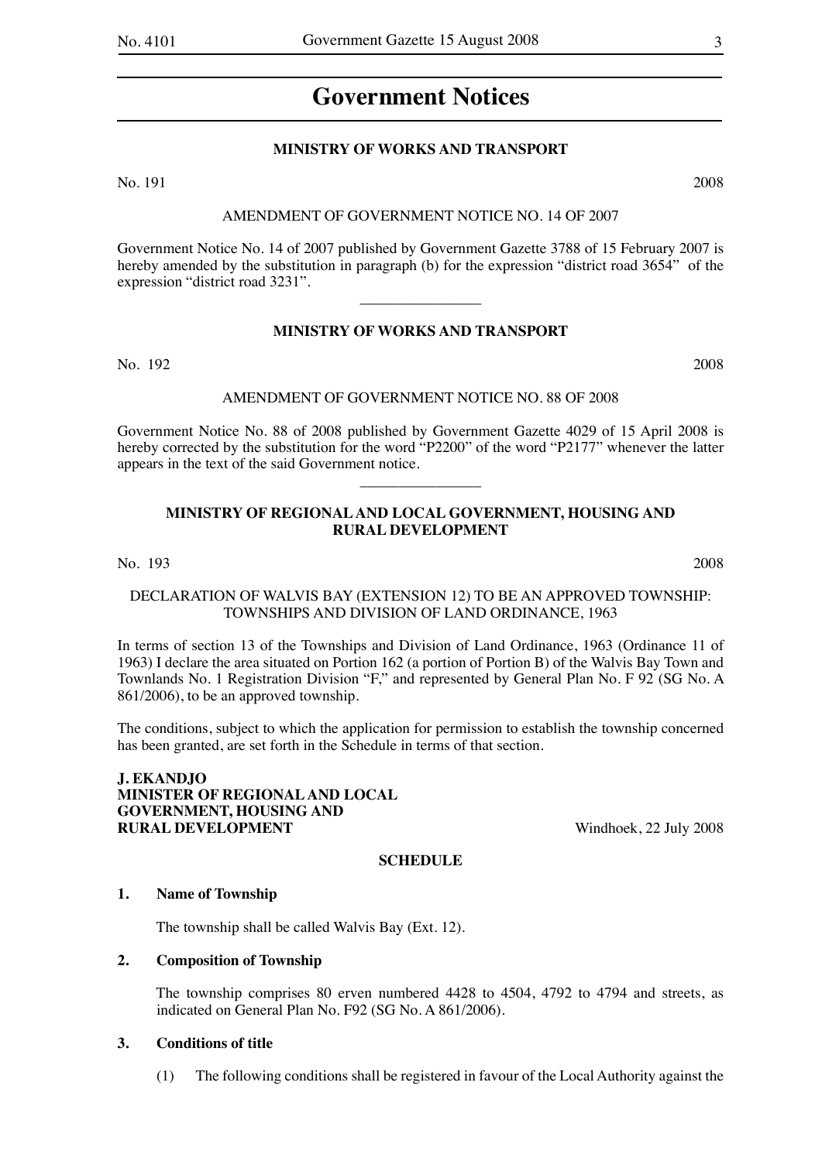## **Government Notices**

## **MINISTRY OF WORKS AND TRANSPORT**

No. 191 2008

#### AMENDMENT OF GOVERNMENT NOTICE NO. 14 OF 2007

Government Notice No. 14 of 2007 published by Government Gazette 3788 of 15 February 2007 is hereby amended by the substitution in paragraph (b) for the expression "district road 3654" of the expression "district road 3231".

## **MINISTRY OF WORKS AND TRANSPORT**

 $\overline{\phantom{a}}$  , where  $\overline{\phantom{a}}$ 

No. 192 2008

#### AMENDMENT OF GOVERNMENT NOTICE NO. 88 OF 2008

Government Notice No. 88 of 2008 published by Government Gazette 4029 of 15 April 2008 is hereby corrected by the substitution for the word "P2200" of the word "P2177" whenever the latter appears in the text of the said Government notice.

 $\overline{\phantom{a}}$  , where  $\overline{\phantom{a}}$ 

## **MINISTRY OF REGIONAL AND LOCAL GOVERNMENT, HOUSING AND RURAL DEVELOPMENT**

No. 193 2008

## DECLARATION OF WALVIS BAY (EXTENSION 12) TO BE AN APPROVED TOWNSHIP: TOWNSHIPS AND DIVISION OF LAND ORDINANCE, 1963

In terms of section 13 of the Townships and Division of Land Ordinance, 1963 (Ordinance 11 of 1963) I declare the area situated on Portion 162 (a portion of Portion B) of the Walvis Bay Town and Townlands No. 1 Registration Division "F," and represented by General Plan No. F 92 (SG No. A 861/2006), to be an approved township.

The conditions, subject to which the application for permission to establish the township concerned has been granted, are set forth in the Schedule in terms of that section.

**J. EKANDJO MINISTER OF REGIONAL AND LOCAL GOVERNMENT, HOUSING AND RURAL DEVELOPMENT** Windhoek, 22 July 2008

## **SCHEDULE**

#### **1. Name of Township**

The township shall be called Walvis Bay (Ext. 12).

## **2. Composition of Township**

The township comprises 80 erven numbered 4428 to 4504, 4792 to 4794 and streets, as indicated on General Plan No. F92 (SG No. A 861/2006).

## **3. Conditions of title**

(1) The following conditions shall be registered in favour of the Local Authority against the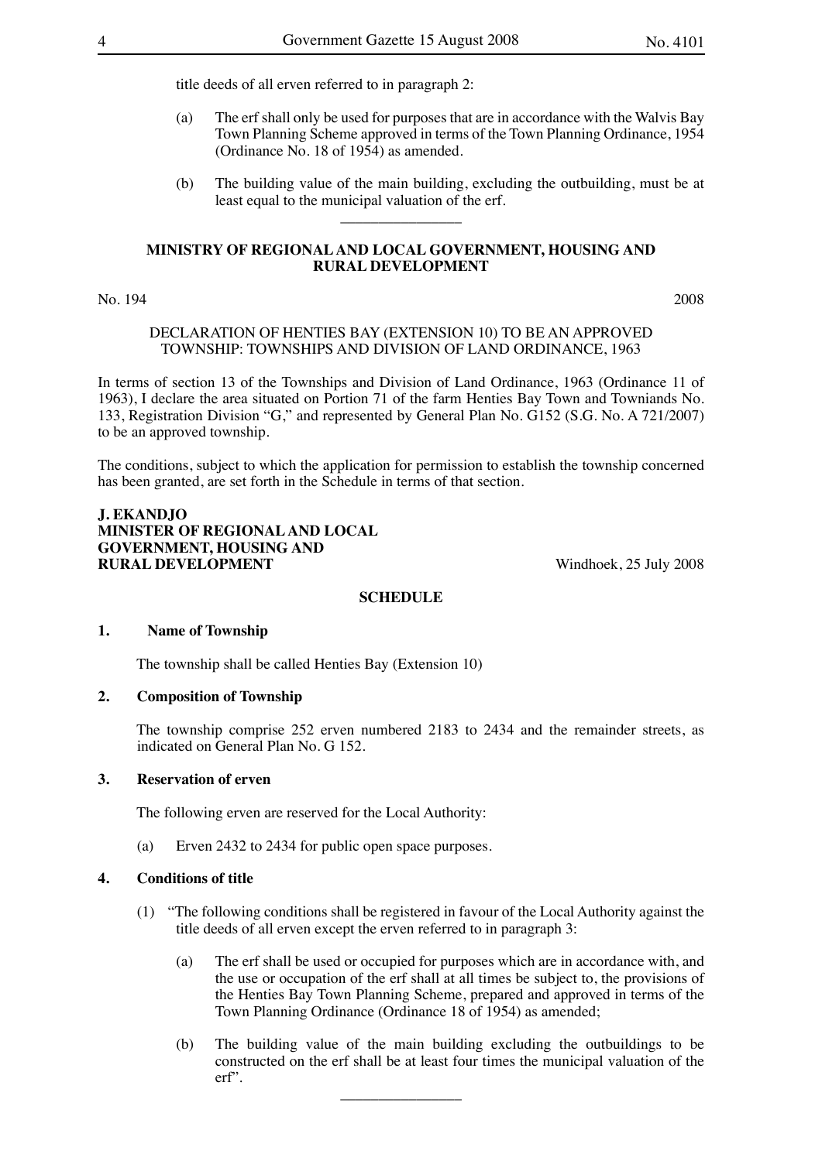title deeds of all erven referred to in paragraph 2:

- (a) The erf shall only be used for purposes that are in accordance with the Walvis Bay Town Planning Scheme approved in terms of the Town Planning Ordinance, 1954 (Ordinance No. 18 of 1954) as amended.
- (b) The building value of the main building, excluding the outbuilding, must be at least equal to the municipal valuation of the erf.

#### **MINISTRY OF REGIONAL AND LOCAL GOVERNMENT, HOUSING AND RURAL DEVELOPMENT**

 $\overline{\phantom{a}}$  , where  $\overline{\phantom{a}}$ 

#### No. 194 2008

### DECLARATION OF HENTIES BAY (EXTENSION 10) TO BE AN APPROVED TOWNSHIP: TOWNSHIPS AND DIVISION OF LAND ORDINANCE, 1963

In terms of section 13 of the Townships and Division of Land Ordinance, 1963 (Ordinance 11 of 1963), I declare the area situated on Portion 71 of the farm Henties Bay Town and Towniands No. 133, Registration Division "G," and represented by General Plan No. G152 (S.G. No. A 721/2007) to be an approved township.

The conditions, subject to which the application for permission to establish the township concerned has been granted, are set forth in the Schedule in terms of that section.

## **J. EKANDJO MINISTER OF REGIONAL AND LOCAL GOVERNMENT, HOUSING AND RURAL DEVELOPMENT** Windhoek, 25 July 2008

## **SCHEDULE**

#### **1. Name of Township**

The township shall be called Henties Bay (Extension 10)

## **2. Composition of Township**

The township comprise 252 erven numbered 2183 to 2434 and the remainder streets, as indicated on General Plan No. G 152.

## **3. Reservation of erven**

The following erven are reserved for the Local Authority:

(a) Erven 2432 to 2434 for public open space purposes.

## **4. Conditions of title**

- (1) "The following conditions shall be registered in favour of the Local Authority against the title deeds of all erven except the erven referred to in paragraph 3:
	- (a) The erf shall be used or occupied for purposes which are in accordance with, and the use or occupation of the erf shall at all times be subject to, the provisions of the Henties Bay Town Planning Scheme, prepared and approved in terms of the Town Planning Ordinance (Ordinance 18 of 1954) as amended;
	- (b) The building value of the main building excluding the outbuildings to be constructed on the erf shall be at least four times the municipal valuation of the erf".  $\overline{\phantom{a}}$  , where  $\overline{\phantom{a}}$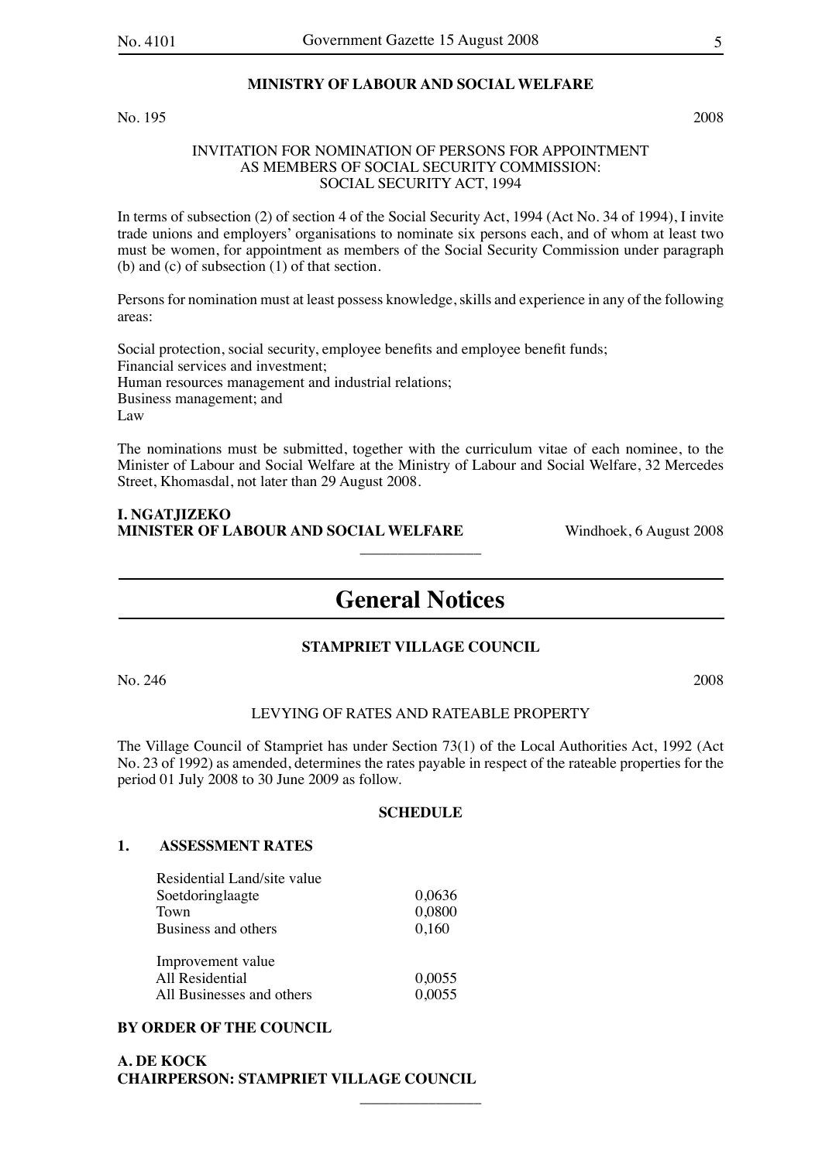#### **MINISTRY OF LABOUR AND SOCIAL WELFARE**

No. 195 2008

## INVITATION FOR NOMINATION OF PERSONS FOR APPOINTMENT AS MEMBERS OF SOCIAL SECURITY COMMISSION: SOCIAL SECURITY ACT, 1994

In terms of subsection (2) of section 4 of the Social Security Act, 1994 (Act No. 34 of 1994), I invite trade unions and employers' organisations to nominate six persons each, and of whom at least two must be women, for appointment as members of the Social Security Commission under paragraph (b) and (c) of subsection (1) of that section.

Persons for nomination must at least possess knowledge, skills and experience in any of the following areas:

Social protection, social security, employee benefits and employee benefit funds; Financial services and investment; Human resources management and industrial relations; Business management; and Law

The nominations must be submitted, together with the curriculum vitae of each nominee, to the Minister of Labour and Social Welfare at the Ministry of Labour and Social Welfare, 32 Mercedes Street, Khomasdal, not later than 29 August 2008.

## **I. NGATJIZEKO MINISTER OF LABOUR AND SOCIAL WELFARE** Windhoek, 6 August 2008

## **General Notices**

 $\overline{\phantom{a}}$  , where  $\overline{\phantom{a}}$ 

## **STAMPRIET VILLAGE COUNCIL**

No. 246 2008

#### LEVYING OF RATES AND RATEABLE PROPERTY

The Village Council of Stampriet has under Section 73(1) of the Local Authorities Act, 1992 (Act No. 23 of 1992) as amended, determines the rates payable in respect of the rateable properties for the period 01 July 2008 to 30 June 2009 as follow.

#### **SCHEDULE**

 $\overline{\phantom{a}}$  , where  $\overline{\phantom{a}}$ 

#### **1. ASSESSMENT RATES**

| Residential Land/site value |        |
|-----------------------------|--------|
| Soetdoringlaagte            | 0,0636 |
| Town                        | 0,0800 |
| Business and others         | 0,160  |
| Improvement value           |        |
| All Residential             | 0,0055 |
| All Businesses and others   | 0,0055 |

## **BY ORDER OF THE COUNCIL**

## **A. DE KOCK CHAIRPERSON: STAMPRIET VILLAGE COUNCIL**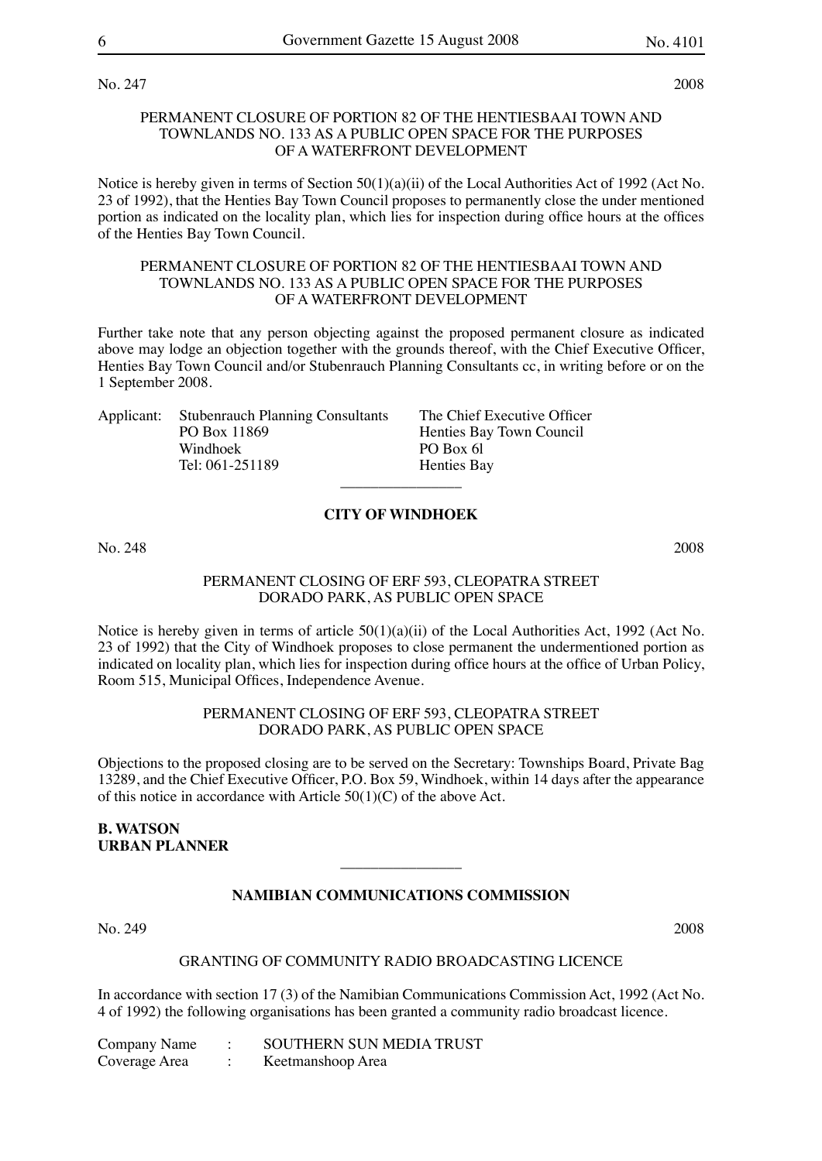No. 247 2008

#### PERMANENT CLOSURE OF PORTION 82 OF THE HENTIESBAAI TOWN AND TOWNLANDS NO. 133 AS A PUBLIC OPEN SPACE FOR THE PURPOSES OF A WATERFRONT DEVELOPMENT

Notice is hereby given in terms of Section 50(1)(a)(ii) of the Local Authorities Act of 1992 (Act No. 23 of 1992), that the Henties Bay Town Council proposes to permanently close the under mentioned portion as indicated on the locality plan, which lies for inspection during office hours at the offices of the Henties Bay Town Council.

#### PERMANENT CLOSURE OF PORTION 82 OF THE HENTIESBAAI TOWN AND TOWNLANDS NO. 133 AS A PUBLIC OPEN SPACE FOR THE PURPOSES OF A WATERFRONT DEVELOPMENT

Further take note that any person objecting against the proposed permanent closure as indicated above may lodge an objection together with the grounds thereof, with the Chief Executive Officer, Henties Bay Town Council and/or Stubenrauch Planning Consultants cc, in writing before or on the 1 September 2008.

> The Chief Executive Officer Henties Bay Town Council

| Applicant: Stubenrauch Planning Consultants |
|---------------------------------------------|
| PO Box 11869                                |
| Windhoek                                    |
| Tel: 061-251189                             |
|                                             |

**CITY OF WINDHOEK**

 $\overline{\phantom{a}}$  , where  $\overline{\phantom{a}}$ 

PO Box 6l Henties Bay

No. 248 2008

## PERMANENT CLOSING OF ERF 593, CLEOPATRA STREET DORADO PARK, AS PUBLIC OPEN SPACE

Notice is hereby given in terms of article  $50(1)(a)(ii)$  of the Local Authorities Act, 1992 (Act No. 23 of 1992) that the City of Windhoek proposes to close permanent the undermentioned portion as indicated on locality plan, which lies for inspection during office hours at the office of Urban Policy, Room 515, Municipal Offices, Independence Avenue.

#### PERMANENT CLOSING OF ERF 593, CLEOPATRA STREET DORADO PARK, AS PUBLIC OPEN SPACE

Objections to the proposed closing are to be served on the Secretary: Townships Board, Private Bag 13289, and the Chief Executive Officer, P.O. Box 59, Windhoek, within 14 days after the appearance of this notice in accordance with Article  $50(1)(C)$  of the above Act.

## **B. WATSON URBAN PLANNER**

## **NAMIBIAN COMMUNICATIONS COMMISSION**

 $\overline{\phantom{a}}$  , where  $\overline{\phantom{a}}$ 

## No. 249 2008

#### GRANTING OF COMMUNITY RADIO BROADCASTING LICENCE

In accordance with section 17 (3) of the Namibian Communications Commission Act, 1992 (Act No. 4 of 1992) the following organisations has been granted a community radio broadcast licence.

| Company Name  | SOUTHERN SUN MEDIA TRUST |
|---------------|--------------------------|
| Coverage Area | Keetmanshoop Area        |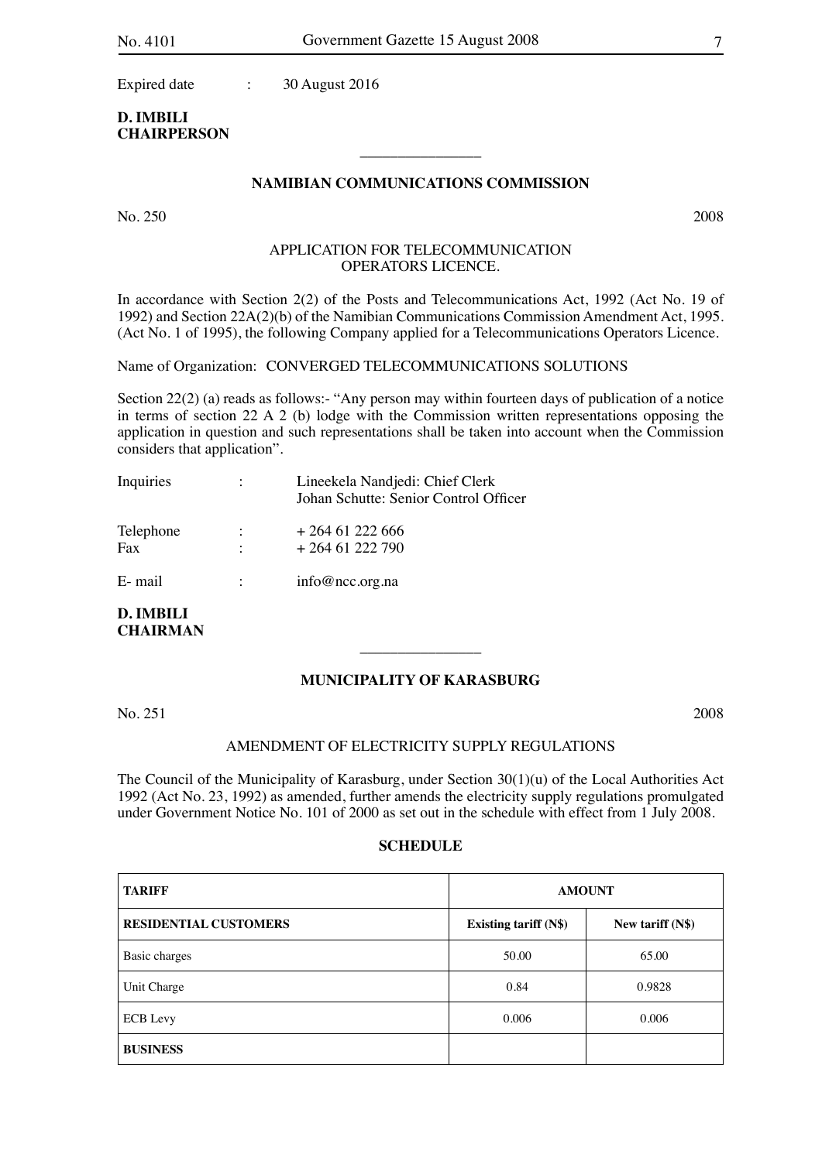Expired date : 30 August 2016

## **D. IMBILI CHAIRPERSON**

## **NAMIBIAN COMMUNICATIONS COMMISSION**

 $\overline{\phantom{a}}$  , where  $\overline{\phantom{a}}$ 

No. 250 2008

## APPLICATION FOR TELECOMMUNICATION OPERATORS LICENCE.

In accordance with Section 2(2) of the Posts and Telecommunications Act, 1992 (Act No. 19 of 1992) and Section 22A(2)(b) of the Namibian Communications Commission Amendment Act, 1995. (Act No. 1 of 1995), the following Company applied for a Telecommunications Operators Licence.

Name of Organization: CONVERGED TELECOMMUNICATIONS SOLUTIONS

Section 22(2) (a) reads as follows:- "Any person may within fourteen days of publication of a notice in terms of section 22 A 2 (b) lodge with the Commission written representations opposing the application in question and such representations shall be taken into account when the Commission considers that application".

| Inquiries        | $\mathcal{L}$                                | Lineekela Nandjedi: Chief Clerk<br>Johan Schutte: Senior Control Officer |
|------------------|----------------------------------------------|--------------------------------------------------------------------------|
| Telephone<br>Fax | $\ddot{\phantom{a}}$<br>$\ddot{\phantom{a}}$ | $+26461222666$<br>$+26461222790$                                         |
| E- mail          |                                              | info@ncc.org.na                                                          |

**D. IMBILI CHAIRMAN**

## **MUNICIPALITY OF KARASBURG**

 $\overline{\phantom{a}}$  , where  $\overline{\phantom{a}}$ 

No. 251 2008

## AMENDMENT OF ELECTRICITY SUPPLY REGULATIONS

The Council of the Municipality of Karasburg, under Section 30(1)(u) of the Local Authorities Act 1992 (Act No. 23, 1992) as amended, further amends the electricity supply regulations promulgated under Government Notice No. 101 of 2000 as set out in the schedule with effect from 1 July 2008.

#### **SCHEDULE**

| <b>TARIFF</b>                | <b>AMOUNT</b>                |                    |  |
|------------------------------|------------------------------|--------------------|--|
| <b>RESIDENTIAL CUSTOMERS</b> | <b>Existing tariff (N\$)</b> | New tariff $(N\$ ) |  |
| Basic charges                | 50.00                        | 65.00              |  |
| Unit Charge                  | 0.84                         | 0.9828             |  |
| <b>ECB</b> Levy              | 0.006                        | 0.006              |  |
| <b>BUSINESS</b>              |                              |                    |  |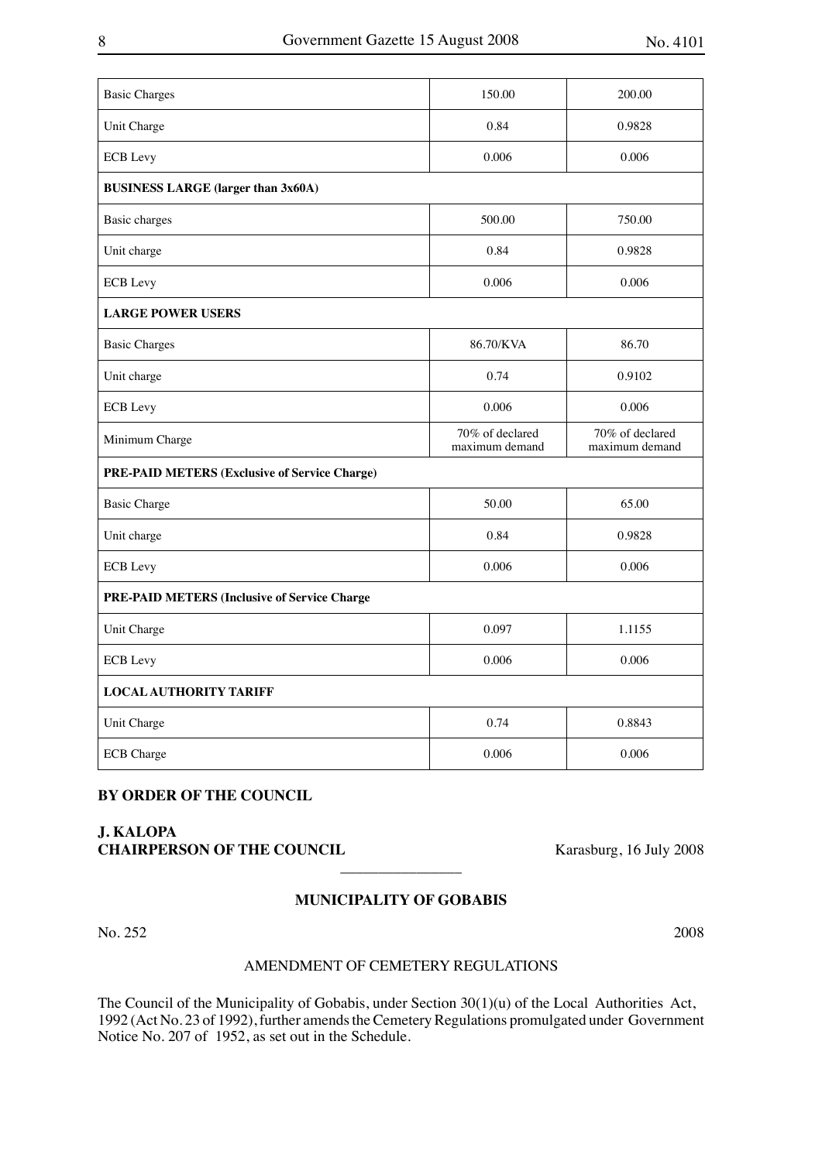| <b>Basic Charges</b>                          | 150.00                            | 200.00                            |
|-----------------------------------------------|-----------------------------------|-----------------------------------|
| Unit Charge                                   | 0.84                              | 0.9828                            |
| <b>ECB</b> Levy                               | 0.006                             | 0.006                             |
| <b>BUSINESS LARGE (larger than 3x60A)</b>     |                                   |                                   |
| <b>Basic</b> charges                          | 500.00                            | 750.00                            |
| Unit charge                                   | 0.84                              | 0.9828                            |
| <b>ECB</b> Levy                               | 0.006                             | 0.006                             |
| <b>LARGE POWER USERS</b>                      |                                   |                                   |
| <b>Basic Charges</b>                          | 86.70/KVA                         | 86.70                             |
| Unit charge                                   | 0.74                              | 0.9102                            |
| <b>ECB</b> Levy                               | 0.006                             | 0.006                             |
|                                               |                                   |                                   |
| Minimum Charge                                | 70% of declared<br>maximum demand | 70% of declared<br>maximum demand |
| PRE-PAID METERS (Exclusive of Service Charge) |                                   |                                   |
| <b>Basic Charge</b>                           | 50.00                             | 65.00                             |
| Unit charge                                   | 0.84                              | 0.9828                            |
| <b>ECB</b> Levy                               | 0.006                             | 0.006                             |
| PRE-PAID METERS (Inclusive of Service Charge  |                                   |                                   |
| Unit Charge                                   | 0.097                             | 1.1155                            |
| <b>ECB</b> Levy                               | 0.006                             | 0.006                             |
| <b>LOCAL AUTHORITY TARIFF</b>                 |                                   |                                   |
| Unit Charge                                   | 0.74                              | 0.8843                            |

## **BY ORDER OF THE COUNCIL**

## **J. KALOPA CHAIRPERSON OF THE COUNCIL** Karasburg, 16 July 2008

## **MUNICIPALITY OF GOBABIS**

 $\overline{\phantom{a}}$  , where  $\overline{\phantom{a}}$ 

No. 252 2008

## AMENDMENT OF CEMETERY REGULATIONS

The Council of the Municipality of Gobabis, under Section 30(1)(u) of the Local Authorities Act, 1992 (Act No. 23 of 1992), further amends the Cemetery Regulations promulgated under Government Notice No. 207 of 1952, as set out in the Schedule.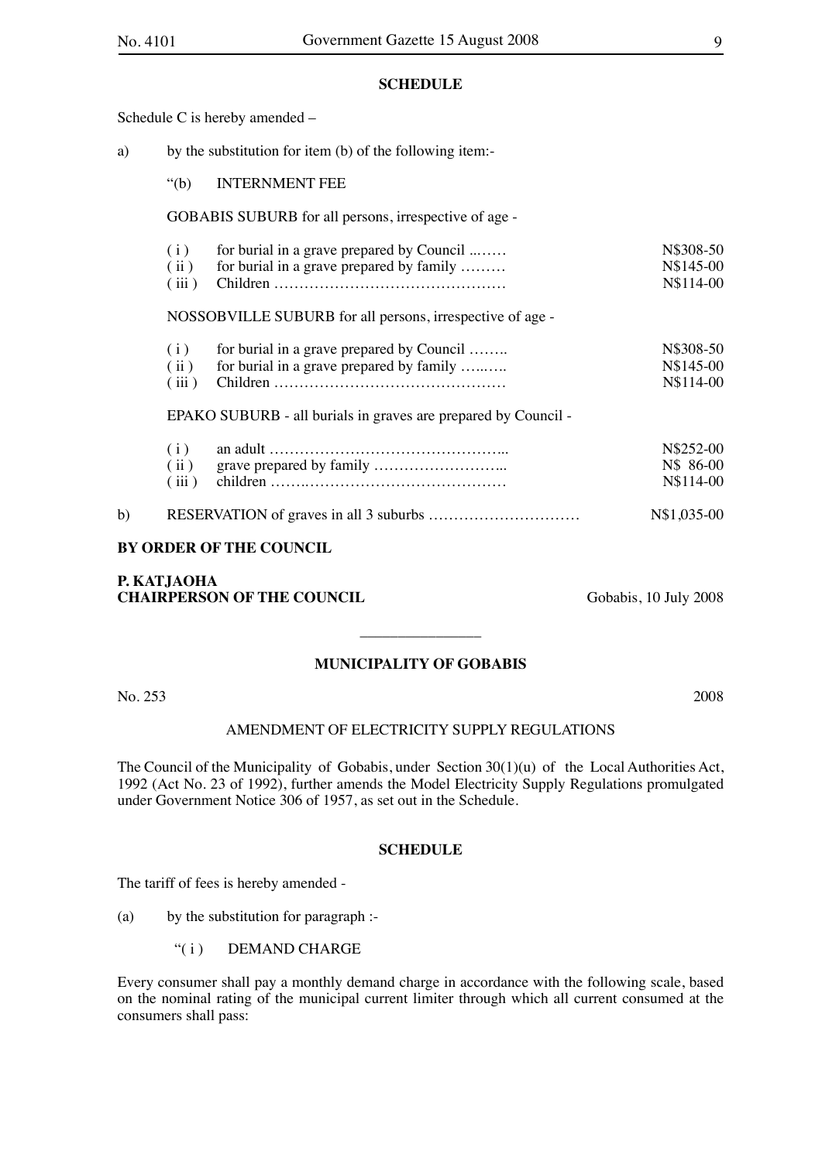## **SCHEDULE**

Schedule C is hereby amended –

- a) by the substitution for item (b) of the following item:-
	- "(b) INTERNMENT FEE

GOBABIS SUBURB for all persons, irrespective of age -

| $(i)$ for burial in a grave prepared by Council  | N\\$308-50 |
|--------------------------------------------------|------------|
| $(iii)$ for burial in a grave prepared by family | N\$145-00  |
|                                                  | N\$114-00  |

NOSSOBVILLE SUBURB for all persons, irrespective of age -

| (i) | for burial in a grave prepared by Council        | N\$308-50 |
|-----|--------------------------------------------------|-----------|
|     | $(iii)$ for burial in a grave prepared by family | N\$145-00 |
|     |                                                  | N\$114-00 |

EPAKO SUBURB - all burials in graves are prepared by Council -

|    | (i) | N\$252-00<br>N\$ 86-00<br>N\$114-00 |
|----|-----|-------------------------------------|
| b) |     | N\$1,035-00                         |

## **BY ORDER OF THE COUNCIL**

## **P. KATJAOHA CHAIRPERSON OF THE COUNCIL** Gobabis, 10 July 2008

## **MUNICIPALITY OF GOBABIS**

 $\overline{\phantom{a}}$  , where  $\overline{\phantom{a}}$ 

No. 253 2008

### AMENDMENT OF ELECTRICITY SUPPLY REGULATIONS

The Council of the Municipality of Gobabis, under Section 30(1)(u) of the Local Authorities Act, 1992 (Act No. 23 of 1992), further amends the Model Electricity Supply Regulations promulgated under Government Notice 306 of 1957, as set out in the Schedule.

#### **SCHEDULE**

The tariff of fees is hereby amended -

(a) by the substitution for paragraph :-

"(i) DEMAND CHARGE

Every consumer shall pay a monthly demand charge in accordance with the following scale, based on the nominal rating of the municipal current limiter through which all current consumed at the consumers shall pass: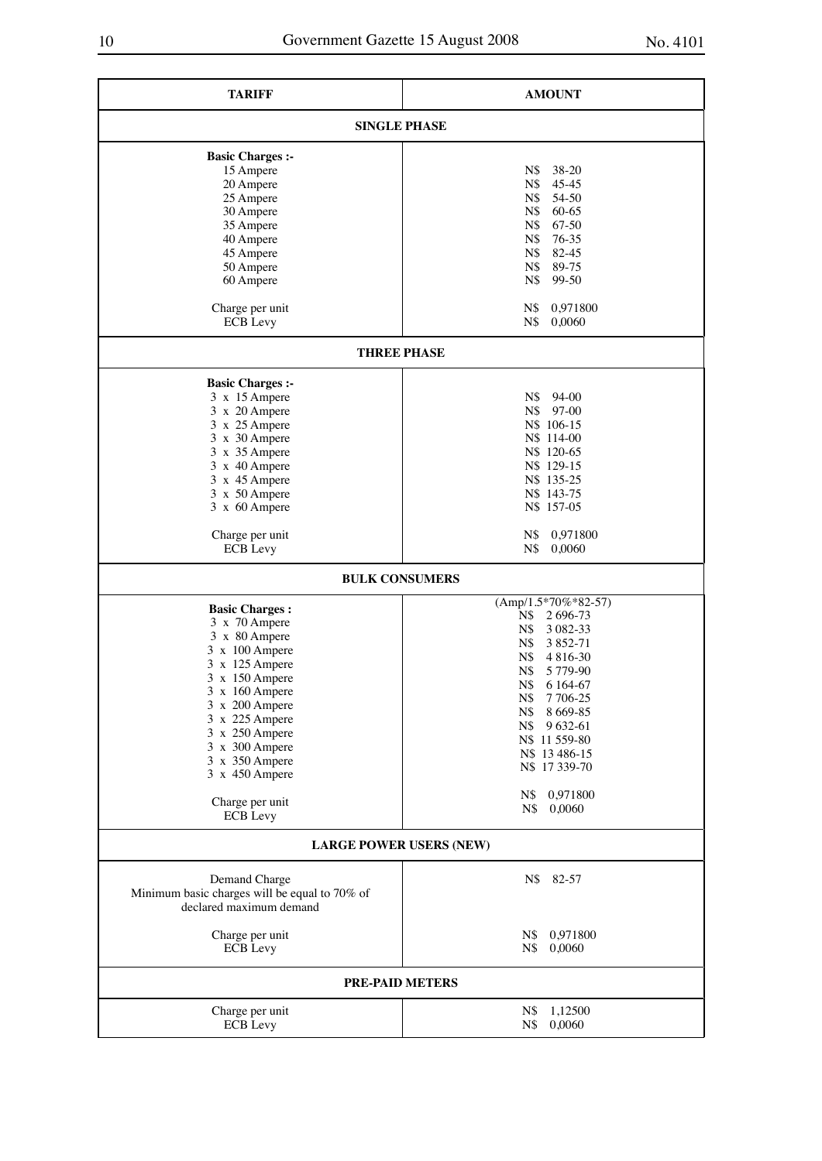| <b>TARIFF</b>                                                                             | <b>AMOUNT</b>          |  |  |  |
|-------------------------------------------------------------------------------------------|------------------------|--|--|--|
| <b>SINGLE PHASE</b>                                                                       |                        |  |  |  |
| <b>Basic Charges:-</b>                                                                    |                        |  |  |  |
| 15 Ampere                                                                                 | N\$<br>38-20           |  |  |  |
| 20 Ampere                                                                                 | N\$<br>$45 - 45$       |  |  |  |
| 25 Ampere                                                                                 | N\$<br>54-50           |  |  |  |
|                                                                                           |                        |  |  |  |
| 30 Ampere                                                                                 | 60-65<br>N\$           |  |  |  |
| 35 Ampere                                                                                 | 67-50<br>N\$           |  |  |  |
| 40 Ampere                                                                                 | 76-35<br>N\$           |  |  |  |
| 45 Ampere                                                                                 | 82-45<br>N\$           |  |  |  |
| 50 Ampere                                                                                 | N\$<br>89-75           |  |  |  |
| 60 Ampere                                                                                 | $N\$<br>99-50          |  |  |  |
|                                                                                           |                        |  |  |  |
| Charge per unit                                                                           | 0,971800<br>N\$        |  |  |  |
| <b>ECB</b> Levy                                                                           | $N\$<br>0,0060         |  |  |  |
| <b>THREE PHASE</b>                                                                        |                        |  |  |  |
|                                                                                           |                        |  |  |  |
| <b>Basic Charges:-</b>                                                                    |                        |  |  |  |
| 3 x 15 Ampere                                                                             | N\$ 94-00              |  |  |  |
| 3 x 20 Ampere                                                                             | $N\$<br>97-00          |  |  |  |
| 3 x 25 Ampere                                                                             | N\$ 106-15             |  |  |  |
| 3 x 30 Ampere                                                                             | N\$ 114-00             |  |  |  |
| 3 x 35 Ampere                                                                             | N\$ 120-65             |  |  |  |
| 3 x 40 Ampere                                                                             | N\$ 129-15             |  |  |  |
| 3 x 45 Ampere                                                                             | N\$ 135-25             |  |  |  |
| 3 x 50 Ampere                                                                             | N\$ 143-75             |  |  |  |
|                                                                                           |                        |  |  |  |
| 3 x 60 Ampere                                                                             | N\$ 157-05             |  |  |  |
| Charge per unit                                                                           | N\$<br>0,971800        |  |  |  |
| <b>ECB</b> Levy                                                                           | N\$<br>0,0060          |  |  |  |
| <b>BULK CONSUMERS</b>                                                                     |                        |  |  |  |
| <b>Basic Charges:</b>                                                                     | $(Amp/1.5*70\%*82-57)$ |  |  |  |
|                                                                                           | N\$ 2696-73            |  |  |  |
| 3 x 70 Ampere                                                                             | N\$<br>3 0 8 2 - 3 3   |  |  |  |
| 3 x 80 Ampere                                                                             | 3 8 5 2 - 71<br>N\$    |  |  |  |
| 3 x 100 Ampere                                                                            | N\$<br>4 8 1 6 - 30    |  |  |  |
| $3 \times 125$ Ampere                                                                     | N\$<br>5 779-90        |  |  |  |
| $3 \times 150$ Ampere                                                                     | N\$<br>6 164-67        |  |  |  |
| $3 \times 160$ Ampere                                                                     | $N\$<br>7 706-25       |  |  |  |
| $3 \times 200$ Ampere                                                                     |                        |  |  |  |
| 3 x 225 Ampere                                                                            | N\$<br>8 6 6 9 - 8 5   |  |  |  |
| 3 x 250 Ampere                                                                            | 9 632-61<br>N\$        |  |  |  |
| 3 x 300 Ampere                                                                            | N\$ 11 559-80          |  |  |  |
| 3 x 350 Ampere                                                                            | N\$ 13 486-15          |  |  |  |
| 3 x 450 Ampere                                                                            | N\$ 17 339-70          |  |  |  |
|                                                                                           |                        |  |  |  |
| Charge per unit                                                                           | 0,971800<br>N\$        |  |  |  |
| <b>ECB</b> Levy                                                                           | N\$<br>0,0060          |  |  |  |
| <b>LARGE POWER USERS (NEW)</b>                                                            |                        |  |  |  |
|                                                                                           |                        |  |  |  |
| Demand Charge<br>Minimum basic charges will be equal to 70% of<br>declared maximum demand | N\$<br>82-57           |  |  |  |
|                                                                                           |                        |  |  |  |
| Charge per unit                                                                           | 0,971800<br>N\$        |  |  |  |
| <b>ECB</b> Levy                                                                           | 0,0060<br>N\$          |  |  |  |
| <b>PRE-PAID METERS</b>                                                                    |                        |  |  |  |
| Charge per unit                                                                           | 1,12500<br>N\$         |  |  |  |
| <b>ECB</b> Levy                                                                           | N\$<br>0,0060          |  |  |  |
|                                                                                           |                        |  |  |  |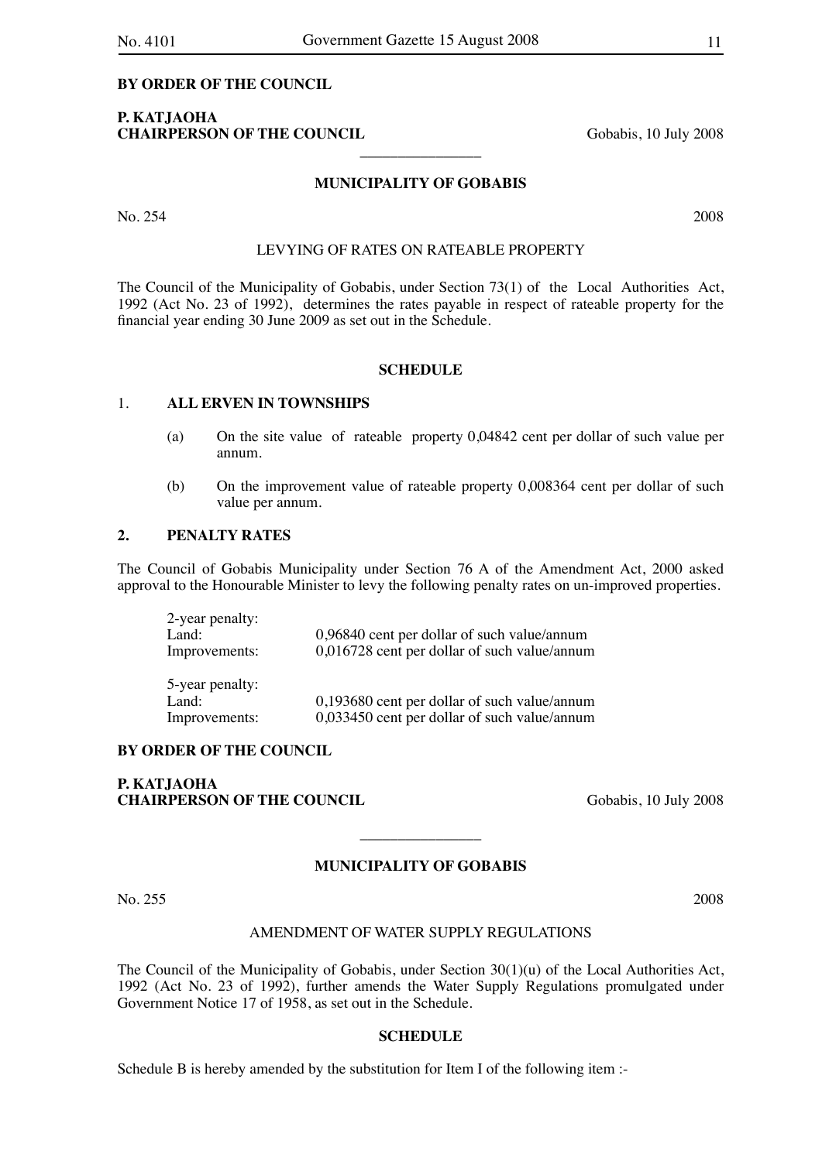## **P. KATJAOHA CHAIRPERSON OF THE COUNCIL** Gobabis, 10 July 2008

#### **MUNICIPALITY OF GOBABIS**

 $\overline{\phantom{a}}$  , where  $\overline{\phantom{a}}$ 

No. 254 2008

## LEVYING OF RATES ON RATEABLE PROPERTY

The Council of the Municipality of Gobabis, under Section 73(1) of the Local Authorities Act, 1992 (Act No. 23 of 1992), determines the rates payable in respect of rateable property for the financial year ending 30 June 2009 as set out in the Schedule.

#### **SCHEDULE**

## 1. **ALL ERVEN IN TOWNSHIPS**

- (a) On the site value of rateable property 0,04842 cent per dollar of such value per annum.
- (b) On the improvement value of rateable property 0,008364 cent per dollar of such value per annum.

## **2. PENALTY RATES**

The Council of Gobabis Municipality under Section 76 A of the Amendment Act, 2000 asked approval to the Honourable Minister to levy the following penalty rates on un-improved properties.

| 2-year penalty:<br>Land:<br>Improvements: | 0,96840 cent per dollar of such value/annum<br>0,016728 cent per dollar of such value/annum |
|-------------------------------------------|---------------------------------------------------------------------------------------------|
| 5-year penalty:                           |                                                                                             |
| Land:                                     | 0,193680 cent per dollar of such value/annum                                                |
| Improvements:                             | 0,033450 cent per dollar of such value/annum                                                |

#### **BY ORDER OF THE COUNCIL**

**P. KATJAOHA CHAIRPERSON OF THE COUNCIL** Gobabis, 10 July 2008

## **MUNICIPALITY OF GOBABIS**

 $\overline{\phantom{a}}$  , where  $\overline{\phantom{a}}$ 

No. 255 2008

#### AMENDMENT OF WATER SUPPLY REGULATIONS

The Council of the Municipality of Gobabis, under Section 30(1)(u) of the Local Authorities Act, 1992 (Act No. 23 of 1992), further amends the Water Supply Regulations promulgated under Government Notice 17 of 1958, as set out in the Schedule.

### **SCHEDULE**

Schedule B is hereby amended by the substitution for Item I of the following item :-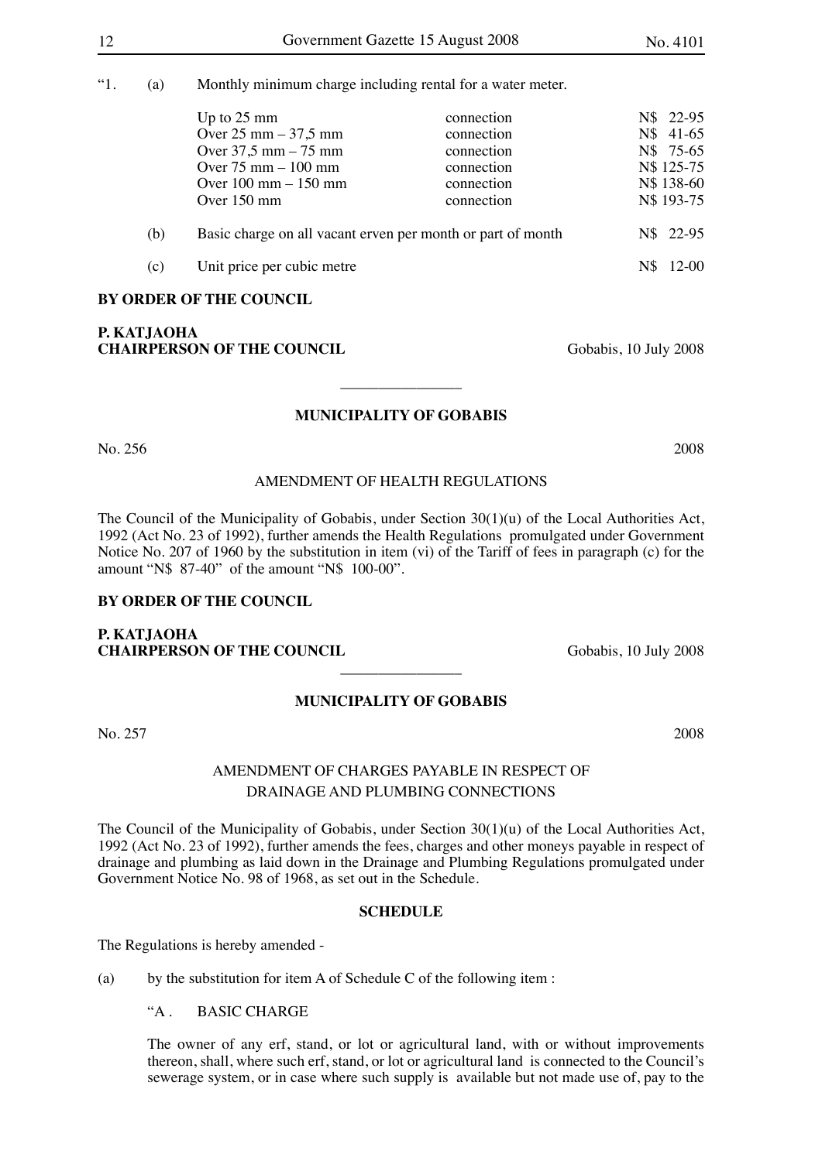"1. (a) Monthly minimum charge including rental for a water meter.

|     | Up to $25 \text{ mm}$<br>Over $25 \text{ mm} - 37.5 \text{ mm}$<br>Over $37.5$ mm $-75$ mm<br>Over $75 \text{ mm} - 100 \text{ mm}$<br>Over $100 \text{ mm} - 150 \text{ mm}$<br>Over $150 \text{ mm}$ | connection<br>connection<br>connection<br>connection<br>connection<br>connection | N\$ 22-95<br>N\$ 41-65<br>N\$ 75-65<br>N\$ 125-75<br>N\$ 138-60<br>N\$ 193-75 |
|-----|--------------------------------------------------------------------------------------------------------------------------------------------------------------------------------------------------------|----------------------------------------------------------------------------------|-------------------------------------------------------------------------------|
| (b) | Basic charge on all vacant erven per month or part of month                                                                                                                                            |                                                                                  | N\$ 22-95                                                                     |
| (c) | Unit price per cubic metre                                                                                                                                                                             |                                                                                  | $12 - 00$                                                                     |

## **BY ORDER OF THE COUNCIL**

## **P. KATJAOHA CHAIRPERSON OF THE COUNCIL** Gobabis, 10 July 2008

## **MUNICIPALITY OF GOBABIS**

 $\overline{\phantom{a}}$  , where  $\overline{\phantom{a}}$ 

No. 256 2008

## AMENDMENT OF HEALTH REGULATIONS

The Council of the Municipality of Gobabis, under Section 30(1)(u) of the Local Authorities Act, 1992 (Act No. 23 of 1992), further amends the Health Regulations promulgated under Government Notice No. 207 of 1960 by the substitution in item (vi) of the Tariff of fees in paragraph (c) for the amount "N\$ 87-40" of the amount "N\$ 100-00".

#### **BY ORDER OF THE COUNCIL**

## **P. KATJAOHA CHAIRPERSON OF THE COUNCIL** Gobabis, 10 July 2008

## **MUNICIPALITY OF GOBABIS**

 $\overline{\phantom{a}}$  , where  $\overline{\phantom{a}}$ 

No. 257 2008

## AMENDMENT OF CHARGES PAYABLE IN RESPECT OF DRAINAGE AND PLUMBING CONNECTIONS

The Council of the Municipality of Gobabis, under Section 30(1)(u) of the Local Authorities Act, 1992 (Act No. 23 of 1992), further amends the fees, charges and other moneys payable in respect of drainage and plumbing as laid down in the Drainage and Plumbing Regulations promulgated under Government Notice No. 98 of 1968, as set out in the Schedule.

## **SCHEDULE**

The Regulations is hereby amended -

(a) by the substitution for item A of Schedule C of the following item :

"A . BASIC CHARGE

The owner of any erf, stand, or lot or agricultural land, with or without improvements thereon, shall, where such erf, stand, or lot or agricultural land is connected to the Council's sewerage system, or in case where such supply is available but not made use of, pay to the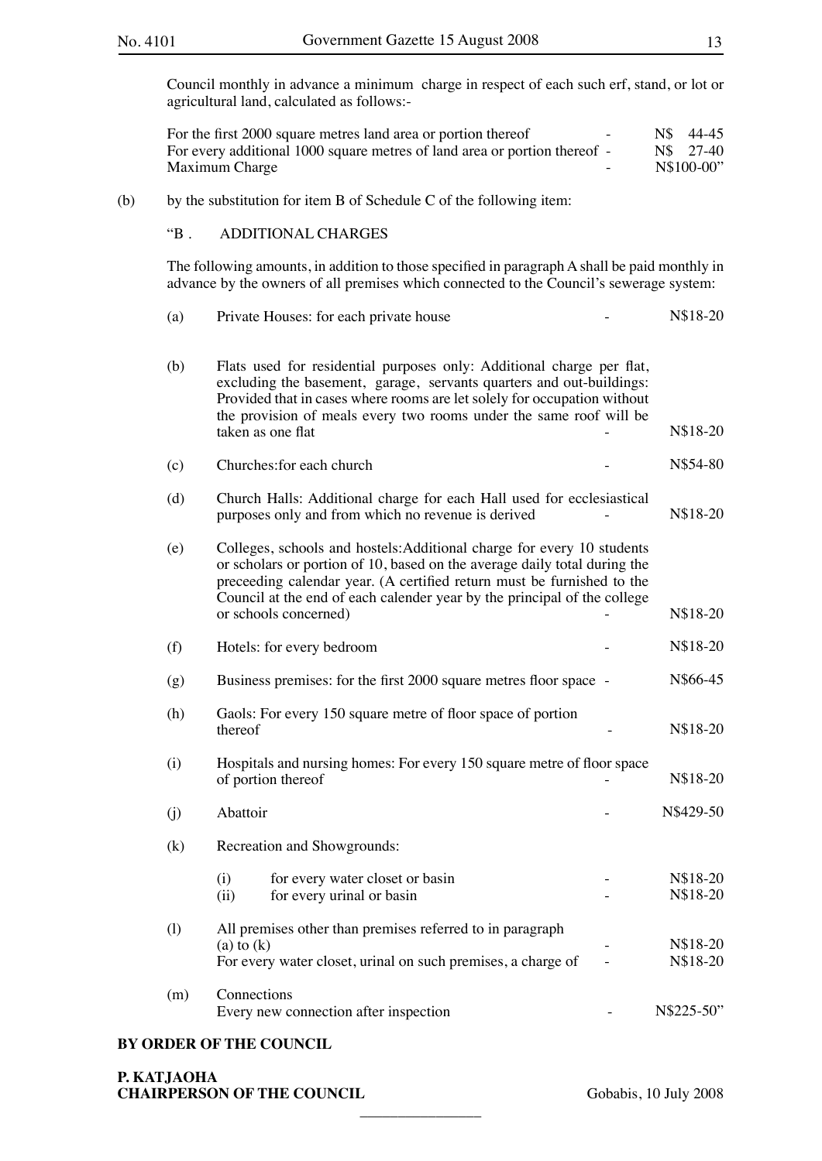Council monthly in advance a minimum charge in respect of each such erf, stand, or lot or agricultural land, calculated as follows:-

| For the first 2000 square metres land area or portion thereof             |  | N\$ 44-45  |
|---------------------------------------------------------------------------|--|------------|
| For every additional 1000 square metres of land area or portion thereof - |  | N\$ 27-40  |
| Maximum Charge                                                            |  | N\$100-00" |

## (b) by the substitution for item B of Schedule C of the following item:

## "B . ADDITIONAL CHARGES

The following amounts, in addition to those specified in paragraph A shall be paid monthly in advance by the owners of all premises which connected to the Council's sewerage system:

| (a) | Private Houses: for each private house                                                                                                                                                                                                                                                                                             | N\$18-20             |
|-----|------------------------------------------------------------------------------------------------------------------------------------------------------------------------------------------------------------------------------------------------------------------------------------------------------------------------------------|----------------------|
| (b) | Flats used for residential purposes only: Additional charge per flat,<br>excluding the basement, garage, servants quarters and out-buildings:<br>Provided that in cases where rooms are let solely for occupation without<br>the provision of meals every two rooms under the same roof will be<br>taken as one flat               | N\$18-20             |
| (c) | Churches: for each church                                                                                                                                                                                                                                                                                                          | N\$54-80             |
| (d) | Church Halls: Additional charge for each Hall used for ecclesiastical<br>purposes only and from which no revenue is derived                                                                                                                                                                                                        | N\$18-20             |
| (e) | Colleges, schools and hostels: Additional charge for every 10 students<br>or scholars or portion of 10, based on the average daily total during the<br>preceeding calendar year. (A certified return must be furnished to the<br>Council at the end of each calender year by the principal of the college<br>or schools concerned) | N\$18-20             |
| (f) | Hotels: for every bedroom                                                                                                                                                                                                                                                                                                          | N\$18-20             |
| (g) | Business premises: for the first 2000 square metres floor space -                                                                                                                                                                                                                                                                  | N\$66-45             |
| (h) | Gaols: For every 150 square metre of floor space of portion<br>thereof                                                                                                                                                                                                                                                             | N\$18-20             |
| (i) | Hospitals and nursing homes: For every 150 square metre of floor space<br>of portion thereof                                                                                                                                                                                                                                       | N\$18-20             |
| (i) | Abattoir                                                                                                                                                                                                                                                                                                                           | N\$429-50            |
| (k) | Recreation and Showgrounds:                                                                                                                                                                                                                                                                                                        |                      |
|     | (i)<br>for every water closet or basin<br>(ii)<br>for every urinal or basin                                                                                                                                                                                                                                                        | N\$18-20<br>N\$18-20 |
| (1) | All premises other than premises referred to in paragraph<br>(a) to $(k)$<br>For every water closet, urinal on such premises, a charge of                                                                                                                                                                                          | N\$18-20<br>N\$18-20 |
| (m) | Connections<br>Every new connection after inspection                                                                                                                                                                                                                                                                               | N\$225-50"           |

 $\overline{\phantom{a}}$  , where  $\overline{\phantom{a}}$ 

#### **BY ORDER OF THE COUNCIL**

**P. KATJAOHA CHAIRPERSON OF THE COUNCIL** Gobabis, 10 July 2008

N\$18-20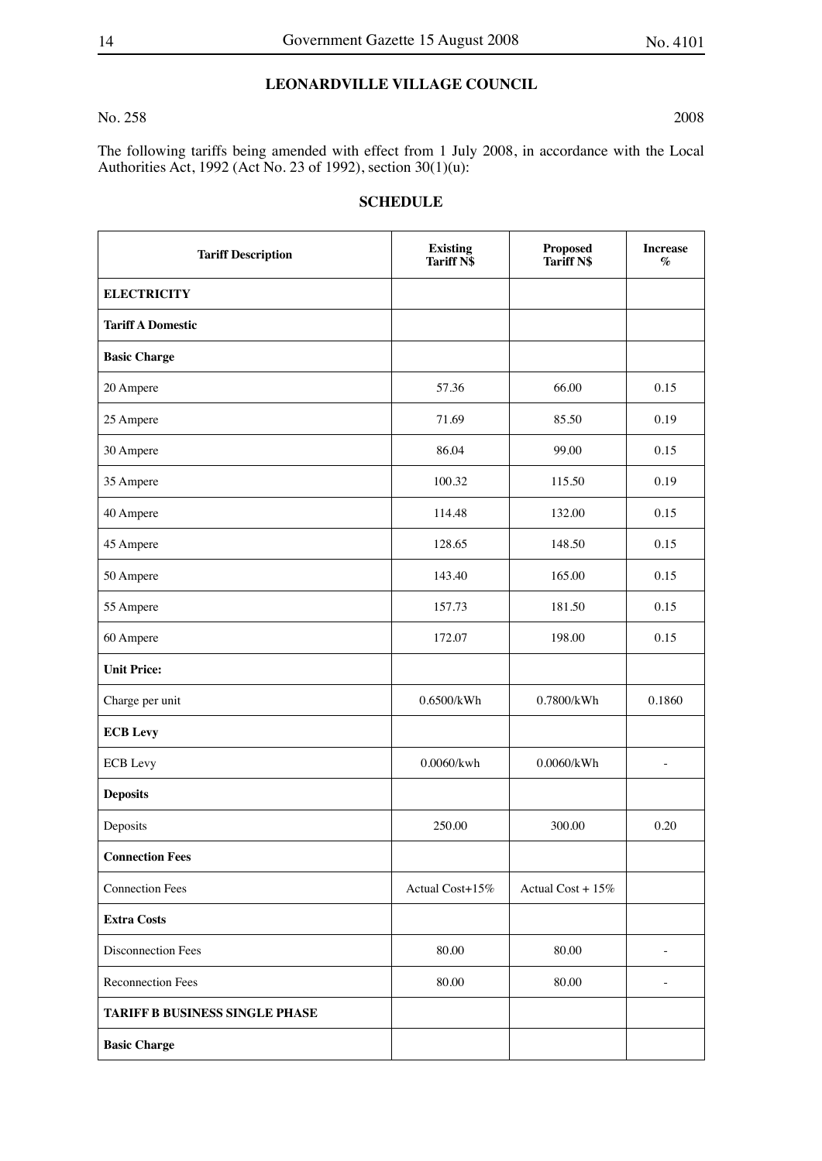## **LEONARDVILLE VILLAGE COUNCIL**

#### No. 258 2008

The following tariffs being amended with effect from 1 July 2008, in accordance with the Local Authorities Act, 1992 (Act No. 23 of 1992), section 30(1)(u):

| <b>Tariff Description</b>             | <b>Existing</b><br><b>Tariff N\$</b> | <b>Proposed</b><br>Tariff N\$ | <b>Increase</b><br>$\%$ |
|---------------------------------------|--------------------------------------|-------------------------------|-------------------------|
| <b>ELECTRICITY</b>                    |                                      |                               |                         |
| <b>Tariff A Domestic</b>              |                                      |                               |                         |
| <b>Basic Charge</b>                   |                                      |                               |                         |
| 20 Ampere                             | 57.36                                | 66.00                         | 0.15                    |
| 25 Ampere                             | 71.69                                | 85.50                         | 0.19                    |
| 30 Ampere                             | 86.04                                | 99.00                         | 0.15                    |
| 35 Ampere                             | 100.32                               | 115.50                        | 0.19                    |
| 40 Ampere                             | 114.48                               | 132.00                        | 0.15                    |
| 45 Ampere                             | 128.65                               | 148.50                        | 0.15                    |
| 50 Ampere                             | 143.40                               | 165.00                        | 0.15                    |
| 55 Ampere                             | 157.73                               | 181.50                        | 0.15                    |
| 60 Ampere                             | 172.07                               | 198.00                        | 0.15                    |
| <b>Unit Price:</b>                    |                                      |                               |                         |
| Charge per unit                       | 0.6500/kWh                           | 0.7800/kWh                    | 0.1860                  |
| <b>ECB</b> Levy                       |                                      |                               |                         |
| <b>ECB</b> Levy                       | $0.0060$ /kwh                        | $0.0060$ /kWh                 | $\overline{a}$          |
| <b>Deposits</b>                       |                                      |                               |                         |
| Deposits                              | 250.00                               | 300.00                        | 0.20                    |
| <b>Connection Fees</b>                |                                      |                               |                         |
| <b>Connection Fees</b>                | Actual Cost+15%                      | Actual Cost + 15%             |                         |
| <b>Extra Costs</b>                    |                                      |                               |                         |
| Disconnection Fees                    | 80.00                                | 80.00                         |                         |
| <b>Reconnection Fees</b>              | 80.00                                | 80.00                         |                         |
| <b>TARIFF B BUSINESS SINGLE PHASE</b> |                                      |                               |                         |
| <b>Basic Charge</b>                   |                                      |                               |                         |

## **SCHEDULE**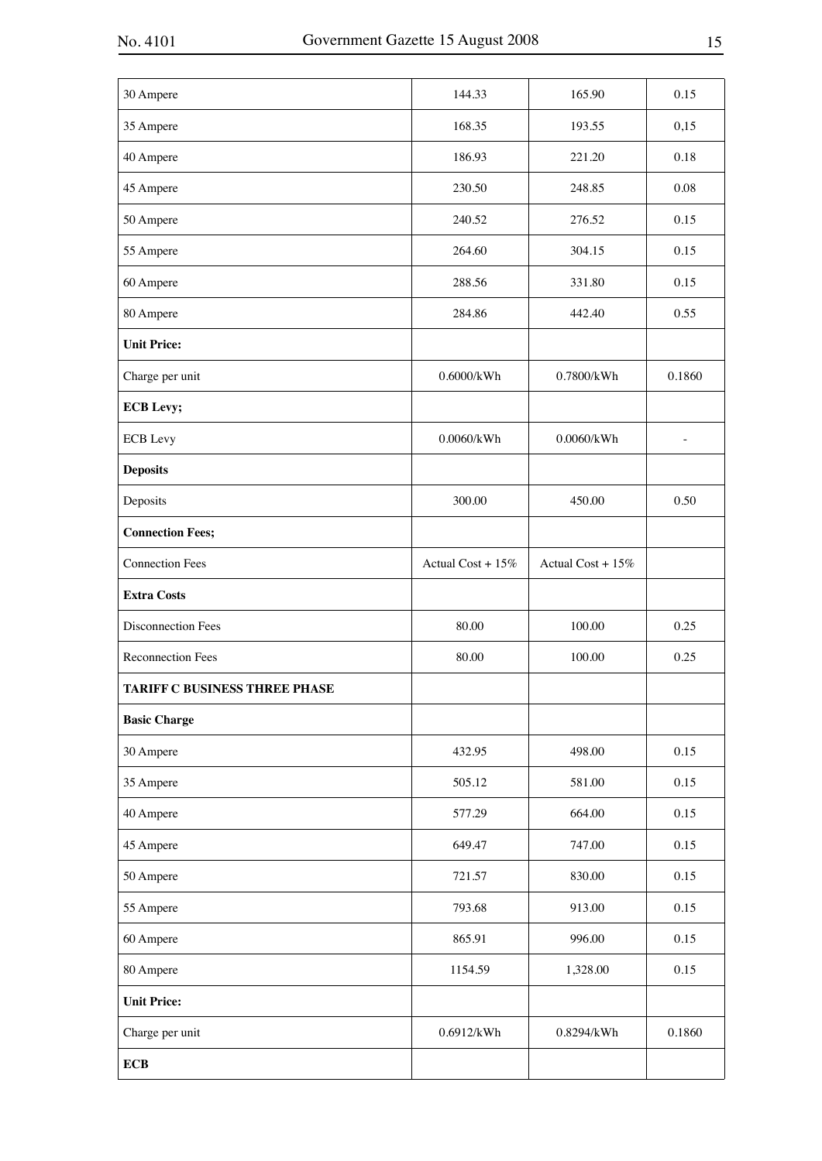| 30 Ampere                     | 144.33            | 165.90            | 0.15   |
|-------------------------------|-------------------|-------------------|--------|
| 35 Ampere                     | 168.35            | 193.55            | 0,15   |
| 40 Ampere                     | 186.93            | 221.20            | 0.18   |
| 45 Ampere                     | 230.50            | 248.85            | 0.08   |
| 50 Ampere                     | 240.52            | 276.52            | 0.15   |
| 55 Ampere                     | 264.60            | 304.15            | 0.15   |
| 60 Ampere                     | 288.56            | 331.80            | 0.15   |
| 80 Ampere                     | 284.86            | 442.40            | 0.55   |
| <b>Unit Price:</b>            |                   |                   |        |
| Charge per unit               | 0.6000/kWh        | 0.7800/kWh        | 0.1860 |
| <b>ECB</b> Levy;              |                   |                   |        |
| <b>ECB</b> Levy               | $0.0060$ /kWh     | $0.0060$ /kWh     | ÷,     |
| <b>Deposits</b>               |                   |                   |        |
| Deposits                      | 300.00            | 450.00            | 0.50   |
| <b>Connection Fees;</b>       |                   |                   |        |
| <b>Connection Fees</b>        | Actual Cost + 15% | Actual Cost + 15% |        |
| <b>Extra Costs</b>            |                   |                   |        |
| Disconnection Fees            | 80.00             | 100.00            | 0.25   |
| Reconnection Fees             | 80.00             | 100.00            | 0.25   |
| TARIFF C BUSINESS THREE PHASE |                   |                   |        |
| <b>Basic Charge</b>           |                   |                   |        |
| 30 Ampere                     | 432.95            | 498.00            | 0.15   |
| 35 Ampere                     | 505.12            | 581.00            | 0.15   |
| 40 Ampere                     | 577.29            | 664.00            | 0.15   |
| 45 Ampere                     | 649.47            | 747.00            | 0.15   |
| 50 Ampere                     | 721.57            | 830.00            | 0.15   |
| 55 Ampere                     | 793.68            | 913.00            | 0.15   |
| 60 Ampere                     | 865.91            | 996.00            | 0.15   |
| 80 Ampere                     | 1154.59           | 1,328.00          | 0.15   |
| <b>Unit Price:</b>            |                   |                   |        |
| Charge per unit               | 0.6912/kWh        | 0.8294/kWh        | 0.1860 |
| <b>ECB</b>                    |                   |                   |        |
|                               |                   |                   |        |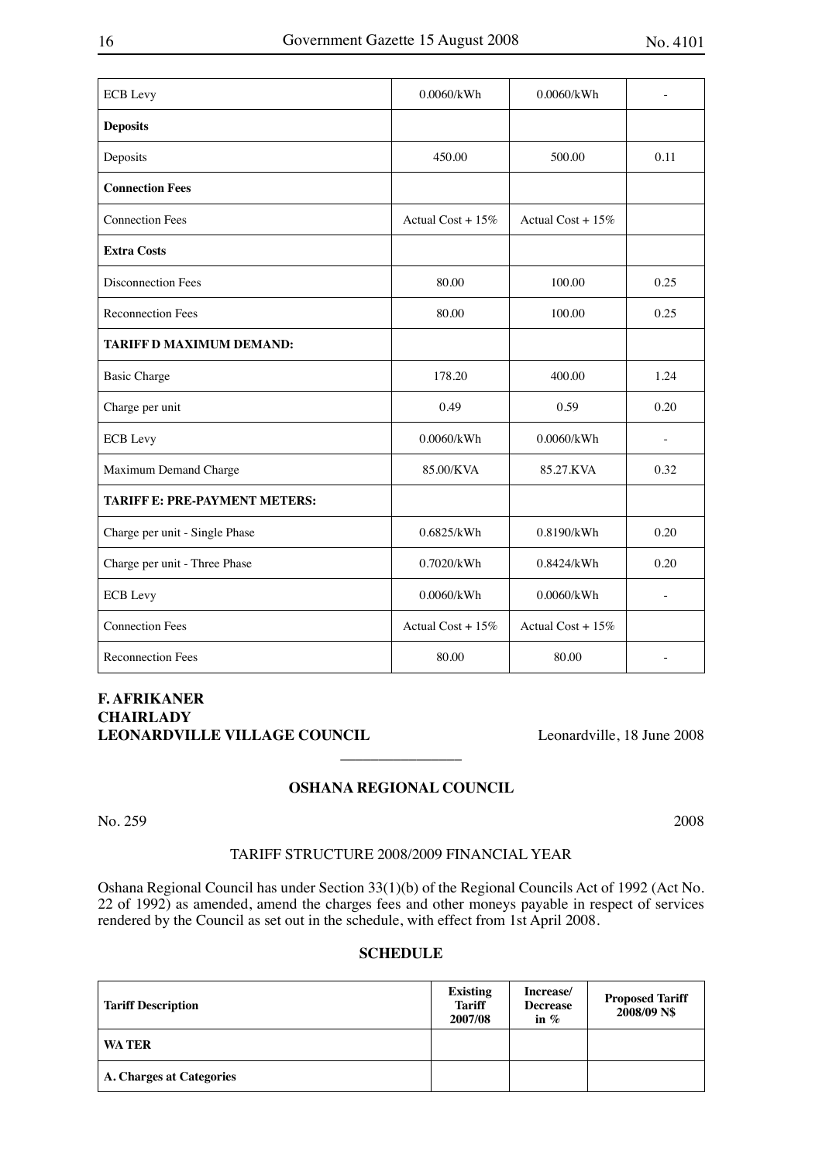| <b>ECB</b> Levy                      | 0.0060/kWh           | 0.0060/kWh           |                          |
|--------------------------------------|----------------------|----------------------|--------------------------|
| <b>Deposits</b>                      |                      |                      |                          |
| Deposits                             | 450.00               | 500.00               | 0.11                     |
| <b>Connection Fees</b>               |                      |                      |                          |
| <b>Connection Fees</b>               | Actual Cost + $15\%$ | Actual Cost + $15\%$ |                          |
| <b>Extra Costs</b>                   |                      |                      |                          |
| <b>Disconnection Fees</b>            | 80.00                | 100.00               | 0.25                     |
| <b>Reconnection Fees</b>             | 80.00                | 100.00               | 0.25                     |
| <b>TARIFF D MAXIMUM DEMAND:</b>      |                      |                      |                          |
| <b>Basic Charge</b>                  | 178.20               | 400.00               | 1.24                     |
| Charge per unit                      | 0.49                 | 0.59                 | 0.20                     |
| <b>ECB</b> Levy                      | 0.0060/kWh           | 0.0060/kWh           |                          |
| Maximum Demand Charge                | 85.00/KVA            | 85.27.KVA            | 0.32                     |
| <b>TARIFF E: PRE-PAYMENT METERS:</b> |                      |                      |                          |
| Charge per unit - Single Phase       | 0.6825/kWh           | 0.8190/kWh           | 0.20                     |
| Charge per unit - Three Phase        | 0.7020/kWh           | 0.8424/kWh           | 0.20                     |
| <b>ECB</b> Levy                      | $0.0060$ /kWh        | 0.0060/kWh           | $\overline{\phantom{a}}$ |
| <b>Connection Fees</b>               | Actual Cost + 15%    | Actual Cost + $15%$  |                          |
| <b>Reconnection Fees</b>             | 80.00                | 80.00                | $\overline{\phantom{a}}$ |

## **F. AFRIKANER CHAIRLADY**  LEONARDVILLE VILLAGE COUNCIL Leonardville, 18 June 2008

## **OSHANA REGIONAL COUNCIL**

 $\overline{\phantom{a}}$  , where  $\overline{\phantom{a}}$ 

```
No. 259 2008
```
## TARIFF STRUCTURE 2008/2009 FINANCIAL YEAR

Oshana Regional Council has under Section 33(1)(b) of the Regional Councils Act of 1992 (Act No. 22 of 1992) as amended, amend the charges fees and other moneys payable in respect of services rendered by the Council as set out in the schedule, with effect from 1st April 2008.

## **SCHEDULE**

| <b>Tariff Description</b>       | <b>Existing</b><br><b>Tariff</b><br>2007/08 | Increase/<br><b>Decrease</b><br>in $\%$ | <b>Proposed Tariff</b><br>2008/09 N\$ |
|---------------------------------|---------------------------------------------|-----------------------------------------|---------------------------------------|
| <b>WA TER</b>                   |                                             |                                         |                                       |
| <b>A. Charges at Categories</b> |                                             |                                         |                                       |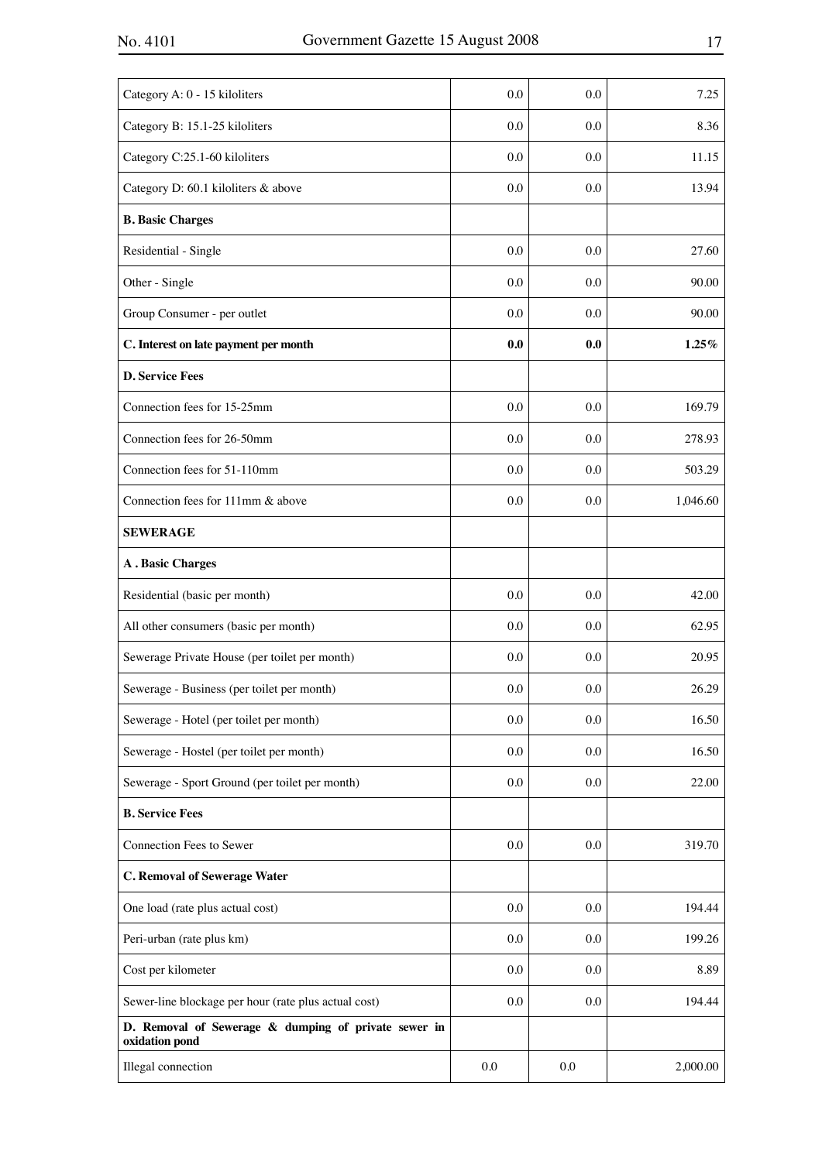| Category A: 0 - 15 kiloliters                                          | 0.0 | 0.0 | 7.25     |
|------------------------------------------------------------------------|-----|-----|----------|
| Category B: 15.1-25 kiloliters                                         | 0.0 | 0.0 | 8.36     |
| Category C:25.1-60 kiloliters                                          | 0.0 | 0.0 | 11.15    |
| Category D: 60.1 kiloliters & above                                    | 0.0 | 0.0 | 13.94    |
| <b>B. Basic Charges</b>                                                |     |     |          |
| Residential - Single                                                   | 0.0 | 0.0 | 27.60    |
| Other - Single                                                         | 0.0 | 0.0 | 90.00    |
| Group Consumer - per outlet                                            | 0.0 | 0.0 | 90.00    |
| C. Interest on late payment per month                                  | 0.0 | 0.0 | $1.25\%$ |
| <b>D. Service Fees</b>                                                 |     |     |          |
| Connection fees for 15-25mm                                            | 0.0 | 0.0 | 169.79   |
| Connection fees for 26-50mm                                            | 0.0 | 0.0 | 278.93   |
| Connection fees for 51-110mm                                           | 0.0 | 0.0 | 503.29   |
| Connection fees for 111mm & above                                      | 0.0 | 0.0 | 1,046.60 |
| <b>SEWERAGE</b>                                                        |     |     |          |
| <b>A</b> . Basic Charges                                               |     |     |          |
| Residential (basic per month)                                          | 0.0 | 0.0 | 42.00    |
| All other consumers (basic per month)                                  | 0.0 | 0.0 | 62.95    |
| Sewerage Private House (per toilet per month)                          | 0.0 | 0.0 | 20.95    |
| Sewerage - Business (per toilet per month)                             | 0.0 | 0.0 | 26.29    |
| Sewerage - Hotel (per toilet per month)                                | 0.0 | 0.0 | 16.50    |
| Sewerage - Hostel (per toilet per month)                               | 0.0 | 0.0 | 16.50    |
| Sewerage - Sport Ground (per toilet per month)                         | 0.0 | 0.0 | 22.00    |
| <b>B. Service Fees</b>                                                 |     |     |          |
| Connection Fees to Sewer                                               | 0.0 | 0.0 | 319.70   |
| <b>C. Removal of Sewerage Water</b>                                    |     |     |          |
| One load (rate plus actual cost)                                       | 0.0 | 0.0 | 194.44   |
| Peri-urban (rate plus km)                                              | 0.0 | 0.0 | 199.26   |
| Cost per kilometer                                                     | 0.0 | 0.0 | 8.89     |
| Sewer-line blockage per hour (rate plus actual cost)                   | 0.0 | 0.0 | 194.44   |
| D. Removal of Sewerage & dumping of private sewer in<br>oxidation pond |     |     |          |
| Illegal connection                                                     | 0.0 | 0.0 | 2,000.00 |
|                                                                        |     |     |          |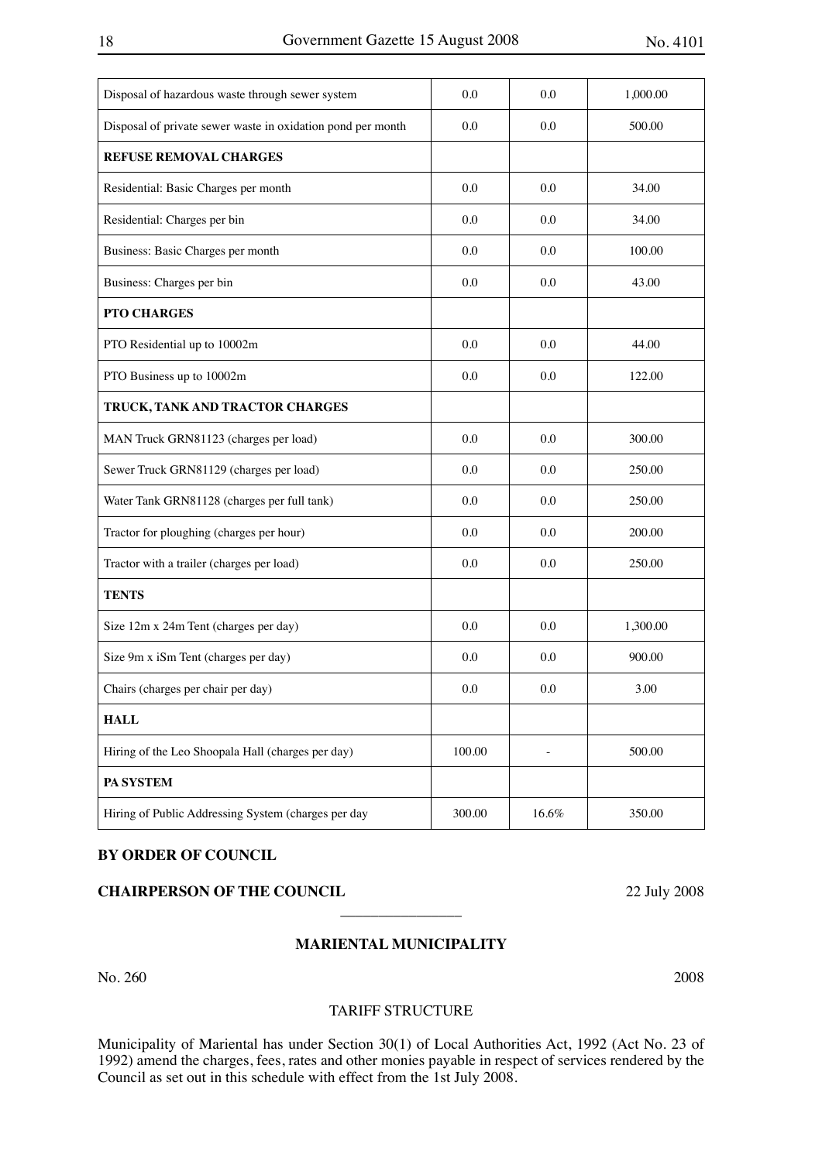| Disposal of hazardous waste through sewer system            | 0.0    | 0.0   | 1,000.00 |
|-------------------------------------------------------------|--------|-------|----------|
| Disposal of private sewer waste in oxidation pond per month | 0.0    | 0.0   | 500.00   |
| <b>REFUSE REMOVAL CHARGES</b>                               |        |       |          |
| Residential: Basic Charges per month                        | 0.0    | 0.0   | 34.00    |
| Residential: Charges per bin                                | 0.0    | 0.0   | 34.00    |
| Business: Basic Charges per month                           | 0.0    | 0.0   | 100.00   |
| Business: Charges per bin                                   | 0.0    | 0.0   | 43.00    |
| PTO CHARGES                                                 |        |       |          |
| PTO Residential up to 10002m                                | 0.0    | 0.0   | 44.00    |
| PTO Business up to 10002m                                   | 0.0    | 0.0   | 122.00   |
| TRUCK, TANK AND TRACTOR CHARGES                             |        |       |          |
| MAN Truck GRN81123 (charges per load)                       | 0.0    | 0.0   | 300.00   |
| Sewer Truck GRN81129 (charges per load)                     | 0.0    | 0.0   | 250.00   |
| Water Tank GRN81128 (charges per full tank)                 | 0.0    | 0.0   | 250.00   |
| Tractor for ploughing (charges per hour)                    | 0.0    | 0.0   | 200.00   |
| Tractor with a trailer (charges per load)                   | 0.0    | 0.0   | 250.00   |
| <b>TENTS</b>                                                |        |       |          |
| Size 12m x 24m Tent (charges per day)                       | 0.0    | 0.0   | 1,300.00 |
| Size 9m x iSm Tent (charges per day)                        | 0.0    | 0.0   | 900.00   |
| Chairs (charges per chair per day)                          | 0.0    | 0.0   | 3.00     |
| <b>HALL</b>                                                 |        |       |          |
| Hiring of the Leo Shoopala Hall (charges per day)           | 100.00 |       | 500.00   |
| PA SYSTEM                                                   |        |       |          |
| Hiring of Public Addressing System (charges per day         | 300.00 | 16.6% | 350.00   |
|                                                             |        |       |          |

## **BY ORDER OF COUNCIL**

## **CHAIRPERSON OF THE COUNCIL** 22 July 2008

## **MARIENTAL MUNICIPALITY**

 $\overline{\phantom{a}}$  , where  $\overline{\phantom{a}}$ 

#### TARIFF STRUCTURE

Municipality of Mariental has under Section 30(1) of Local Authorities Act, 1992 (Act No. 23 of 1992) amend the charges, fees, rates and other monies payable in respect of services rendered by the Council as set out in this schedule with effect from the 1st July 2008.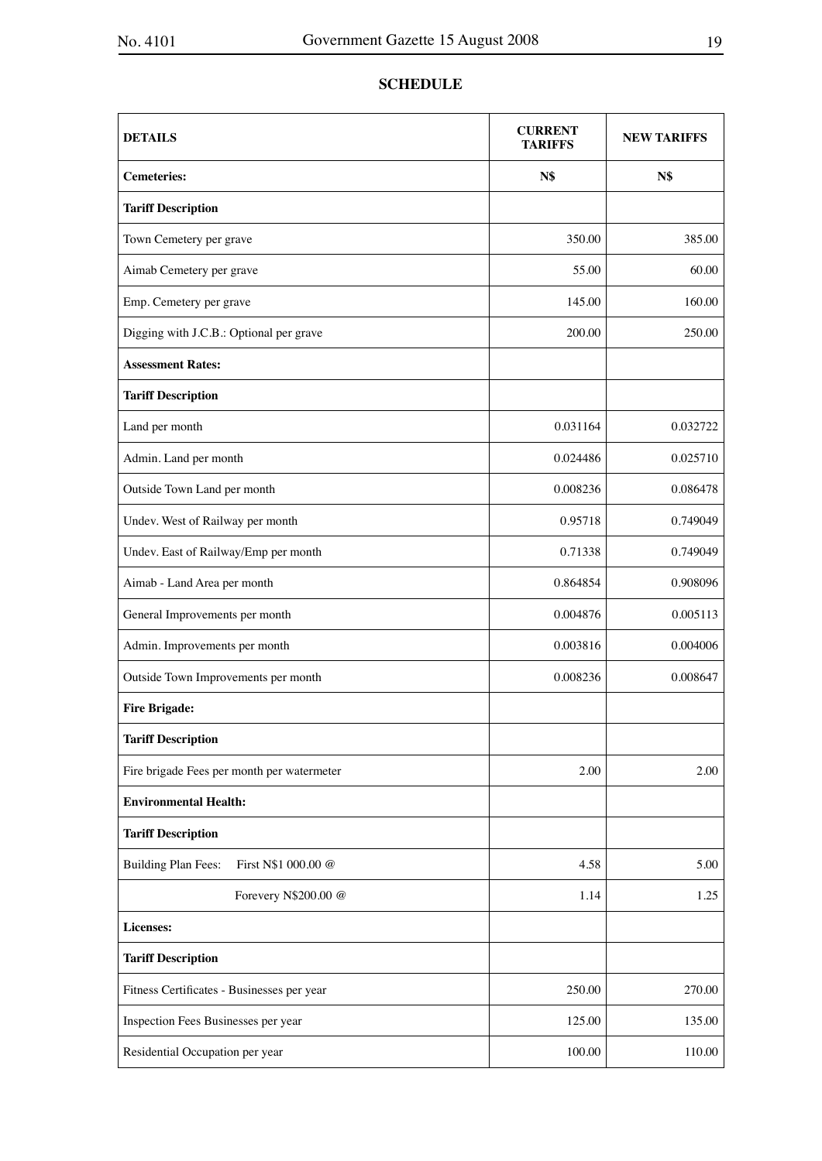## **SCHEDULE**

| <b>DETAILS</b>                                    | <b>CURRENT</b><br>TARIFFS | <b>NEW TARIFFS</b> |
|---------------------------------------------------|---------------------------|--------------------|
| <b>Cemeteries:</b>                                | N\$                       | <b>N\$</b>         |
| <b>Tariff Description</b>                         |                           |                    |
| Town Cemetery per grave                           | 350.00                    | 385.00             |
| Aimab Cemetery per grave                          | 55.00                     | 60.00              |
| Emp. Cemetery per grave                           | 145.00                    | 160.00             |
| Digging with J.C.B.: Optional per grave           | 200.00                    | 250.00             |
| <b>Assessment Rates:</b>                          |                           |                    |
| <b>Tariff Description</b>                         |                           |                    |
| Land per month                                    | 0.031164                  | 0.032722           |
| Admin. Land per month                             | 0.024486                  | 0.025710           |
| Outside Town Land per month                       | 0.008236                  | 0.086478           |
| Undev. West of Railway per month                  | 0.95718                   | 0.749049           |
| Undev. East of Railway/Emp per month              | 0.71338                   | 0.749049           |
| Aimab - Land Area per month                       | 0.864854                  | 0.908096           |
| General Improvements per month                    | 0.004876                  | 0.005113           |
| Admin. Improvements per month                     | 0.003816                  | 0.004006           |
| Outside Town Improvements per month               | 0.008236                  | 0.008647           |
| <b>Fire Brigade:</b>                              |                           |                    |
| <b>Tariff Description</b>                         |                           |                    |
| Fire brigade Fees per month per watermeter        | 2.00                      | 2.00               |
| <b>Environmental Health:</b>                      |                           |                    |
| <b>Tariff Description</b>                         |                           |                    |
| <b>Building Plan Fees:</b><br>First N\$1 000.00 @ | 4.58                      | 5.00               |
| Forevery N\$200.00 @                              | 1.14                      | 1.25               |
| Licenses:                                         |                           |                    |
| <b>Tariff Description</b>                         |                           |                    |
| Fitness Certificates - Businesses per year        | 250.00                    | 270.00             |
| Inspection Fees Businesses per year               | 125.00                    | 135.00             |
| Residential Occupation per year                   | 100.00                    | 110.00             |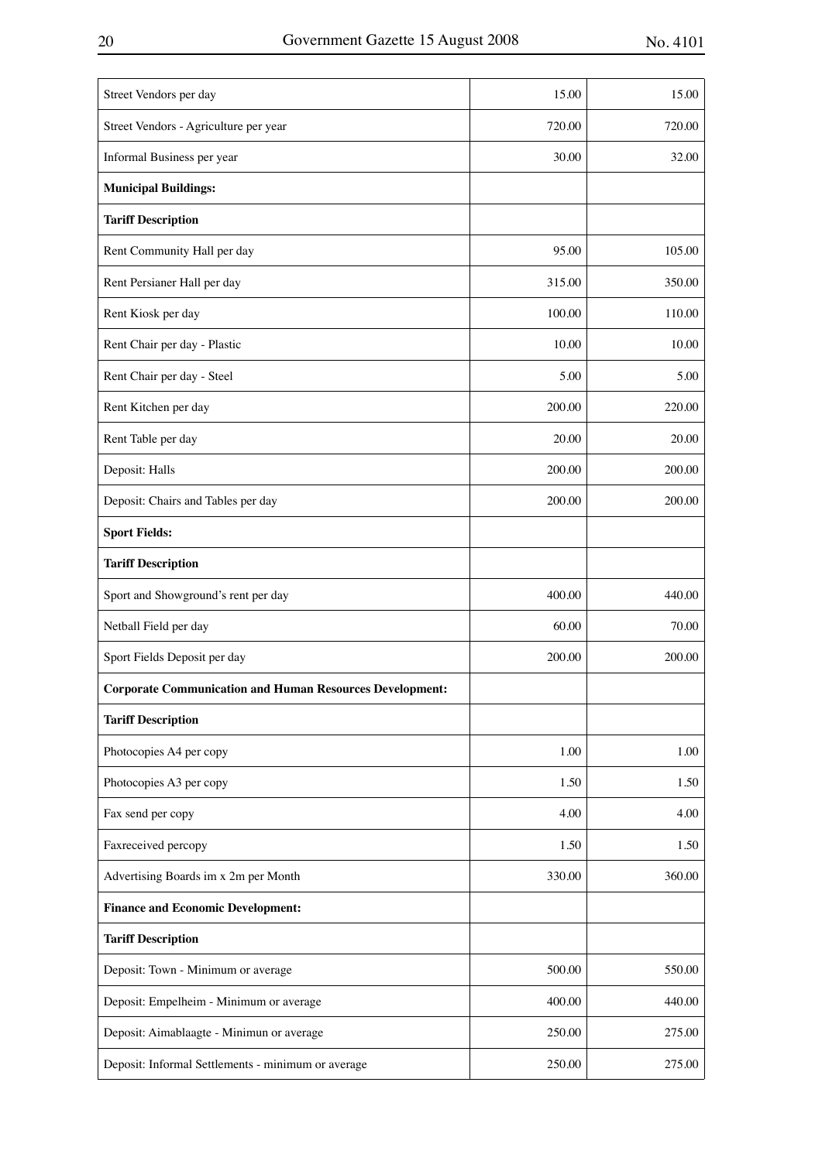| Street Vendors per day                                          | 15.00  | 15.00  |
|-----------------------------------------------------------------|--------|--------|
| Street Vendors - Agriculture per year                           | 720.00 | 720.00 |
| Informal Business per year                                      | 30.00  | 32.00  |
| <b>Municipal Buildings:</b>                                     |        |        |
| <b>Tariff Description</b>                                       |        |        |
| Rent Community Hall per day                                     | 95.00  | 105.00 |
| Rent Persianer Hall per day                                     | 315.00 | 350.00 |
| Rent Kiosk per day                                              | 100.00 | 110.00 |
| Rent Chair per day - Plastic                                    | 10.00  | 10.00  |
| Rent Chair per day - Steel                                      | 5.00   | 5.00   |
| Rent Kitchen per day                                            | 200.00 | 220.00 |
| Rent Table per day                                              | 20.00  | 20.00  |
| Deposit: Halls                                                  | 200.00 | 200.00 |
| Deposit: Chairs and Tables per day                              | 200.00 | 200.00 |
| <b>Sport Fields:</b>                                            |        |        |
| <b>Tariff Description</b>                                       |        |        |
| Sport and Showground's rent per day                             | 400.00 | 440.00 |
| Netball Field per day                                           | 60.00  | 70.00  |
| Sport Fields Deposit per day                                    | 200.00 | 200.00 |
| <b>Corporate Communication and Human Resources Development:</b> |        |        |
| <b>Tariff Description</b>                                       |        |        |
| Photocopies A4 per copy                                         | 1.00   | 1.00   |
| Photocopies A3 per copy                                         | 1.50   | 1.50   |
| Fax send per copy                                               | 4.00   | 4.00   |
| Faxreceived percopy                                             | 1.50   | 1.50   |
| Advertising Boards im x 2m per Month                            | 330.00 | 360.00 |
| <b>Finance and Economic Development:</b>                        |        |        |
| <b>Tariff Description</b>                                       |        |        |
| Deposit: Town - Minimum or average                              | 500.00 | 550.00 |
| Deposit: Empelheim - Minimum or average                         | 400.00 | 440.00 |
| Deposit: Aimablaagte - Minimun or average                       | 250.00 | 275.00 |
| Deposit: Informal Settlements - minimum or average              | 250.00 | 275.00 |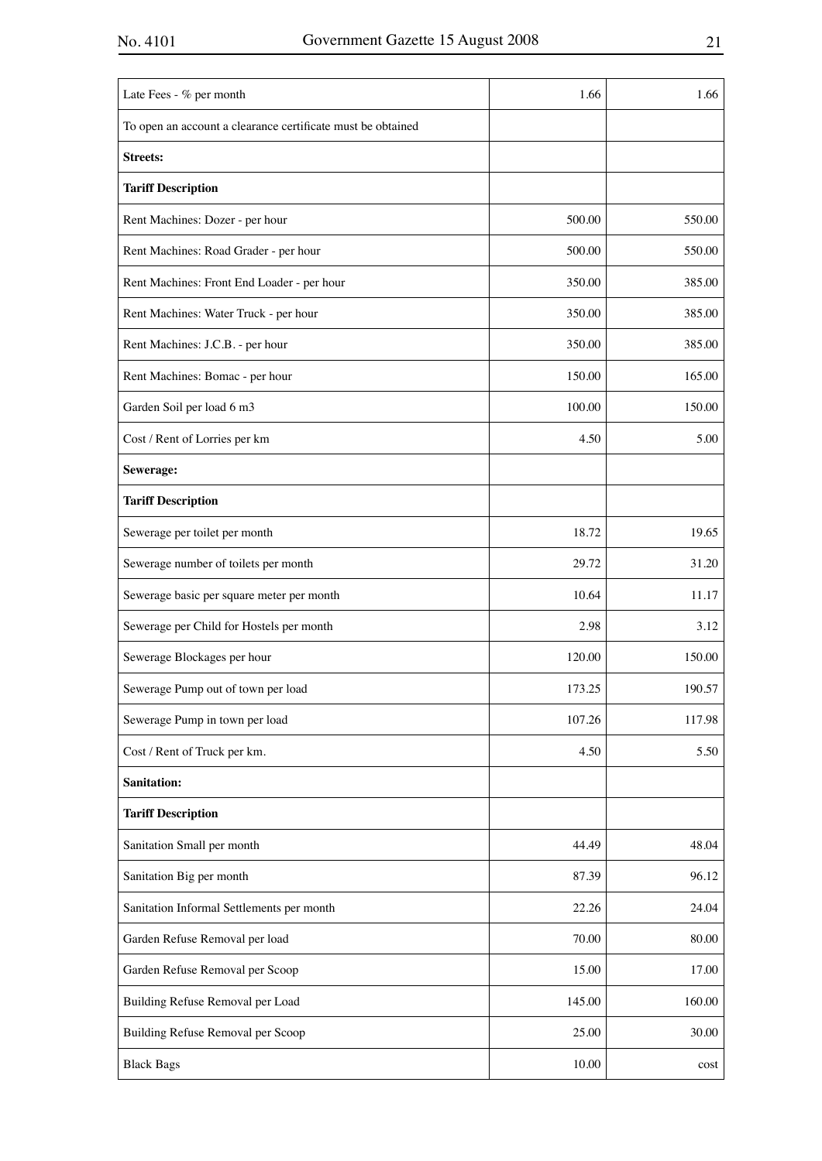| Late Fees - % per month                                     | 1.66   | 1.66   |
|-------------------------------------------------------------|--------|--------|
| To open an account a clearance certificate must be obtained |        |        |
| <b>Streets:</b>                                             |        |        |
| <b>Tariff Description</b>                                   |        |        |
| Rent Machines: Dozer - per hour                             | 500.00 | 550.00 |
| Rent Machines: Road Grader - per hour                       | 500.00 | 550.00 |
| Rent Machines: Front End Loader - per hour                  | 350.00 | 385.00 |
| Rent Machines: Water Truck - per hour                       | 350.00 | 385.00 |
| Rent Machines: J.C.B. - per hour                            | 350.00 | 385.00 |
| Rent Machines: Bomac - per hour                             | 150.00 | 165.00 |
| Garden Soil per load 6 m3                                   | 100.00 | 150.00 |
| Cost / Rent of Lorries per km                               | 4.50   | 5.00   |
| Sewerage:                                                   |        |        |
| <b>Tariff Description</b>                                   |        |        |
| Sewerage per toilet per month                               | 18.72  | 19.65  |
| Sewerage number of toilets per month                        | 29.72  | 31.20  |
| Sewerage basic per square meter per month                   | 10.64  | 11.17  |
| Sewerage per Child for Hostels per month                    | 2.98   | 3.12   |
| Sewerage Blockages per hour                                 | 120.00 | 150.00 |
| Sewerage Pump out of town per load                          | 173.25 | 190.57 |
| Sewerage Pump in town per load                              | 107.26 | 117.98 |
| Cost / Rent of Truck per km.                                | 4.50   | 5.50   |
| <b>Sanitation:</b>                                          |        |        |
| <b>Tariff Description</b>                                   |        |        |
| Sanitation Small per month                                  | 44.49  | 48.04  |
| Sanitation Big per month                                    | 87.39  | 96.12  |
| Sanitation Informal Settlements per month                   | 22.26  | 24.04  |
| Garden Refuse Removal per load                              | 70.00  | 80.00  |
| Garden Refuse Removal per Scoop                             | 15.00  | 17.00  |
| Building Refuse Removal per Load                            | 145.00 | 160.00 |
| Building Refuse Removal per Scoop                           | 25.00  | 30.00  |
| <b>Black Bags</b>                                           | 10.00  | cost   |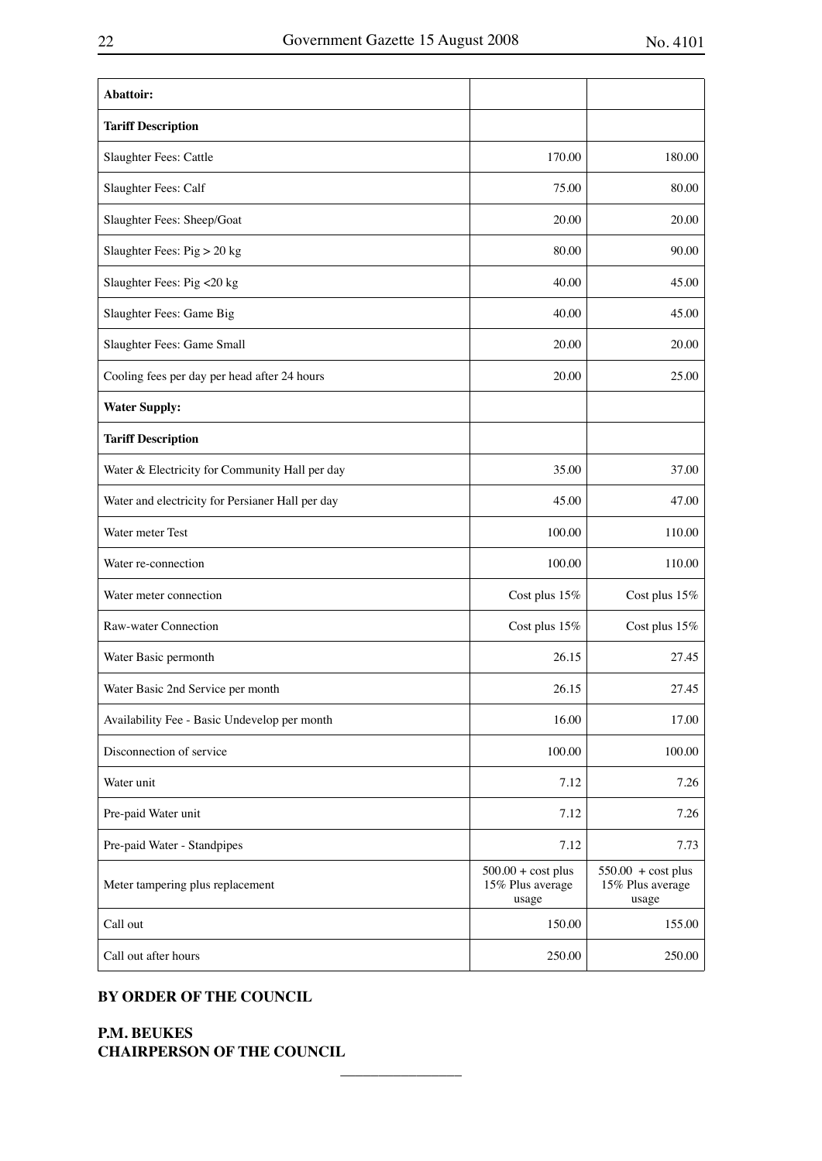| Abattoir:                                        |                                                   |                                                          |
|--------------------------------------------------|---------------------------------------------------|----------------------------------------------------------|
| <b>Tariff Description</b>                        |                                                   |                                                          |
| Slaughter Fees: Cattle                           | 170.00                                            | 180.00                                                   |
| Slaughter Fees: Calf                             | 75.00                                             | 80.00                                                    |
| Slaughter Fees: Sheep/Goat                       | 20.00                                             | 20.00                                                    |
| Slaughter Fees: Pig > 20 kg                      | 80.00                                             | 90.00                                                    |
| Slaughter Fees: Pig <20 kg                       | 40.00                                             | 45.00                                                    |
| Slaughter Fees: Game Big                         | 40.00                                             | 45.00                                                    |
| Slaughter Fees: Game Small                       | 20.00                                             | 20.00                                                    |
| Cooling fees per day per head after 24 hours     | 20.00                                             | 25.00                                                    |
| <b>Water Supply:</b>                             |                                                   |                                                          |
| <b>Tariff Description</b>                        |                                                   |                                                          |
| Water & Electricity for Community Hall per day   | 35.00                                             | 37.00                                                    |
| Water and electricity for Persianer Hall per day | 45.00                                             | 47.00                                                    |
| Water meter Test                                 | 100.00                                            | 110.00                                                   |
| Water re-connection                              | 100.00                                            | 110.00                                                   |
| Water meter connection                           | Cost plus 15%                                     | Cost plus 15%                                            |
| Raw-water Connection                             | Cost plus 15%                                     | Cost plus 15%                                            |
| Water Basic permonth                             | 26.15                                             | 27.45                                                    |
| Water Basic 2nd Service per month                | 26.15                                             | 27.45                                                    |
| Availability Fee - Basic Undevelop per month     | 16.00                                             | 17.00                                                    |
| Disconnection of service                         | 100.00                                            | 100.00                                                   |
| Water unit                                       | 7.12                                              | 7.26                                                     |
| Pre-paid Water unit                              | 7.12                                              | 7.26                                                     |
| Pre-paid Water - Standpipes                      | 7.12                                              | 7.73                                                     |
| Meter tampering plus replacement                 | $500.00 + cost$ plus<br>15% Plus average<br>usage | $550.00 + \text{cost plus}$<br>15% Plus average<br>usage |
| Call out                                         | 150.00                                            | 155.00                                                   |
| Call out after hours                             | 250.00                                            | 250.00                                                   |

 $\overline{\phantom{a}}$  , where  $\overline{\phantom{a}}$ 

## **BY ORDER OF THE COUNCIL**

**P.M. BEUKES CHAIRPERSON OF THE COUNCIL**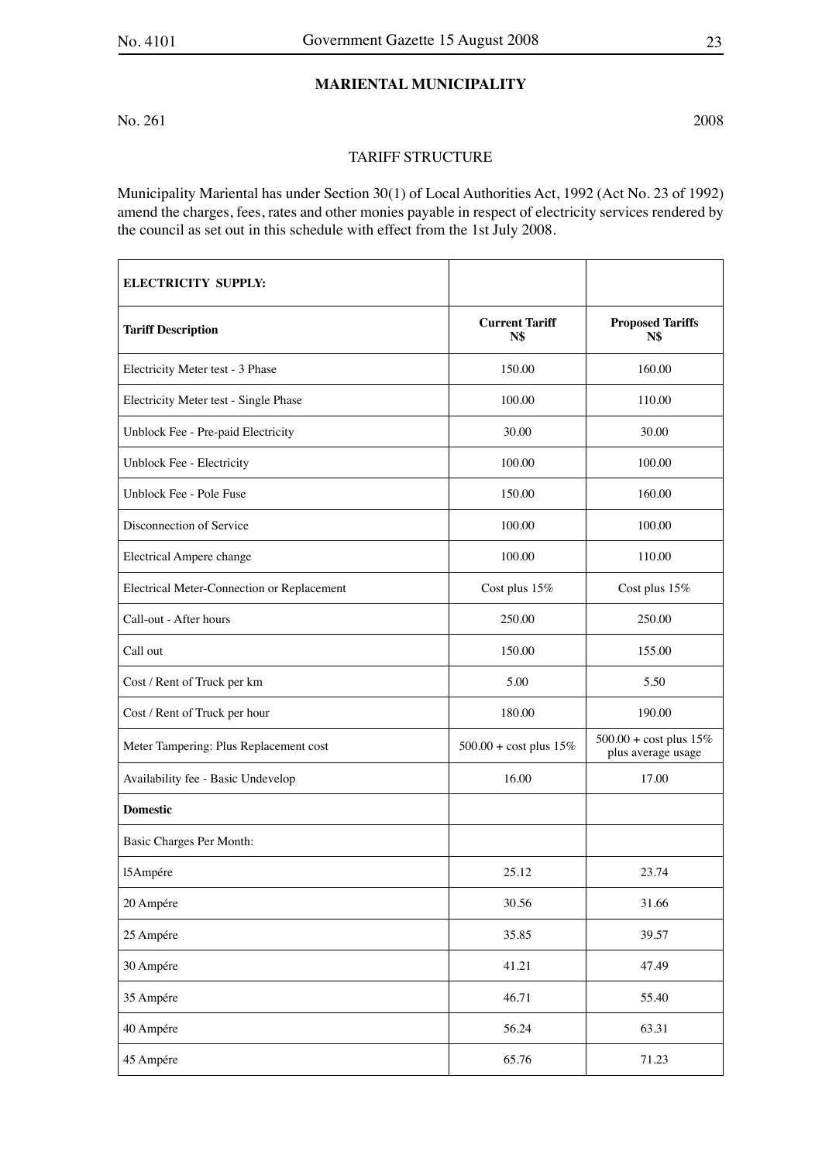## **MARIENTAL MUNICIPALITY**

No. 261 2008

## TARIFF STRUCTURE

Municipality Mariental has under Section 30(1) of Local Authorities Act, 1992 (Act No. 23 of 1992) amend the charges, fees, rates and other monies payable in respect of electricity services rendered by the council as set out in this schedule with effect from the 1st July 2008.

| <b>ELECTRICITY SUPPLY:</b>                 |                                    |                                                          |
|--------------------------------------------|------------------------------------|----------------------------------------------------------|
| <b>Tariff Description</b>                  | <b>Current Tariff</b><br>N\$       | <b>Proposed Tariffs</b><br>N\$                           |
| Electricity Meter test - 3 Phase           | 150.00                             | 160.00                                                   |
| Electricity Meter test - Single Phase      | 100.00                             | 110.00                                                   |
| Unblock Fee - Pre-paid Electricity         | 30.00                              | 30.00                                                    |
| Unblock Fee - Electricity                  | 100.00                             | 100.00                                                   |
| Unblock Fee - Pole Fuse                    | 150.00                             | 160.00                                                   |
| Disconnection of Service                   | 100.00                             | 100.00                                                   |
| Electrical Ampere change                   | 100.00                             | 110.00                                                   |
| Electrical Meter-Connection or Replacement | Cost plus 15%                      | Cost plus 15%                                            |
| Call-out - After hours                     | 250.00                             | 250.00                                                   |
| Call out                                   | 150.00                             | 155.00                                                   |
| Cost / Rent of Truck per km                | 5.00                               | 5.50                                                     |
| Cost / Rent of Truck per hour              | 180.00                             | 190.00                                                   |
| Meter Tampering: Plus Replacement cost     | $500.00 + \text{cost}$ plus $15\%$ | $500.00 + \text{cost}$ plus $15\%$<br>plus average usage |
| Availability fee - Basic Undevelop         | 16.00                              | 17.00                                                    |
| <b>Domestic</b>                            |                                    |                                                          |
| Basic Charges Per Month:                   |                                    |                                                          |
| 15 Ampére                                  | 25.12                              | 23.74                                                    |
| 20 Ampére                                  | 30.56                              | 31.66                                                    |
| 25 Ampére                                  | 35.85                              | 39.57                                                    |
| 30 Ampére                                  | 41.21                              | 47.49                                                    |
| 35 Ampére                                  | 46.71                              | 55.40                                                    |
| 40 Ampére                                  | 56.24                              | 63.31                                                    |
| 45 Ampére                                  | 65.76                              | 71.23                                                    |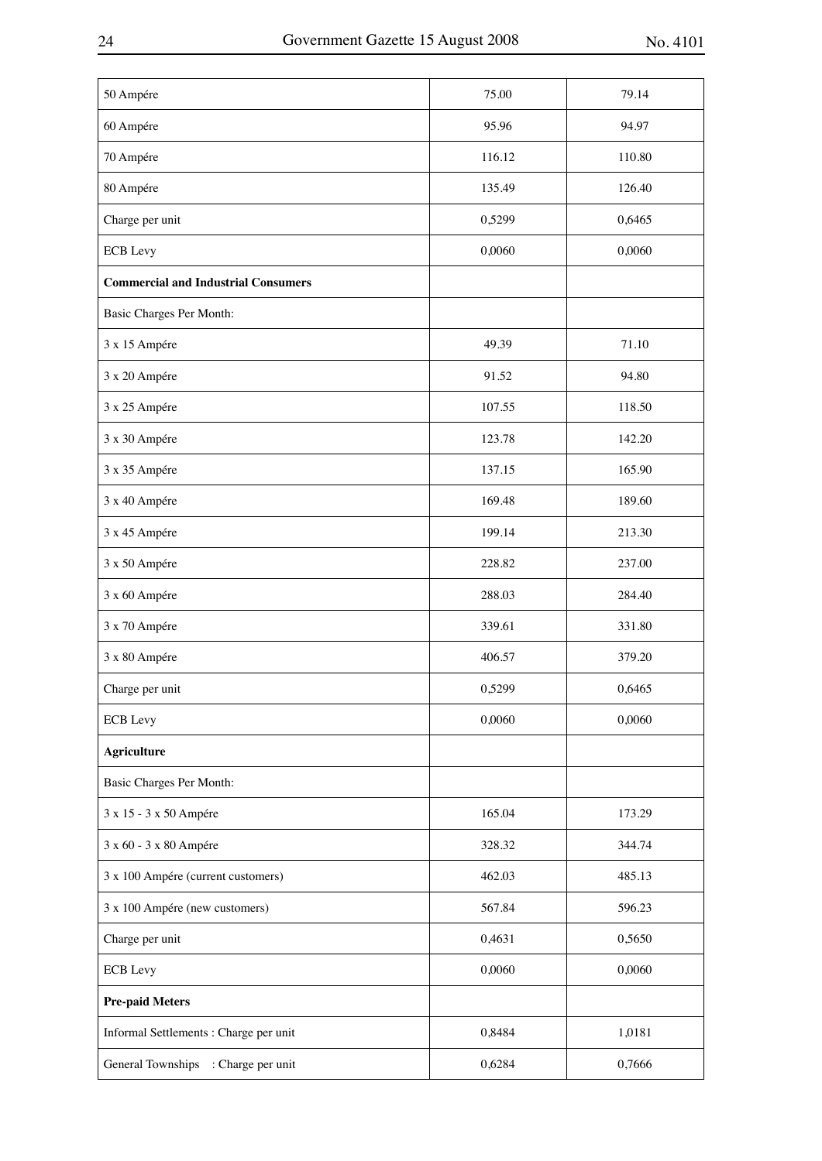| 50 Ampére                                  | 75.00  | 79.14  |
|--------------------------------------------|--------|--------|
| 60 Ampére                                  | 95.96  | 94.97  |
| 70 Ampére                                  | 116.12 | 110.80 |
| 80 Ampére                                  | 135.49 | 126.40 |
| Charge per unit                            | 0,5299 | 0,6465 |
| <b>ECB</b> Levy                            | 0,0060 | 0,0060 |
| <b>Commercial and Industrial Consumers</b> |        |        |
| Basic Charges Per Month:                   |        |        |
| 3 x 15 Ampére                              | 49.39  | 71.10  |
| 3 x 20 Ampére                              | 91.52  | 94.80  |
| 3 x 25 Ampére                              | 107.55 | 118.50 |
| 3 x 30 Ampére                              | 123.78 | 142.20 |
| 3 x 35 Ampére                              | 137.15 | 165.90 |
| 3 x 40 Ampére                              | 169.48 | 189.60 |
| 3 x 45 Ampére                              | 199.14 | 213.30 |
| 3 x 50 Ampére                              | 228.82 | 237.00 |
| 3 x 60 Ampére                              | 288.03 | 284.40 |
| 3 x 70 Ampére                              | 339.61 | 331.80 |
| 3 x 80 Ampére                              | 406.57 | 379.20 |
| Charge per unit                            | 0,5299 | 0,6465 |
| <b>ECB</b> Levy                            | 0,0060 | 0,0060 |
| <b>Agriculture</b>                         |        |        |
| Basic Charges Per Month:                   |        |        |
| 3 x 15 - 3 x 50 Ampére                     | 165.04 | 173.29 |
| 3 x 60 - 3 x 80 Ampére                     | 328.32 | 344.74 |
| 3 x 100 Ampére (current customers)         | 462.03 | 485.13 |
| 3 x 100 Ampére (new customers)             | 567.84 | 596.23 |
| Charge per unit                            | 0,4631 | 0,5650 |
| <b>ECB</b> Levy                            | 0,0060 | 0,0060 |
| <b>Pre-paid Meters</b>                     |        |        |
| Informal Settlements : Charge per unit     | 0,8484 | 1,0181 |
| General Townships : Charge per unit        | 0,6284 | 0,7666 |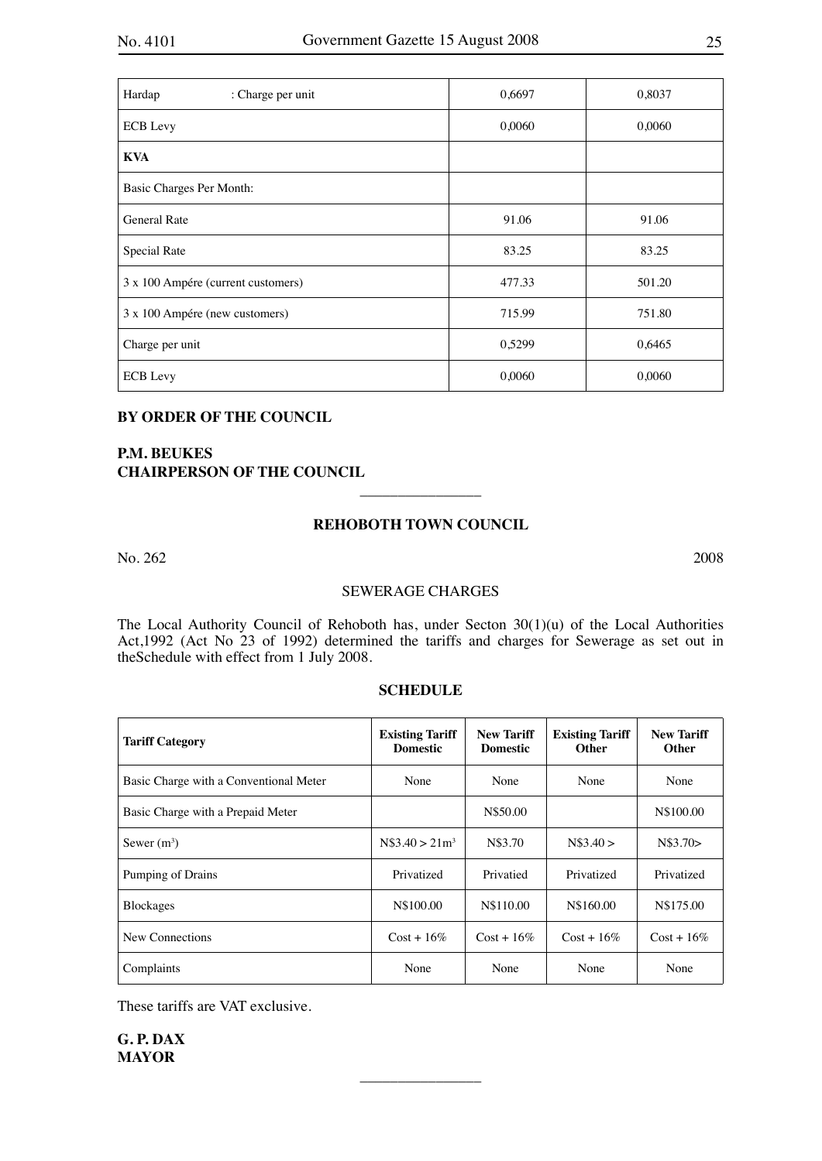| Hardap<br>: Charge per unit        | 0,6697 | 0,8037 |
|------------------------------------|--------|--------|
| <b>ECB</b> Levy                    | 0,0060 | 0,0060 |
| <b>KVA</b>                         |        |        |
| Basic Charges Per Month:           |        |        |
| <b>General Rate</b>                | 91.06  | 91.06  |
| Special Rate                       | 83.25  | 83.25  |
| 3 x 100 Ampére (current customers) | 477.33 | 501.20 |
| 3 x 100 Ampére (new customers)     | 715.99 | 751.80 |
| Charge per unit                    | 0,5299 | 0,6465 |
| <b>ECB</b> Levy                    | 0,0060 | 0,0060 |

## **BY ORDER OF THE COUNCIL**

## **P.M. BEUKES CHAIRPERSON OF THE COUNCIL**

## **REHOBOTH TOWN COUNCIL**

 $\overline{\phantom{a}}$  , where  $\overline{\phantom{a}}$ 

No. 262 2008

#### SEWERAGE CHARGES

The Local Authority Council of Rehoboth has, under Secton 30(1)(u) of the Local Authorities Act,1992 (Act No 23 of 1992) determined the tariffs and charges for Sewerage as set out in theSchedule with effect from 1 July 2008.

## **SCHEDULE**

| <b>Tariff Category</b>                 | <b>Existing Tariff</b><br><b>Domestic</b> | <b>New Tariff</b><br><b>Domestic</b> | <b>Existing Tariff</b><br><b>Other</b> | <b>New Tariff</b><br><b>Other</b> |
|----------------------------------------|-------------------------------------------|--------------------------------------|----------------------------------------|-----------------------------------|
| Basic Charge with a Conventional Meter | None                                      | None                                 | None                                   | None                              |
| Basic Charge with a Prepaid Meter      |                                           | N\$50.00                             |                                        | N\$100.00                         |
| Sewer $(m^3)$                          | $N$3.40 > 21m^3$                          | N\$3.70                              | N\$3.40 >                              | N\$3.70>                          |
| Pumping of Drains                      | Privatized                                | Privatied                            | Privatized                             | Privatized                        |
| <b>Blockages</b>                       | N\$100.00                                 | N\$110.00                            | N\$160.00                              | N\$175.00                         |
| New Connections                        | $Cost + 16\%$                             | $Cost + 16\%$                        | $Cost + 16\%$                          | $Cost + 16\%$                     |
| Complaints                             | None                                      | None                                 | None                                   | None                              |

 $\overline{\phantom{a}}$  , where  $\overline{\phantom{a}}$ 

These tariffs are VAT exclusive.

**G. P. DAX MAYOR**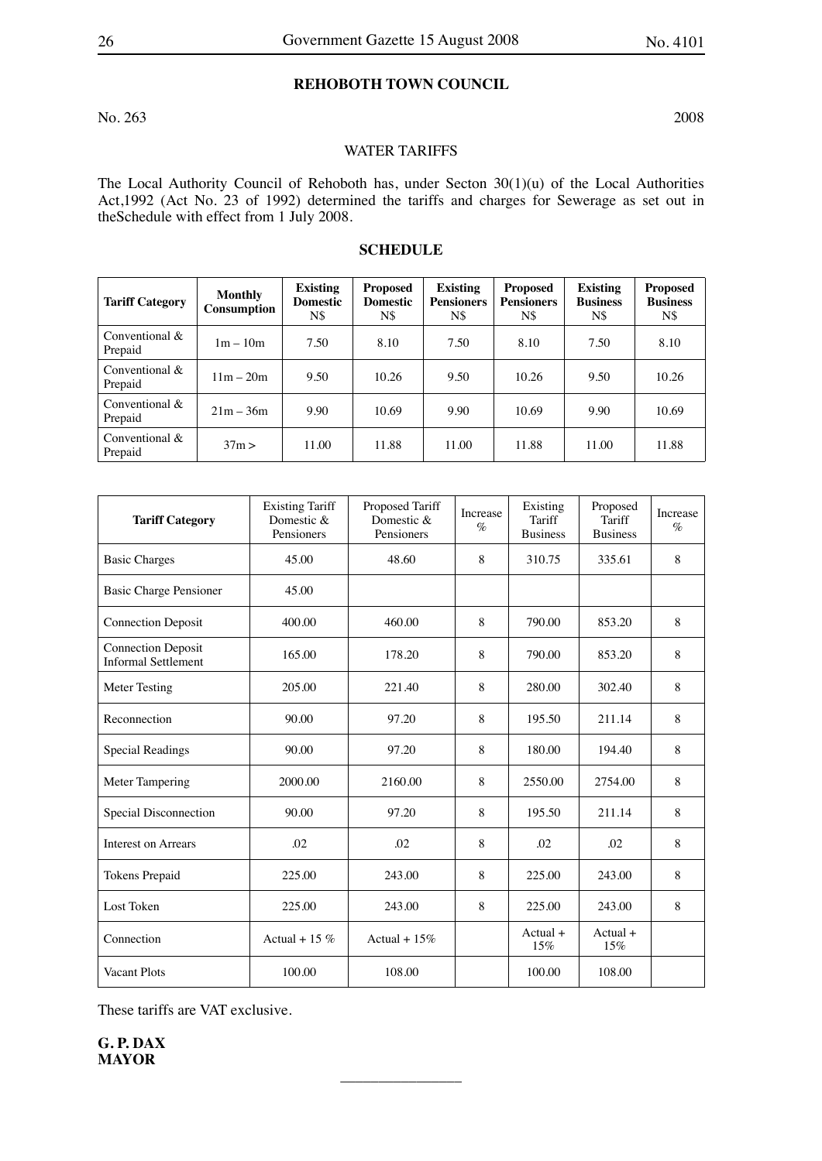## **REHOBOTH TOWN COUNCIL**

No. 263 2008

## WATER TARIFFS

The Local Authority Council of Rehoboth has, under Secton 30(1)(u) of the Local Authorities Act,1992 (Act No. 23 of 1992) determined the tariffs and charges for Sewerage as set out in theSchedule with effect from 1 July 2008.

## **SCHEDULE**

| <b>Tariff Category</b>       | Monthly<br><b>Consumption</b> | <b>Existing</b><br><b>Domestic</b><br>N\$ | <b>Proposed</b><br><b>Domestic</b><br>N\$ | <b>Existing</b><br><b>Pensioners</b><br>N\$ | <b>Proposed</b><br><b>Pensioners</b><br>N\$ | <b>Existing</b><br><b>Business</b><br>N\$ | <b>Proposed</b><br><b>Business</b><br>N\$ |
|------------------------------|-------------------------------|-------------------------------------------|-------------------------------------------|---------------------------------------------|---------------------------------------------|-------------------------------------------|-------------------------------------------|
| Conventional $&$<br>Prepaid  | $1m - 10m$                    | 7.50                                      | 8.10                                      | 7.50                                        | 8.10                                        | 7.50                                      | 8.10                                      |
| Conventional $&$<br>Prepaid  | $11m - 20m$                   | 9.50                                      | 10.26                                     | 9.50                                        | 10.26                                       | 9.50                                      | 10.26                                     |
| Conventional $\&$<br>Prepaid | $21m - 36m$                   | 9.90                                      | 10.69                                     | 9.90                                        | 10.69                                       | 9.90                                      | 10.69                                     |
| Conventional $&$<br>Prepaid  | 37m >                         | 11.00                                     | 11.88                                     | 11.00                                       | 11.88                                       | 11.00                                     | 11.88                                     |

| <b>Tariff Category</b>                                  | <b>Existing Tariff</b><br>Domestic &<br>Pensioners | Proposed Tariff<br>Domestic &<br>Pensioners | Increase<br>$\%$ | Existing<br>Tariff<br><b>Business</b> | Proposed<br>Tariff<br><b>Business</b> | Increase<br>$\%$ |
|---------------------------------------------------------|----------------------------------------------------|---------------------------------------------|------------------|---------------------------------------|---------------------------------------|------------------|
| <b>Basic Charges</b>                                    | 45.00                                              | 48.60                                       | 8                | 310.75                                | 335.61                                | 8                |
| Basic Charge Pensioner                                  | 45.00                                              |                                             |                  |                                       |                                       |                  |
| <b>Connection Deposit</b>                               | 400.00                                             | 460.00                                      | 8                | 790.00                                | 853.20                                | 8                |
| <b>Connection Deposit</b><br><b>Informal Settlement</b> | 165.00                                             | 178.20                                      | 8                | 790.00                                | 853.20                                | 8                |
| Meter Testing                                           | 205.00                                             | 221.40                                      | 8                | 280.00                                | 302.40                                | 8                |
| Reconnection                                            | 90.00                                              | 97.20                                       | 8                | 195.50                                | 211.14                                | 8                |
| <b>Special Readings</b>                                 | 90.00                                              | 97.20                                       | 8                | 180.00                                | 194.40                                | 8                |
| <b>Meter Tampering</b>                                  | 2000.00                                            | 2160.00                                     | 8                | 2550.00                               | 2754.00                               | 8                |
| Special Disconnection                                   | 90.00                                              | 97.20                                       | 8                | 195.50                                | 211.14                                | 8                |
| <b>Interest on Arrears</b>                              | .02                                                | .02                                         | 8                | .02                                   | .02                                   | 8                |
| <b>Tokens Prepaid</b>                                   | 225.00                                             | 243.00                                      | 8                | 225.00                                | 243.00                                | 8                |
| Lost Token                                              | 225.00                                             | 243.00                                      | 8                | 225.00                                | 243.00                                | 8                |
| Connection                                              | Actual + 15 $%$                                    | Actual + $15\%$                             |                  | $Actual +$<br>15%                     | $Actual +$<br>15%                     |                  |
| <b>Vacant Plots</b>                                     | 100.00                                             | 108.00                                      |                  | 100.00                                | 108.00                                |                  |

 $\overline{\phantom{a}}$  , where  $\overline{\phantom{a}}$ 

These tariffs are VAT exclusive.

**G. P. DAX MAYOR**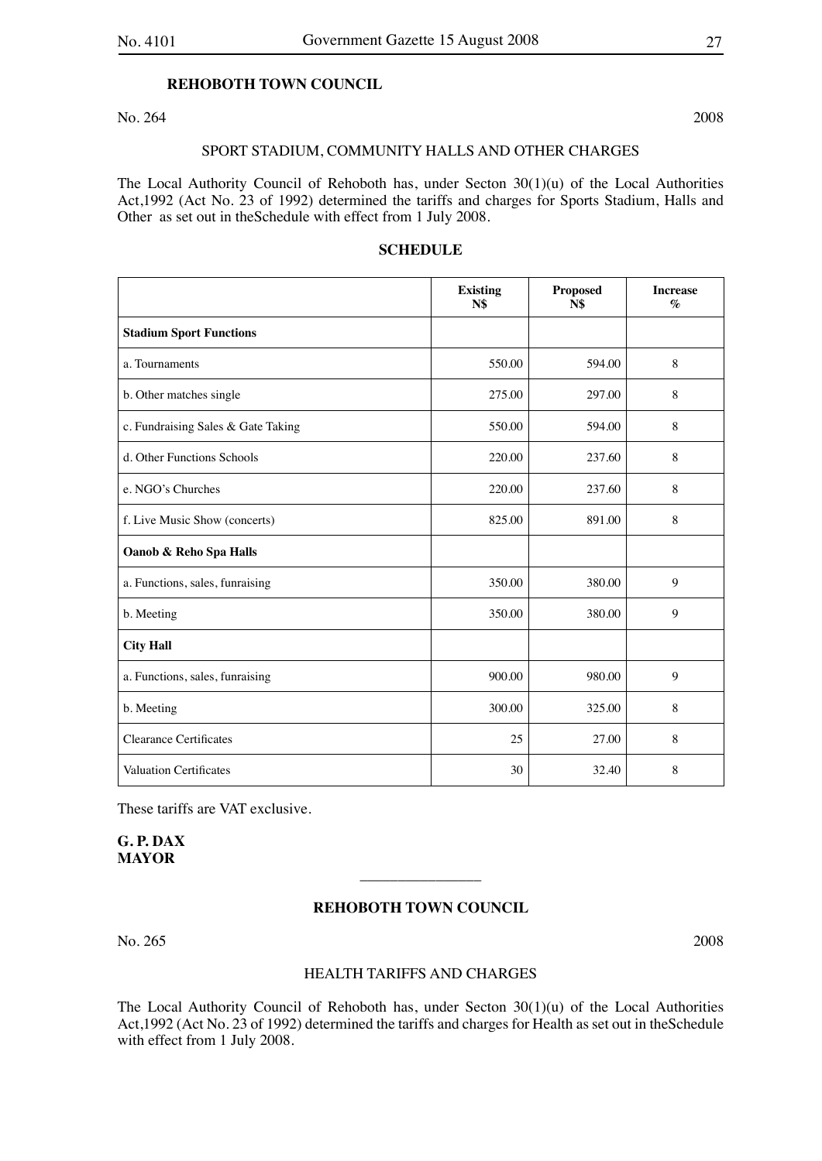#### **REHOBOTH TOWN COUNCIL**

No. 264 2008

#### SPORT STADIUM, COMMUNITY HALLS AND OTHER CHARGES

The Local Authority Council of Rehoboth has, under Secton 30(1)(u) of the Local Authorities Act,1992 (Act No. 23 of 1992) determined the tariffs and charges for Sports Stadium, Halls and Other as set out in theSchedule with effect from 1 July 2008.

## **SCHEDULE**

|                                    | <b>Existing</b><br>N\$ | <b>Proposed</b><br><b>N\$</b> | <b>Increase</b><br>$\%$ |
|------------------------------------|------------------------|-------------------------------|-------------------------|
| <b>Stadium Sport Functions</b>     |                        |                               |                         |
| a. Tournaments                     | 550.00                 | 594.00                        | 8                       |
| b. Other matches single            | 275.00                 | 297.00                        | 8                       |
| c. Fundraising Sales & Gate Taking | 550.00                 | 594.00                        | 8                       |
| d. Other Functions Schools         | 220.00                 | 237.60                        | 8                       |
| e. NGO's Churches                  | 220.00                 | 237.60                        | 8                       |
| f. Live Music Show (concerts)      | 825.00                 | 891.00                        | $\,8\,$                 |
| Oanob & Reho Spa Halls             |                        |                               |                         |
| a. Functions, sales, funraising    | 350.00                 | 380.00                        | 9                       |
| b. Meeting                         | 350.00                 | 380.00                        | 9                       |
| <b>City Hall</b>                   |                        |                               |                         |
| a. Functions, sales, funraising    | 900.00                 | 980.00                        | 9                       |
| b. Meeting                         | 300.00                 | 325.00                        | 8                       |
| <b>Clearance Certificates</b>      | 25                     | 27.00                         | 8                       |
| <b>Valuation Certificates</b>      | 30                     | 32.40                         | 8                       |

These tariffs are VAT exclusive.

**G. P. DAX MAYOR**

## **REHOBOTH TOWN COUNCIL**

 $\overline{\phantom{a}}$  , where  $\overline{\phantom{a}}$ 

No. 265 2008

#### HEALTH TARIFFS AND CHARGES

The Local Authority Council of Rehoboth has, under Secton 30(1)(u) of the Local Authorities Act,1992 (Act No. 23 of 1992) determined the tariffs and charges for Health as set out in theSchedule with effect from 1 July 2008.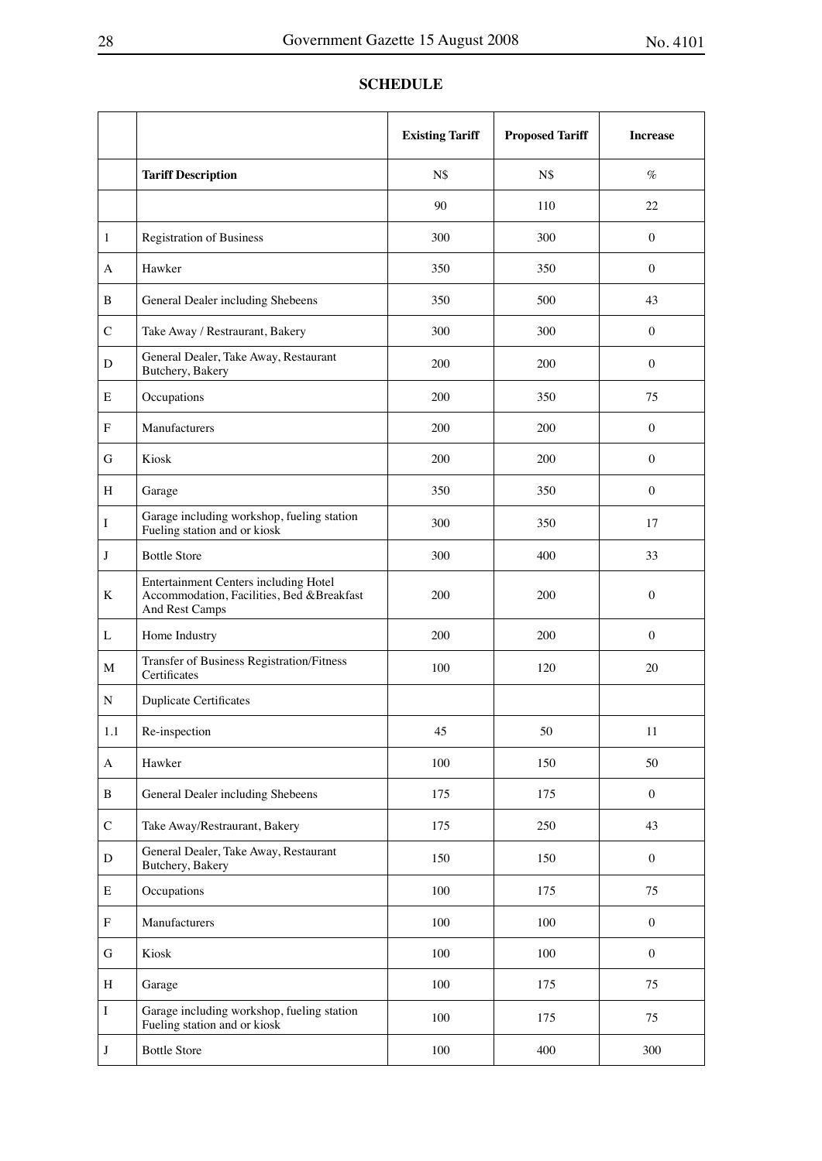## **Existing Tariff Proposed Tariff Increase Tariff Description** N\$ N\$  $\%$ 90 110 22 1 Registration of Business 200 300 0 A Hawker 350 350 0 B General Dealer including Shebeens 1 350 500 500 43 C Take Away / Restraurant, Bakery 1 300 300 300 0 D General Dealer, Take Away, Restaurant General Dealer, Take Away, Restaurant (200  $\left[200\right]$  200  $\left[0.200\right]$  0 E Occupations 200 350 75 F Manufacturers 200 200 0 G Kiosk 200 200 0 H Garage 2012 1350 350 0 I Garage including workshop, fueling station Garage including workshop, fueling station<br>
Fueling station and or kiosk 17  $J \quad$  Bottle Store 33 K Entertainment Centers including Hotel Accommodation, Facilities, Bed &Breakfast And Rest Camps 200 200 0 L Home Industry 200 200 0 M Transfer of Business Registration/Fitness<br>Certificates Transier of Business Registration Transier (100 120 120 20 N Duplicate Certificates 1.1 Re-inspection 11 45 50 11 A Hawker 50 100 150 50 B General Dealer including Shebeens 175 175 0 C Take Away/Restraurant, Bakery 175 175 250 43  $D$  General Dealer, Take Away, Restaurant General Dealer, Take Away, Restaurant 150 150 150 0 E Occupations 100 175 75 F Manufacturers 100 100 0 G | Kiosk 100 | 100 | 100 | 100 | 100 | 100 | 100 | 100 | 100 | 100 | 100 | 100 | 100 | 100 | 100 | 100 | 100 | 100 | 100 | 100 | 100 | 100 | 100 | 100 | 100 | 100 | 100 | 100 | 100 | 100 | 100 | 100 | 100 | 100 | 100 | 10 H Garage 100 175 175 I Garage including workshop, fueling station Garage including workshop, fueling station<br>Fueling station and or kiosk 100 175 75 J Bottle Store 100  $\vert$  400 300

#### **SCHEDULE**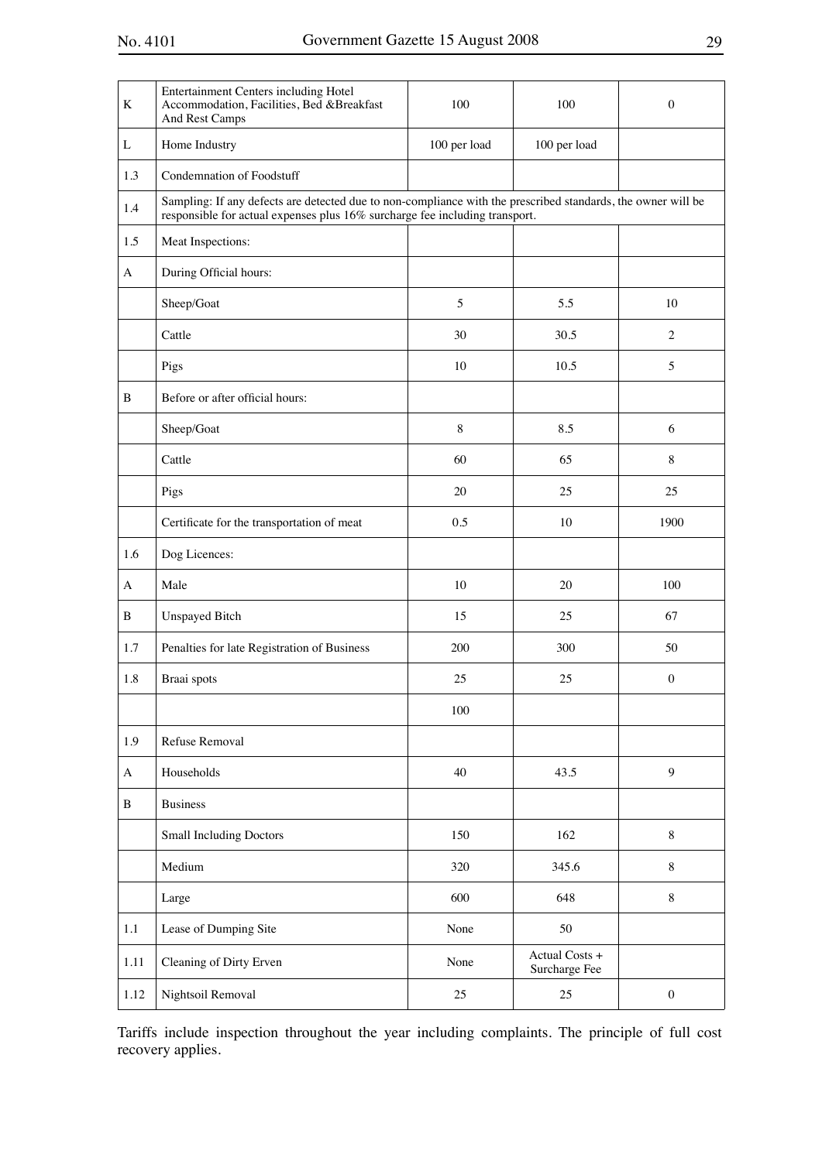| K    | <b>Entertainment Centers including Hotel</b><br>Accommodation, Facilities, Bed &Breakfast<br>And Rest Camps                                                                                 | 100          | 100                             | $\Omega$         |
|------|---------------------------------------------------------------------------------------------------------------------------------------------------------------------------------------------|--------------|---------------------------------|------------------|
| L    | Home Industry                                                                                                                                                                               | 100 per load | 100 per load                    |                  |
| 1.3  | Condemnation of Foodstuff                                                                                                                                                                   |              |                                 |                  |
| 1.4  | Sampling: If any defects are detected due to non-compliance with the prescribed standards, the owner will be<br>responsible for actual expenses plus 16% surcharge fee including transport. |              |                                 |                  |
| 1.5  | Meat Inspections:                                                                                                                                                                           |              |                                 |                  |
| A    | During Official hours:                                                                                                                                                                      |              |                                 |                  |
|      | Sheep/Goat                                                                                                                                                                                  | 5            | 5.5                             | 10               |
|      | Cattle                                                                                                                                                                                      | 30           | 30.5                            | $\mathbf{2}$     |
|      | Pigs                                                                                                                                                                                        | 10           | 10.5                            | 5                |
| B    | Before or after official hours:                                                                                                                                                             |              |                                 |                  |
|      | Sheep/Goat                                                                                                                                                                                  | $8\,$        | 8.5                             | 6                |
|      | Cattle                                                                                                                                                                                      | 60           | 65                              | $8\,$            |
|      | Pigs                                                                                                                                                                                        | 20           | 25                              | 25               |
|      | Certificate for the transportation of meat                                                                                                                                                  | 0.5          | 10                              | 1900             |
| 1.6  | Dog Licences:                                                                                                                                                                               |              |                                 |                  |
| A    | Male                                                                                                                                                                                        | 10           | 20                              | 100              |
| B    | <b>Unspayed Bitch</b>                                                                                                                                                                       | 15           | 25                              | 67               |
| 1.7  | Penalties for late Registration of Business                                                                                                                                                 | 200          | 300                             | 50               |
| 1.8  | Braai spots                                                                                                                                                                                 | 25           | 25                              | $\mathbf{0}$     |
|      |                                                                                                                                                                                             | 100          |                                 |                  |
| 1.9  | Refuse Removal                                                                                                                                                                              |              |                                 |                  |
| A    | Households                                                                                                                                                                                  | 40           | 43.5                            | 9                |
| B    | <b>Business</b>                                                                                                                                                                             |              |                                 |                  |
|      | <b>Small Including Doctors</b>                                                                                                                                                              | 150          | 162                             | $\,8\,$          |
|      | Medium                                                                                                                                                                                      | 320          | 345.6                           | $\,8\,$          |
|      | Large                                                                                                                                                                                       | 600          | 648                             | $\,8\,$          |
| 1.1  | Lease of Dumping Site                                                                                                                                                                       | None         | 50                              |                  |
| 1.11 | Cleaning of Dirty Erven                                                                                                                                                                     | None         | Actual Costs +<br>Surcharge Fee |                  |
| 1.12 | Nightsoil Removal                                                                                                                                                                           | $25\,$       | 25                              | $\boldsymbol{0}$ |

Tariffs include inspection throughout the year including complaints. The principle of full cost recovery applies.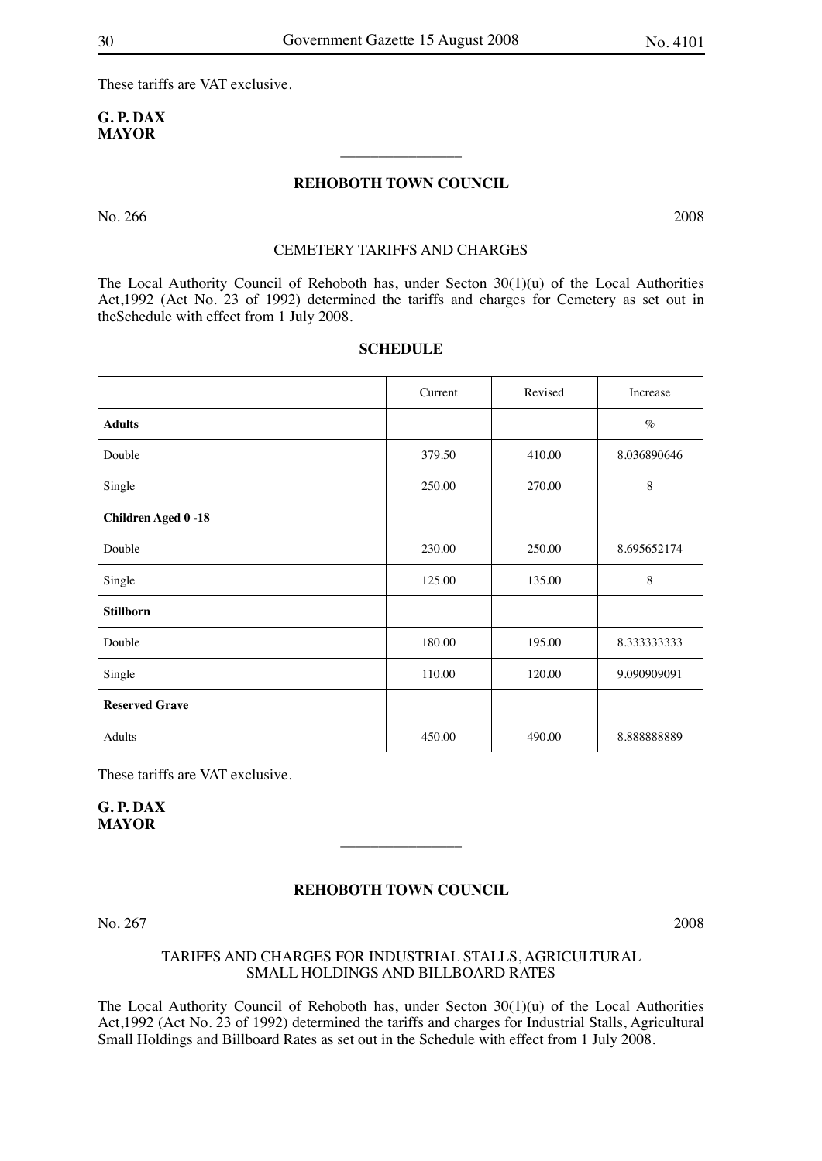These tariffs are VAT exclusive.

## **G. P. DAX MAYOR**

## **REHOBOTH TOWN COUNCIL**

 $\overline{\phantom{a}}$  , where  $\overline{\phantom{a}}$ 

No. 266 2008

## CEMETERY TARIFFS AND CHARGES

The Local Authority Council of Rehoboth has, under Secton 30(1)(u) of the Local Authorities Act,1992 (Act No. 23 of 1992) determined the tariffs and charges for Cemetery as set out in theSchedule with effect from 1 July 2008.

|                           | Current | Revised | Increase    |
|---------------------------|---------|---------|-------------|
| <b>Adults</b>             |         |         | %           |
| Double                    | 379.50  | 410.00  | 8.036890646 |
| Single                    | 250.00  | 270.00  | 8           |
| <b>Children Aged 0-18</b> |         |         |             |
| Double                    | 230.00  | 250.00  | 8.695652174 |
| Single                    | 125.00  | 135.00  | $\,$ 8 $\,$ |
| <b>Stillborn</b>          |         |         |             |
| Double                    | 180.00  | 195.00  | 8.333333333 |
| Single                    | 110.00  | 120.00  | 9.090909091 |
| <b>Reserved Grave</b>     |         |         |             |
| Adults                    | 450.00  | 490.00  | 8.88888889  |

#### **SCHEDULE**

These tariffs are VAT exclusive.

**G. P. DAX MAYOR**

#### **REHOBOTH TOWN COUNCIL**

 $\overline{\phantom{a}}$  , where  $\overline{\phantom{a}}$ 

No. 267 2008

## TARIFFS AND CHARGES FOR INDUSTRIAL STALLS, AGRICULTURAL SMALL HOLDINGS AND BILLBOARD RATES

The Local Authority Council of Rehoboth has, under Secton  $30(1)(u)$  of the Local Authorities Act,1992 (Act No. 23 of 1992) determined the tariffs and charges for Industrial Stalls, Agricultural Small Holdings and Billboard Rates as set out in the Schedule with effect from 1 July 2008.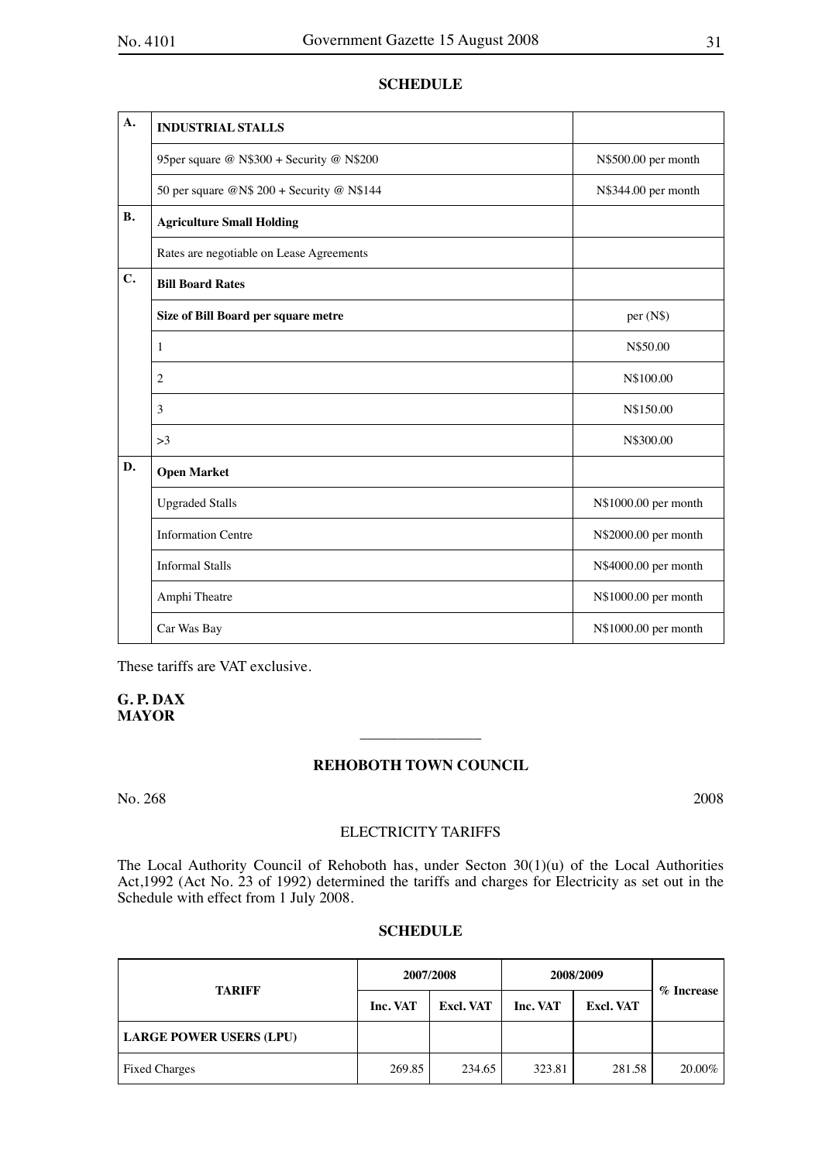## **SCHEDULE**

| $\mathbf{A}$ . | <b>INDUSTRIAL STALLS</b>                   |                      |
|----------------|--------------------------------------------|----------------------|
|                | 95per square @ N\$300 + Security @ N\$200  | N\$500.00 per month  |
|                | 50 per square @N\$ 200 + Security @ N\$144 | N\$344.00 per month  |
| <b>B.</b>      | <b>Agriculture Small Holding</b>           |                      |
|                | Rates are negotiable on Lease Agreements   |                      |
| C.             | <b>Bill Board Rates</b>                    |                      |
|                | Size of Bill Board per square metre        | per (N\$)            |
|                | 1                                          | N\$50.00             |
|                | $\overline{2}$                             | N\$100.00            |
|                | 3                                          | N\$150.00            |
|                | >3                                         | N\$300.00            |
| D.             | <b>Open Market</b>                         |                      |
|                | <b>Upgraded Stalls</b>                     | N\$1000.00 per month |
|                | <b>Information Centre</b>                  | N\$2000.00 per month |
|                | <b>Informal Stalls</b>                     | N\$4000.00 per month |
|                | Amphi Theatre                              | N\$1000.00 per month |
|                | Car Was Bay                                | N\$1000.00 per month |

These tariffs are VAT exclusive.

## **G. P. DAX MAYOR**

## **REHOBOTH TOWN COUNCIL**

 $\overline{\phantom{a}}$  , where  $\overline{\phantom{a}}$ 

No. 268 2008

## ELECTRICITY TARIFFS

The Local Authority Council of Rehoboth has, under Secton 30(1)(u) of the Local Authorities Act,1992 (Act No. 23 of 1992) determined the tariffs and charges for Electricity as set out in the Schedule with effect from 1 July 2008.

## **SCHEDULE**

|                                | 2007/2008 |                  | 2008/2009 |                  |               |
|--------------------------------|-----------|------------------|-----------|------------------|---------------|
| <b>TARIFF</b>                  | Inc. VAT  | <b>Excl. VAT</b> | Inc. VAT  | <b>Excl. VAT</b> | $\%$ Increase |
| <b>LARGE POWER USERS (LPU)</b> |           |                  |           |                  |               |
| <b>Fixed Charges</b>           | 269.85    | 234.65           | 323.81    | 281.58           | 20.00%        |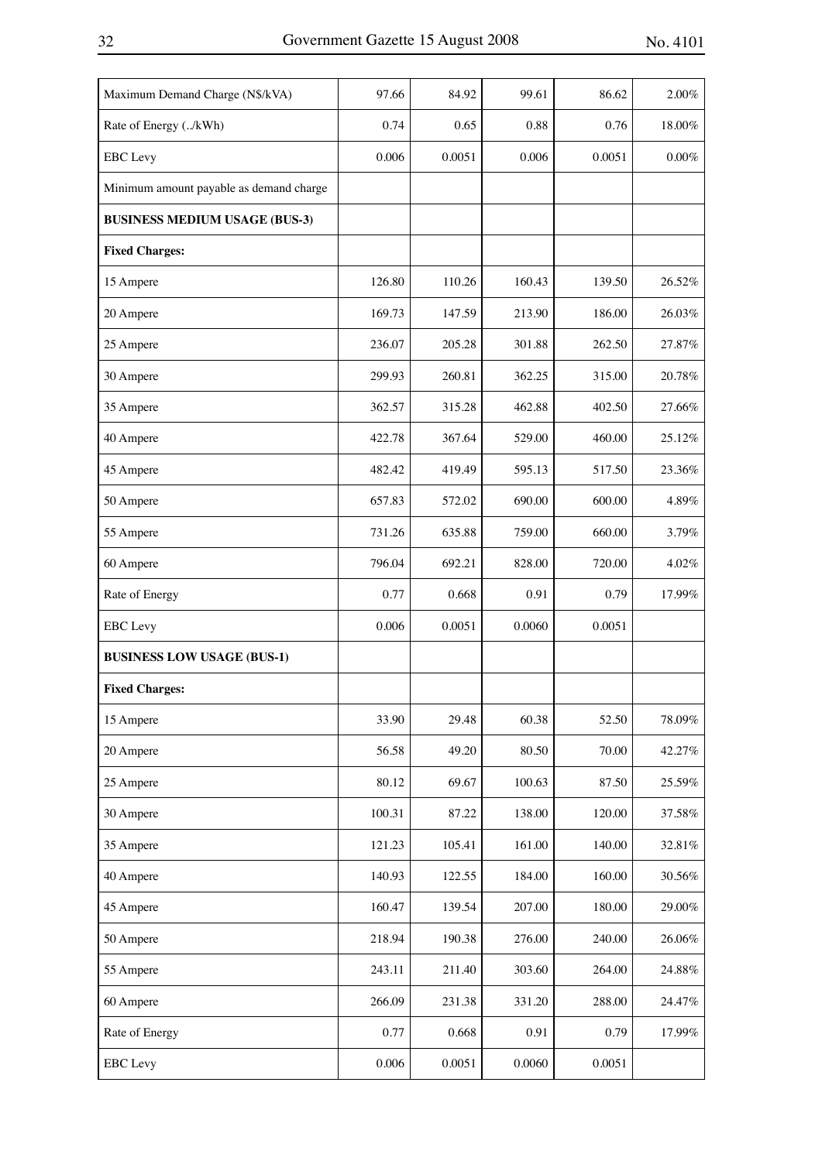| Maximum Demand Charge (N\$/kVA)         | 97.66  | 84.92  | 99.61  | 86.62  | 2.00%     |
|-----------------------------------------|--------|--------|--------|--------|-----------|
| Rate of Energy (/kWh)                   | 0.74   | 0.65   | 0.88   | 0.76   | 18.00%    |
| <b>EBC</b> Levy                         | 0.006  | 0.0051 | 0.006  | 0.0051 | $0.00\%$  |
| Minimum amount payable as demand charge |        |        |        |        |           |
| <b>BUSINESS MEDIUM USAGE (BUS-3)</b>    |        |        |        |        |           |
| <b>Fixed Charges:</b>                   |        |        |        |        |           |
| 15 Ampere                               | 126.80 | 110.26 | 160.43 | 139.50 | 26.52%    |
| 20 Ampere                               | 169.73 | 147.59 | 213.90 | 186.00 | 26.03%    |
| 25 Ampere                               | 236.07 | 205.28 | 301.88 | 262.50 | 27.87%    |
| 30 Ampere                               | 299.93 | 260.81 | 362.25 | 315.00 | 20.78%    |
| 35 Ampere                               | 362.57 | 315.28 | 462.88 | 402.50 | 27.66%    |
| 40 Ampere                               | 422.78 | 367.64 | 529.00 | 460.00 | 25.12%    |
| 45 Ampere                               | 482.42 | 419.49 | 595.13 | 517.50 | 23.36%    |
| 50 Ampere                               | 657.83 | 572.02 | 690.00 | 600.00 | 4.89%     |
| 55 Ampere                               | 731.26 | 635.88 | 759.00 | 660.00 | 3.79%     |
| 60 Ampere                               | 796.04 | 692.21 | 828.00 | 720.00 | 4.02%     |
| Rate of Energy                          | 0.77   | 0.668  | 0.91   | 0.79   | 17.99%    |
| <b>EBC</b> Levy                         | 0.006  | 0.0051 | 0.0060 | 0.0051 |           |
| <b>BUSINESS LOW USAGE (BUS-1)</b>       |        |        |        |        |           |
| <b>Fixed Charges:</b>                   |        |        |        |        |           |
| 15 Ampere                               | 33.90  | 29.48  | 60.38  | 52.50  | $78.09\%$ |
| 20 Ampere                               | 56.58  | 49.20  | 80.50  | 70.00  | 42.27%    |
| 25 Ampere                               | 80.12  | 69.67  | 100.63 | 87.50  | 25.59%    |
| 30 Ampere                               | 100.31 | 87.22  | 138.00 | 120.00 | 37.58%    |
| 35 Ampere                               | 121.23 | 105.41 | 161.00 | 140.00 | 32.81%    |
| 40 Ampere                               | 140.93 | 122.55 | 184.00 | 160.00 | $30.56\%$ |
| 45 Ampere                               | 160.47 | 139.54 | 207.00 | 180.00 | $29.00\%$ |
| 50 Ampere                               | 218.94 | 190.38 | 276.00 | 240.00 | $26.06\%$ |
| 55 Ampere                               | 243.11 | 211.40 | 303.60 | 264.00 | $24.88\%$ |
| 60 Ampere                               | 266.09 | 231.38 | 331.20 | 288.00 | 24.47%    |
| Rate of Energy                          | 0.77   | 0.668  | 0.91   | 0.79   | 17.99%    |
| <b>EBC</b> Levy                         | 0.006  | 0.0051 | 0.0060 | 0.0051 |           |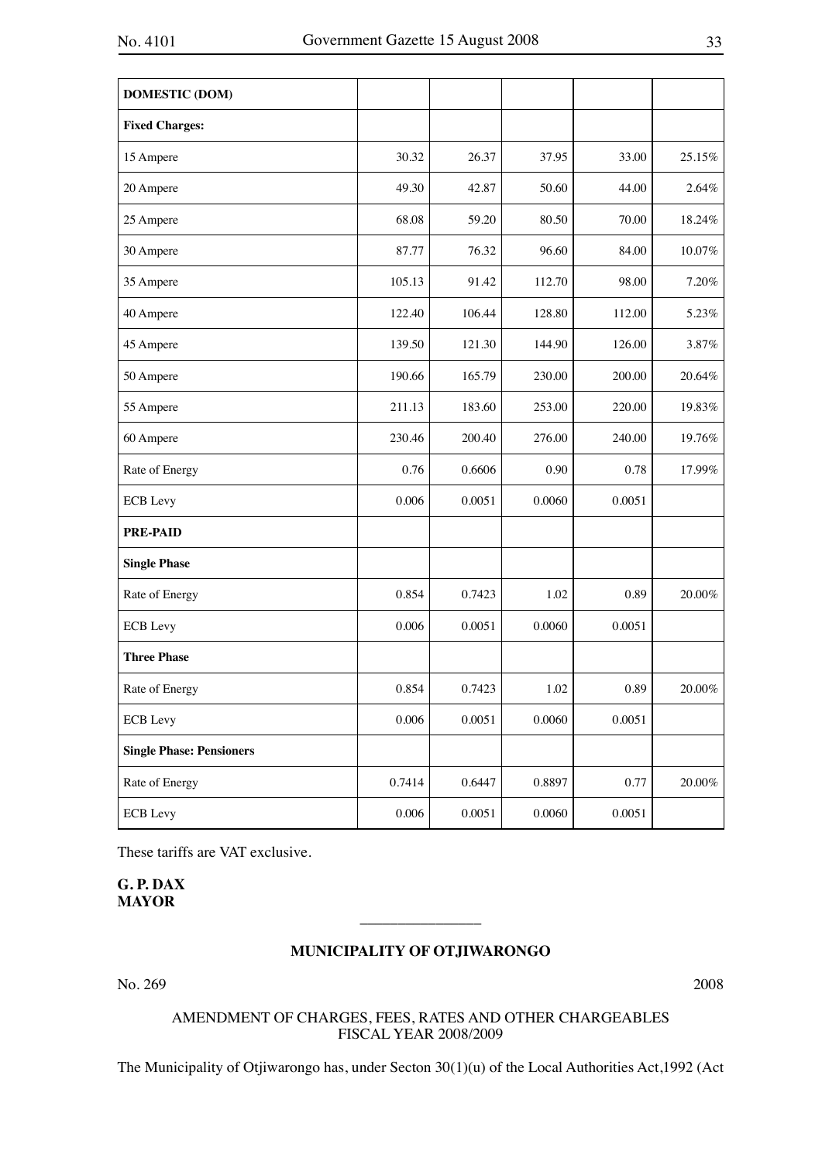| <b>DOMESTIC (DOM)</b>           |        |        |        |        |           |
|---------------------------------|--------|--------|--------|--------|-----------|
| <b>Fixed Charges:</b>           |        |        |        |        |           |
| 15 Ampere                       | 30.32  | 26.37  | 37.95  | 33.00  | 25.15%    |
| 20 Ampere                       | 49.30  | 42.87  | 50.60  | 44.00  | 2.64%     |
| 25 Ampere                       | 68.08  | 59.20  | 80.50  | 70.00  | 18.24%    |
| 30 Ampere                       | 87.77  | 76.32  | 96.60  | 84.00  | $10.07\%$ |
| 35 Ampere                       | 105.13 | 91.42  | 112.70 | 98.00  | 7.20%     |
| 40 Ampere                       | 122.40 | 106.44 | 128.80 | 112.00 | 5.23%     |
| 45 Ampere                       | 139.50 | 121.30 | 144.90 | 126.00 | 3.87%     |
| 50 Ampere                       | 190.66 | 165.79 | 230.00 | 200.00 | 20.64%    |
| 55 Ampere                       | 211.13 | 183.60 | 253.00 | 220.00 | 19.83%    |
| 60 Ampere                       | 230.46 | 200.40 | 276.00 | 240.00 | 19.76%    |
| Rate of Energy                  | 0.76   | 0.6606 | 0.90   | 0.78   | 17.99%    |
| <b>ECB</b> Levy                 | 0.006  | 0.0051 | 0.0060 | 0.0051 |           |
| <b>PRE-PAID</b>                 |        |        |        |        |           |
| <b>Single Phase</b>             |        |        |        |        |           |
| Rate of Energy                  | 0.854  | 0.7423 | 1.02   | 0.89   | 20.00%    |
| <b>ECB</b> Levy                 | 0.006  | 0.0051 | 0.0060 | 0.0051 |           |
| <b>Three Phase</b>              |        |        |        |        |           |
| Rate of Energy                  | 0.854  | 0.7423 | 1.02   | 0.89   | 20.00%    |
| <b>ECB</b> Levy                 | 0.006  | 0.0051 | 0.0060 | 0.0051 |           |
| <b>Single Phase: Pensioners</b> |        |        |        |        |           |
| Rate of Energy                  | 0.7414 | 0.6447 | 0.8897 | 0.77   | $20.00\%$ |
| <b>ECB</b> Levy                 | 0.006  | 0.0051 | 0.0060 | 0.0051 |           |

These tariffs are VAT exclusive.

**G. P. DAX MAYOR**

## **MUNICIPALITY OF OTJIWARONGO**

 $\overline{\phantom{a}}$  , where  $\overline{\phantom{a}}$ 

No. 269 2008

## AMENDMENT OF CHARGES, FEES, RATES AND OTHER CHARGEABLES FISCAL YEAR 2008/2009

The Municipality of Otjiwarongo has, under Secton 30(1)(u) of the Local Authorities Act,1992 (Act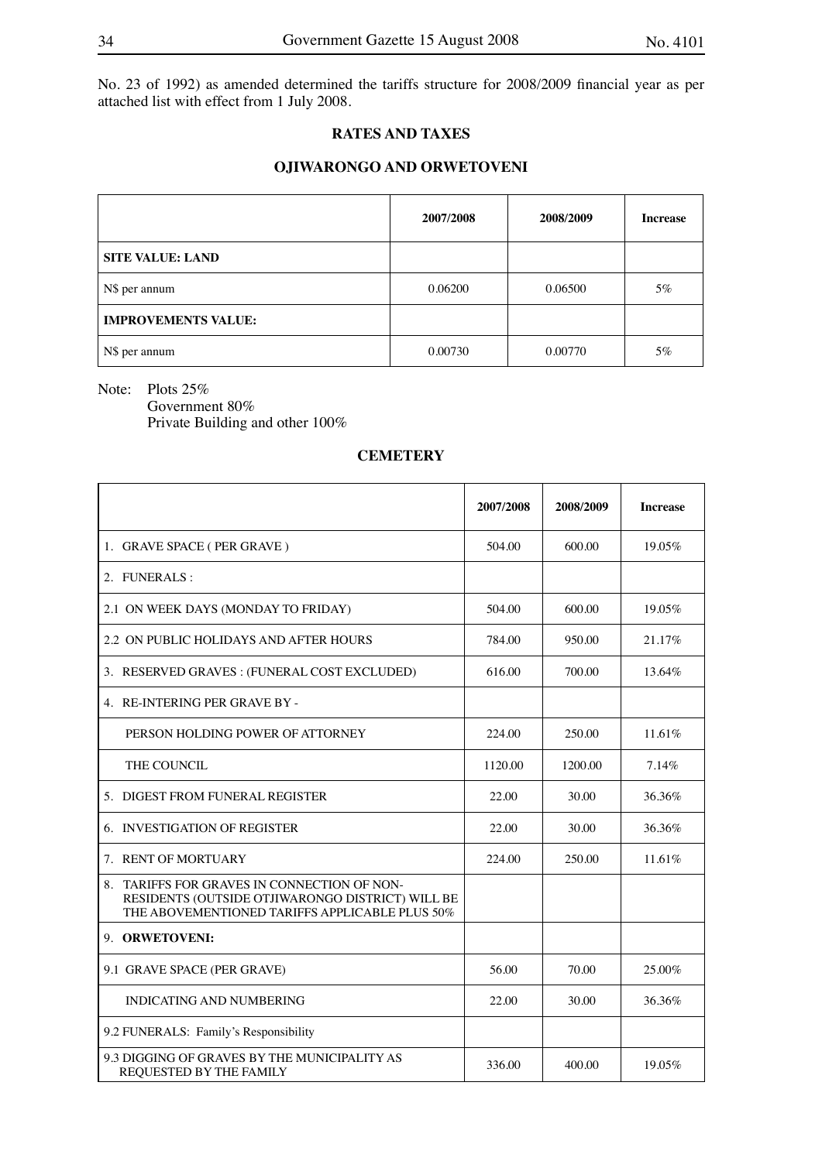No. 23 of 1992) as amended determined the tariffs structure for 2008/2009 financial year as per attached list with effect from 1 July 2008.

## **RATES AND TAXES**

## **OJIWARONGO AND ORWETOVENI**

|                            | 2007/2008 | 2008/2009 | <b>Increase</b> |
|----------------------------|-----------|-----------|-----------------|
| <b>SITE VALUE: LAND</b>    |           |           |                 |
| N\$ per annum              | 0.06200   | 0.06500   | 5%              |
| <b>IMPROVEMENTS VALUE:</b> |           |           |                 |
| N\$ per annum              | 0.00730   | 0.00770   | 5%              |

Note: Plots 25%

Government 80% Private Building and other 100%

## **CEMETERY**

|                                                                                                                                                   | 2007/2008 | 2008/2009 | <b>Increase</b> |
|---------------------------------------------------------------------------------------------------------------------------------------------------|-----------|-----------|-----------------|
| 1. GRAVE SPACE (PER GRAVE)                                                                                                                        | 504.00    | 600.00    | 19.05%          |
| 2. FUNERALS:                                                                                                                                      |           |           |                 |
| 2.1 ON WEEK DAYS (MONDAY TO FRIDAY)                                                                                                               | 504.00    | 600.00    | 19.05%          |
| 2.2 ON PUBLIC HOLIDAYS AND AFTER HOURS                                                                                                            | 784.00    | 950.00    | 21.17%          |
| 3. RESERVED GRAVES : (FUNERAL COST EXCLUDED)                                                                                                      | 616.00    | 700.00    | 13.64%          |
| 4. RE-INTERING PER GRAVE BY -                                                                                                                     |           |           |                 |
| PERSON HOLDING POWER OF ATTORNEY                                                                                                                  | 224.00    | 250.00    | 11.61%          |
| THE COUNCIL                                                                                                                                       | 1120.00   | 1200.00   | 7.14%           |
| 5. DIGEST FROM FUNERAL REGISTER                                                                                                                   | 22.00     | 30.00     | 36.36%          |
| 6. INVESTIGATION OF REGISTER                                                                                                                      | 22.00     | 30.00     | 36.36%          |
| 7. RENT OF MORTUARY                                                                                                                               | 224.00    | 250.00    | 11.61%          |
| 8. TARIFFS FOR GRAVES IN CONNECTION OF NON-<br>RESIDENTS (OUTSIDE OTJIWARONGO DISTRICT) WILL BE<br>THE ABOVEMENTIONED TARIFFS APPLICABLE PLUS 50% |           |           |                 |
| 9. ORWETOVENI:                                                                                                                                    |           |           |                 |
| 9.1 GRAVE SPACE (PER GRAVE)                                                                                                                       | 56.00     | 70.00     | 25.00%          |
| <b>INDICATING AND NUMBERING</b>                                                                                                                   | 22.00     | 30.00     | 36.36%          |
| 9.2 FUNERALS: Family's Responsibility                                                                                                             |           |           |                 |
| 9.3 DIGGING OF GRAVES BY THE MUNICIPALITY AS<br><b>REQUESTED BY THE FAMILY</b>                                                                    | 336.00    | 400.00    | 19.05%          |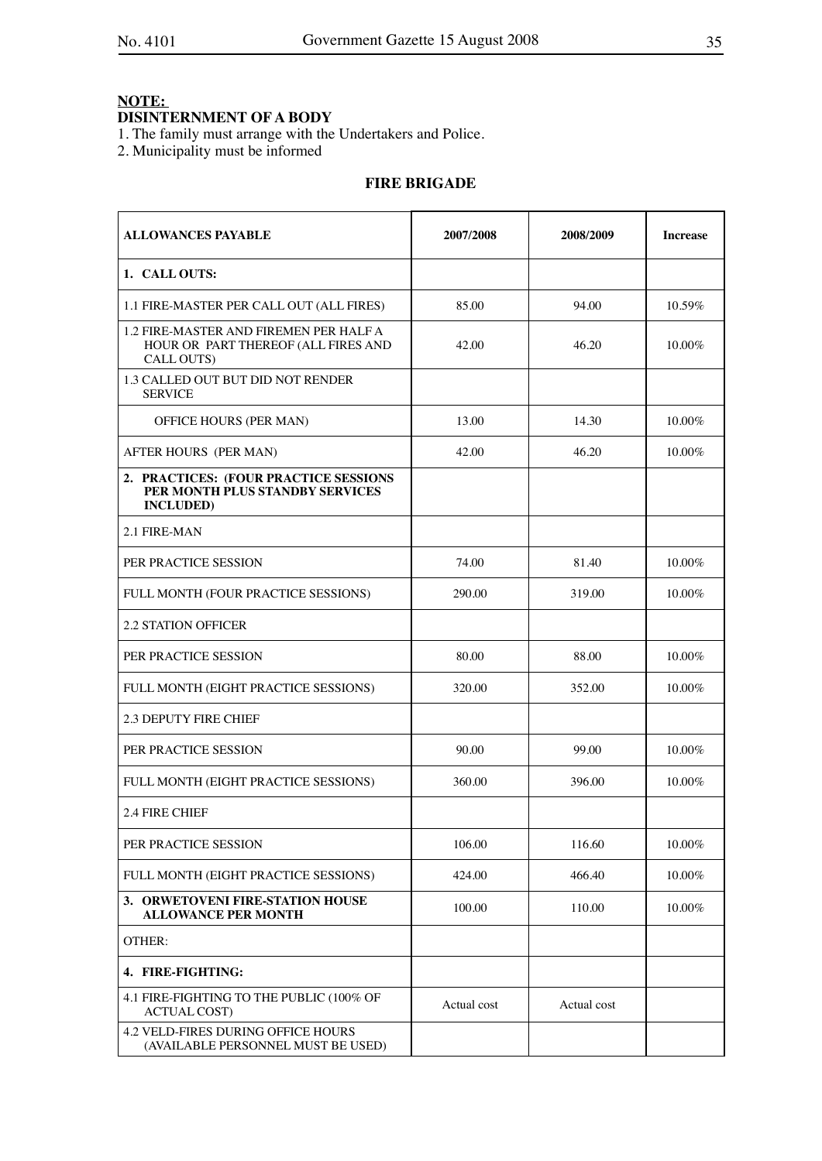## **DISINTERNMENT OF A BODY**

1. The family must arrange with the Undertakers and Police.

2. Municipality must be informed

## **FIRE BRIGADE**

| <b>ALLOWANCES PAYABLE</b>                                                                     | 2007/2008   | 2008/2009   | <b>Increase</b> |
|-----------------------------------------------------------------------------------------------|-------------|-------------|-----------------|
| 1. CALL OUTS:                                                                                 |             |             |                 |
| 1.1 FIRE-MASTER PER CALL OUT (ALL FIRES)                                                      | 85.00       | 94.00       | 10.59%          |
| 1.2 FIRE-MASTER AND FIREMEN PER HALF A<br>HOUR OR PART THEREOF (ALL FIRES AND<br>CALL OUTS)   | 42.00       | 46.20       | 10.00%          |
| <b>1.3 CALLED OUT BUT DID NOT RENDER</b><br><b>SERVICE</b>                                    |             |             |                 |
| OFFICE HOURS (PER MAN)                                                                        | 13.00       | 14.30       | 10.00%          |
| AFTER HOURS (PER MAN)                                                                         | 42.00       | 46.20       | 10.00%          |
| 2. PRACTICES: (FOUR PRACTICE SESSIONS<br>PER MONTH PLUS STANDBY SERVICES<br><b>INCLUDED</b> ) |             |             |                 |
| 2.1 FIRE-MAN                                                                                  |             |             |                 |
| PER PRACTICE SESSION                                                                          | 74.00       | 81.40       | $10.00\%$       |
| FULL MONTH (FOUR PRACTICE SESSIONS)                                                           | 290.00      | 319.00      | 10.00%          |
| <b>2.2 STATION OFFICER</b>                                                                    |             |             |                 |
| PER PRACTICE SESSION                                                                          | 80.00       | 88.00       | 10.00%          |
| FULL MONTH (EIGHT PRACTICE SESSIONS)                                                          | 320.00      | 352.00      | 10.00%          |
| <b>2.3 DEPUTY FIRE CHIEF</b>                                                                  |             |             |                 |
| PER PRACTICE SESSION                                                                          | 90.00       | 99.00       | 10.00%          |
| FULL MONTH (EIGHT PRACTICE SESSIONS)                                                          | 360.00      | 396.00      | 10.00%          |
| 2.4 FIRE CHIEF                                                                                |             |             |                 |
| PER PRACTICE SESSION                                                                          | 106.00      | 116.60      | 10.00%          |
| FULL MONTH (EIGHT PRACTICE SESSIONS)                                                          | 424.00      | 466.40      | 10.00%          |
| 3. ORWETOVENI FIRE-STATION HOUSE<br><b>ALLOWANCE PER MONTH</b>                                | 100.00      | 110.00      | 10.00%          |
| OTHER:                                                                                        |             |             |                 |
| 4. FIRE-FIGHTING:                                                                             |             |             |                 |
| 4.1 FIRE-FIGHTING TO THE PUBLIC (100% OF<br><b>ACTUAL COST)</b>                               | Actual cost | Actual cost |                 |
| <b>4.2 VELD-FIRES DURING OFFICE HOURS</b><br>(AVAILABLE PERSONNEL MUST BE USED)               |             |             |                 |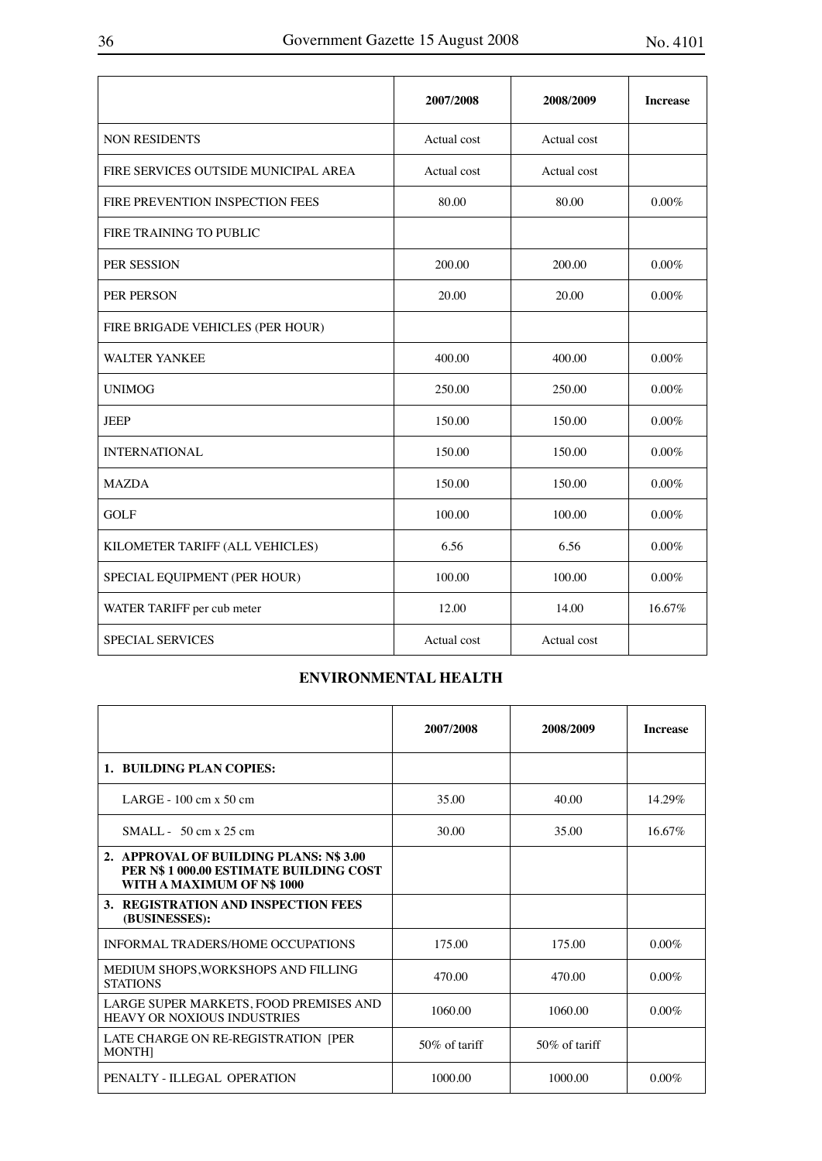|                                      | 2007/2008   | 2008/2009   | <b>Increase</b> |
|--------------------------------------|-------------|-------------|-----------------|
| <b>NON RESIDENTS</b>                 | Actual cost | Actual cost |                 |
| FIRE SERVICES OUTSIDE MUNICIPAL AREA | Actual cost | Actual cost |                 |
| FIRE PREVENTION INSPECTION FEES      | 80.00       | 80.00       | $0.00\%$        |
| FIRE TRAINING TO PUBLIC              |             |             |                 |
| PER SESSION                          | 200.00      | 200.00      | $0.00\%$        |
| PER PERSON                           | 20.00       | 20.00       | $0.00\%$        |
| FIRE BRIGADE VEHICLES (PER HOUR)     |             |             |                 |
| <b>WALTER YANKEE</b>                 | 400.00      | 400.00      | $0.00\%$        |
| <b>UNIMOG</b>                        | 250.00      | 250.00      | $0.00\%$        |
| <b>JEEP</b>                          | 150.00      | 150.00      | $0.00\%$        |
| <b>INTERNATIONAL</b>                 | 150.00      | 150.00      | $0.00\%$        |
| <b>MAZDA</b>                         | 150.00      | 150.00      | $0.00\%$        |
| <b>GOLF</b>                          | 100.00      | 100.00      | $0.00\%$        |
| KILOMETER TARIFF (ALL VEHICLES)      | 6.56        | 6.56        | $0.00\%$        |
| SPECIAL EQUIPMENT (PER HOUR)         | 100.00      | 100.00      | $0.00\%$        |
| WATER TARIFF per cub meter           | 12.00       | 14.00       | 16.67%          |
| <b>SPECIAL SERVICES</b>              | Actual cost | Actual cost |                 |

## **ENVIRONMENTAL HEALTH**

|                                                                                                                | 2007/2008        | 2008/2009        | <b>Increase</b> |
|----------------------------------------------------------------------------------------------------------------|------------------|------------------|-----------------|
| 1. BUILDING PLAN COPIES:                                                                                       |                  |                  |                 |
| LARGE - $100 \text{ cm} x 50 \text{ cm}$                                                                       | 35.00            | 40.00            | 14.29%          |
| $SMAIL - 50 cm x 25 cm$                                                                                        | 30.00            | 35.00            | 16.67%          |
| 2. APPROVAL OF BUILDING PLANS: N\$3.00<br>PER N\$ 1 000.00 ESTIMATE BUILDING COST<br>WITH A MAXIMUM OF N\$1000 |                  |                  |                 |
| 3. REGISTRATION AND INSPECTION FEES<br>(BUSINESSES):                                                           |                  |                  |                 |
| INFORMAL TRADERS/HOME OCCUPATIONS                                                                              | 175.00           | 175.00           | $0.00\%$        |
| MEDIUM SHOPS, WORKSHOPS AND FILLING<br><b>STATIONS</b>                                                         | 470.00           | 470.00           | $0.00\%$        |
| LARGE SUPER MARKETS, FOOD PREMISES AND<br><b>HEAVY OR NOXIOUS INDUSTRIES</b>                                   | 1060.00          | 1060.00          | $0.00\%$        |
| LATE CHARGE ON RE-REGISTRATION [PER<br><b>MONTHI</b>                                                           | $50\%$ of tariff | $50\%$ of tariff |                 |
| PENALTY - ILLEGAL, OPERATION                                                                                   | 1000.00          | 1000.00          | $0.00\%$        |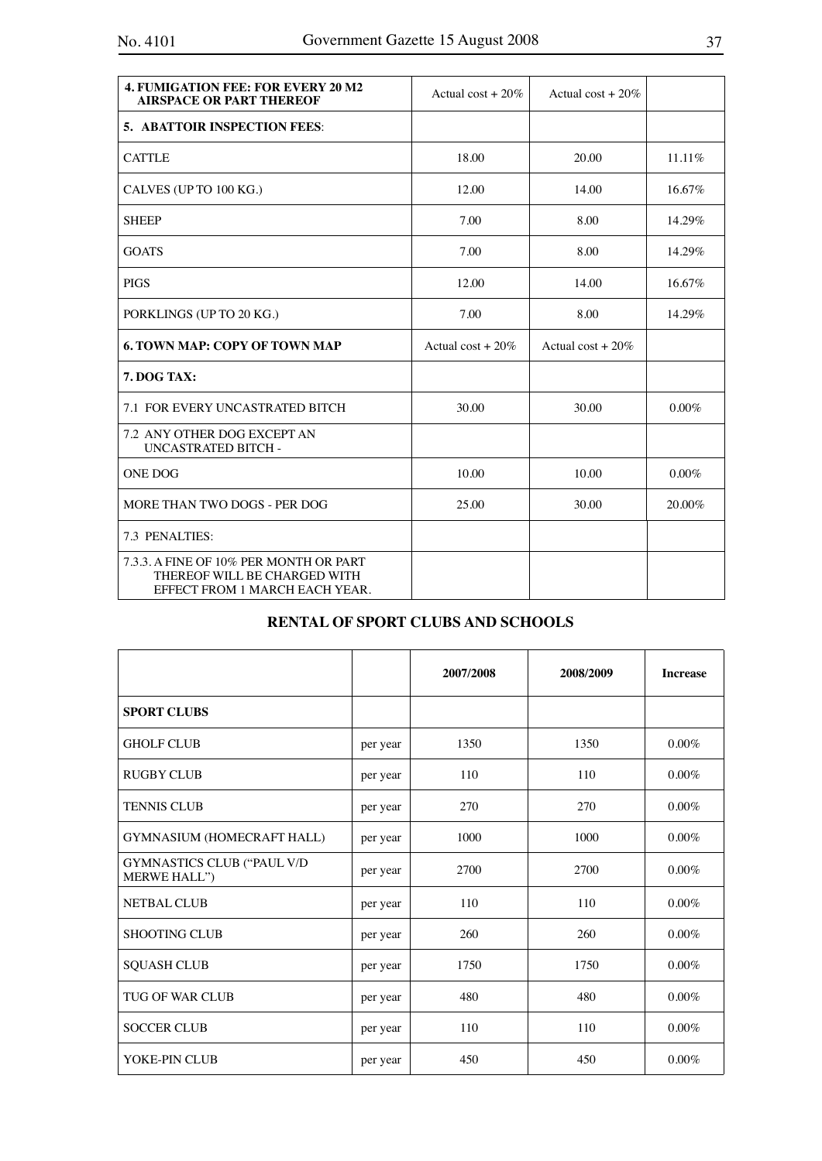| <b>4. FUMIGATION FEE: FOR EVERY 20 M2</b><br><b>AIRSPACE OR PART THEREOF</b>                             | Actual cost + $20\%$ | Actual cost + $20\%$ |          |
|----------------------------------------------------------------------------------------------------------|----------------------|----------------------|----------|
| <b>5. ABATTOIR INSPECTION FEES:</b>                                                                      |                      |                      |          |
| <b>CATTLE</b>                                                                                            | 18.00                | 20.00                | 11.11%   |
| CALVES (UP TO 100 KG.)                                                                                   | 12.00                | 14.00                | 16.67%   |
| <b>SHEEP</b>                                                                                             | 7.00                 | 8.00                 | 14.29%   |
| <b>GOATS</b>                                                                                             | 7.00                 | 8.00                 | 14.29%   |
| <b>PIGS</b>                                                                                              | 12.00                | 14.00                | 16.67%   |
| PORKLINGS (UP TO 20 KG.)                                                                                 | 7.00                 | 8.00                 | 14.29%   |
| <b>6. TOWN MAP: COPY OF TOWN MAP</b>                                                                     | Actual cost + $20\%$ | Actual cost + $20\%$ |          |
| 7. DOG TAX:                                                                                              |                      |                      |          |
| <b>7.1 FOR EVERY UNCASTRATED BITCH</b>                                                                   | 30.00                | 30.00                | $0.00\%$ |
| <b>7.2 ANY OTHER DOG EXCEPT AN</b><br><b>UNCASTRATED BITCH -</b>                                         |                      |                      |          |
| <b>ONE DOG</b>                                                                                           | 10.00                | 10.00                | $0.00\%$ |
| MORE THAN TWO DOGS - PER DOG                                                                             | 25.00                | 30.00                | 20.00%   |
| 7.3 PENALTIES:                                                                                           |                      |                      |          |
| 7.3.3. A FINE OF 10% PER MONTH OR PART<br>THEREOF WILL BE CHARGED WITH<br>EFFECT FROM 1 MARCH EACH YEAR. |                      |                      |          |

## **RENTAL OF SPORT CLUBS AND SCHOOLS**

|                                                   |          | 2007/2008 | 2008/2009 | <b>Increase</b> |
|---------------------------------------------------|----------|-----------|-----------|-----------------|
| <b>SPORT CLUBS</b>                                |          |           |           |                 |
| <b>GHOLF CLUB</b>                                 | per year | 1350      | 1350      | $0.00\%$        |
| <b>RUGBY CLUB</b>                                 | per year | 110       | 110       | $0.00\%$        |
| <b>TENNIS CLUB</b>                                | per year | 270       | 270       | $0.00\%$        |
| GYMNASIUM (HOMECRAFT HALL)                        | per year | 1000      | 1000      | $0.00\%$        |
| <b>GYMNASTICS CLUB ("PAUL V/D</b><br>MERWE HALL") | per year | 2700      | 2700      | $0.00\%$        |
| <b>NETBAL CLUB</b>                                | per year | 110       | 110       | $0.00\%$        |
| <b>SHOOTING CLUB</b>                              | per year | 260       | 260       | $0.00\%$        |
| <b>SQUASH CLUB</b>                                | per year | 1750      | 1750      | $0.00\%$        |
| <b>TUG OF WAR CLUB</b>                            | per year | 480       | 480       | $0.00\%$        |
| <b>SOCCER CLUB</b>                                | per year | 110       | 110       | $0.00\%$        |
| YOKE-PIN CLUB                                     | per year | 450       | 450       | $0.00\%$        |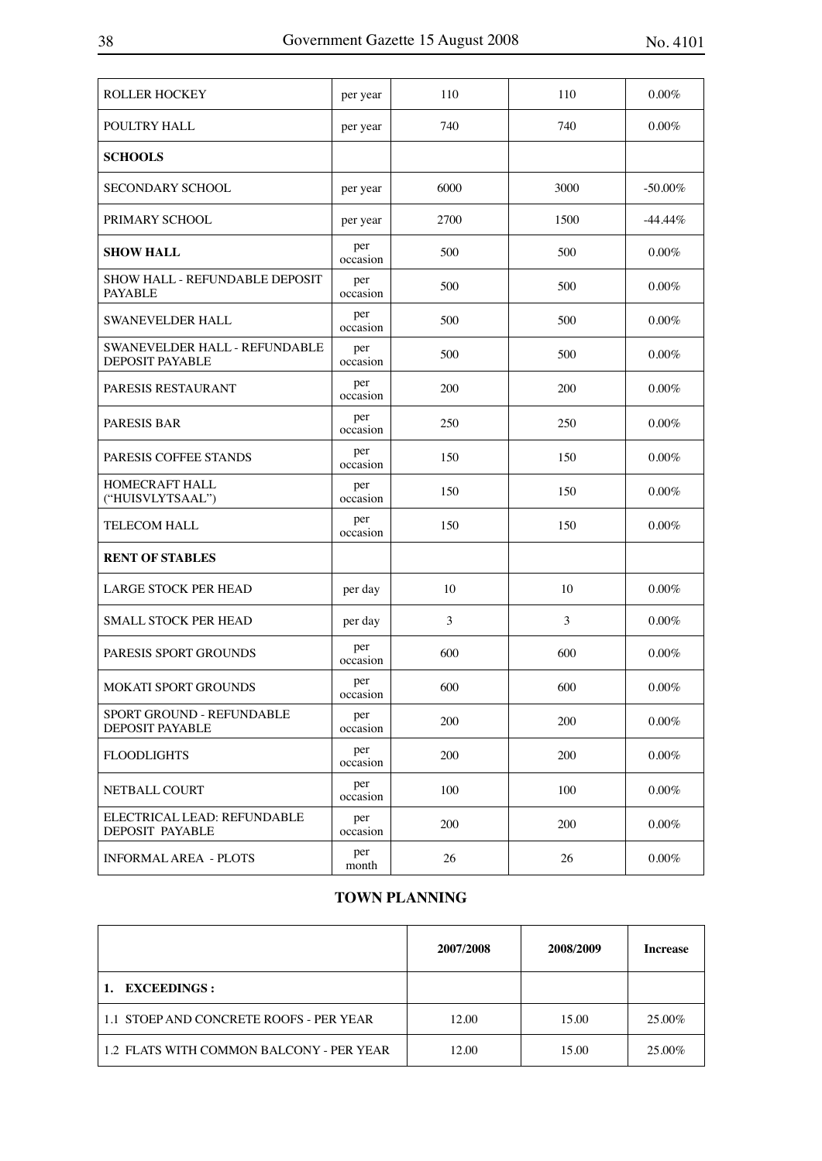| <b>ROLLER HOCKEY</b>                                    | per year        | 110  | 110  | 0.00%      |
|---------------------------------------------------------|-----------------|------|------|------------|
| POULTRY HALL                                            | per year        | 740  | 740  | $0.00\%$   |
| <b>SCHOOLS</b>                                          |                 |      |      |            |
| <b>SECONDARY SCHOOL</b>                                 | per year        | 6000 | 3000 | $-50.00\%$ |
| PRIMARY SCHOOL                                          | per year        | 2700 | 1500 | $-44.44\%$ |
| <b>SHOW HALL</b>                                        | per<br>occasion | 500  | 500  | $0.00\%$   |
| <b>SHOW HALL - REFUNDABLE DEPOSIT</b><br><b>PAYABLE</b> | per<br>occasion | 500  | 500  | $0.00\%$   |
| <b>SWANEVELDER HALL</b>                                 | per<br>occasion | 500  | 500  | 0.00%      |
| SWANEVELDER HALL - REFUNDABLE<br><b>DEPOSIT PAYABLE</b> | per<br>occasion | 500  | 500  | 0.00%      |
| PARESIS RESTAURANT                                      | per<br>occasion | 200  | 200  | $0.00\%$   |
| <b>PARESIS BAR</b>                                      | per<br>occasion | 250  | 250  | $0.00\%$   |
| PARESIS COFFEE STANDS                                   | per<br>occasion | 150  | 150  | $0.00\%$   |
| HOMECRAFT HALL<br>("HUISVLYTSAAL")                      | per<br>occasion | 150  | 150  | $0.00\%$   |
| <b>TELECOM HALL</b>                                     | per<br>occasion | 150  | 150  | 0.00%      |
| <b>RENT OF STABLES</b>                                  |                 |      |      |            |
| LARGE STOCK PER HEAD                                    | per day         | 10   | 10   | $0.00\%$   |
| <b>SMALL STOCK PER HEAD</b>                             | per day         | 3    | 3    | $0.00\%$   |
| PARESIS SPORT GROUNDS                                   | per<br>occasion | 600  | 600  | $0.00\%$   |
| <b>MOKATI SPORT GROUNDS</b>                             | per<br>occasion | 600  | 600  | $0.00\%$   |
| SPORT GROUND - REFUNDABLE<br>DEPOSIT PAYABLE            | per<br>occasion | 200  | 200  | $0.00\%$   |
| <b>FLOODLIGHTS</b>                                      | per<br>occasion | 200  | 200  | $0.00\%$   |
| NETBALL COURT                                           | per<br>occasion | 100  | 100  | $0.00\%$   |
| ELECTRICAL LEAD: REFUNDABLE<br>DEPOSIT PAYABLE          | per<br>occasion | 200  | 200  | $0.00\%$   |
| <b>INFORMAL AREA - PLOTS</b>                            | per<br>month    | 26   | 26   | $0.00\%$   |

## **TOWN PLANNING**

|                                          | 2007/2008 | 2008/2009 | <b>Increase</b> |
|------------------------------------------|-----------|-----------|-----------------|
| <b>EXCEEDINGS:</b>                       |           |           |                 |
| 1.1 STOEP AND CONCRETE ROOFS - PER YEAR  | 12.00     | 15.00     | 25.00%          |
| 1.2 FLATS WITH COMMON BALCONY - PER YEAR | 12.00     | 15.00     | 25.00%          |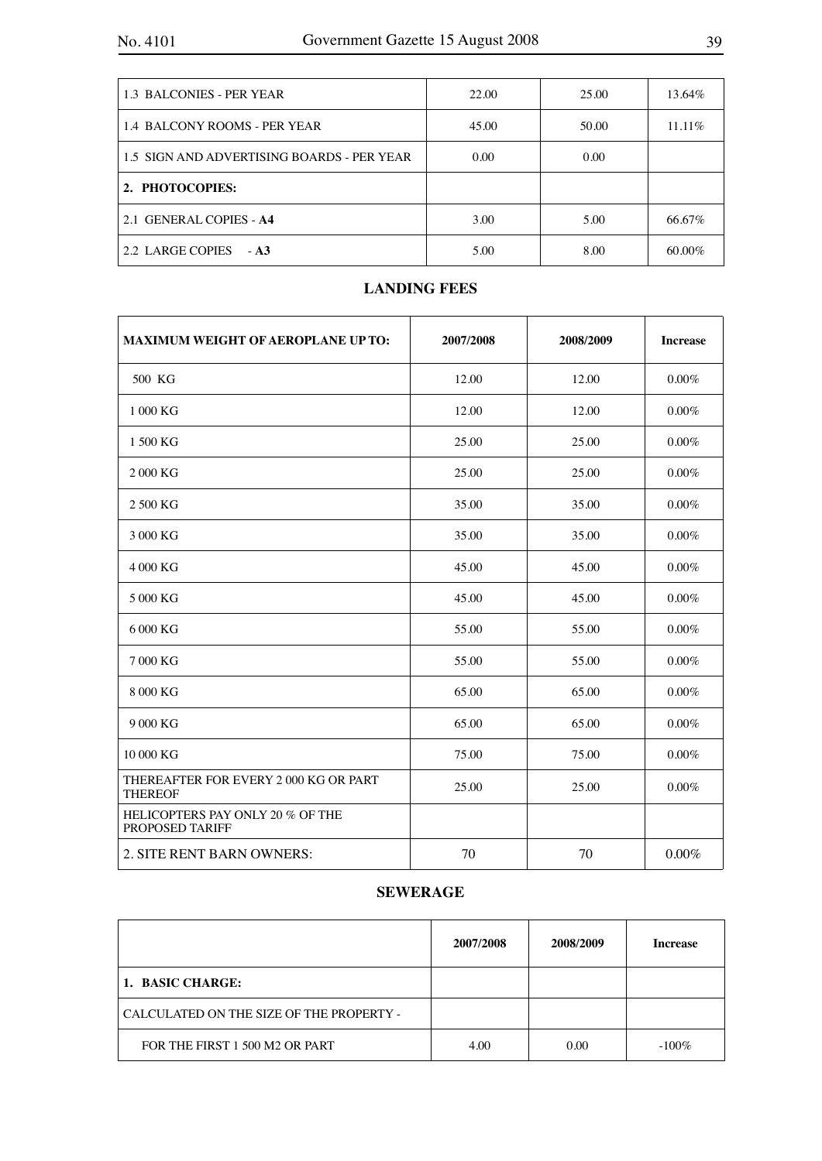| 1.3 BALCONIES - PER YEAR                   | 22.00 | 25.00 | 13.64%    |
|--------------------------------------------|-------|-------|-----------|
| 1.4 BALCONY ROOMS - PER YEAR               | 45.00 | 50.00 | $11.11\%$ |
| 1.5 SIGN AND ADVERTISING BOARDS - PER YEAR | 0.00  | 0.00  |           |
| 2. PHOTOCOPIES:                            |       |       |           |
| 2.1 GENERAL COPIES - A4                    | 3.00  | 5.00  | 66.67%    |
| 2.2 LARGE COPIES - A3                      | 5.00  | 8.00  | 60.00%    |

## **LANDING FEES**

| <b>MAXIMUM WEIGHT OF AEROPLANE UP TO:</b>               | 2007/2008 | 2008/2009 | <b>Increase</b> |
|---------------------------------------------------------|-----------|-----------|-----------------|
| 500 KG                                                  | 12.00     | 12.00     | 0.00%           |
| 1 000 KG                                                | 12.00     | 12.00     | $0.00\%$        |
| 1 500 KG                                                | 25.00     | 25.00     | 0.00%           |
| 2000 KG                                                 | 25.00     | 25.00     | 0.00%           |
| 2 500 KG                                                | 35.00     | 35.00     | $0.00\%$        |
| 3 000 KG                                                | 35.00     | 35.00     | 0.00%           |
| 4 000 KG                                                | 45.00     | 45.00     | $0.00\%$        |
| 5 000 KG                                                | 45.00     | 45.00     | 0.00%           |
| 6 000 KG                                                | 55.00     | 55.00     | 0.00%           |
| 7000 KG                                                 | 55.00     | 55.00     | $0.00\%$        |
| 8 000 KG                                                | 65.00     | 65.00     | 0.00%           |
| 9 000 KG                                                | 65.00     | 65.00     | 0.00%           |
| 10 000 KG                                               | 75.00     | 75.00     | 0.00%           |
| THEREAFTER FOR EVERY 2 000 KG OR PART<br><b>THEREOF</b> | 25.00     | 25.00     | 0.00%           |
| HELICOPTERS PAY ONLY 20 % OF THE<br>PROPOSED TARIFF     |           |           |                 |
| 2. SITE RENT BARN OWNERS:                               | 70        | 70        | 0.00%           |

## **SEWERAGE**

|                                          | 2007/2008 | 2008/2009 | Increase |
|------------------------------------------|-----------|-----------|----------|
| 1. BASIC CHARGE:                         |           |           |          |
| CALCULATED ON THE SIZE OF THE PROPERTY - |           |           |          |
| FOR THE FIRST 1 500 M2 OR PART           | 4.00      | 0.00      | $-100\%$ |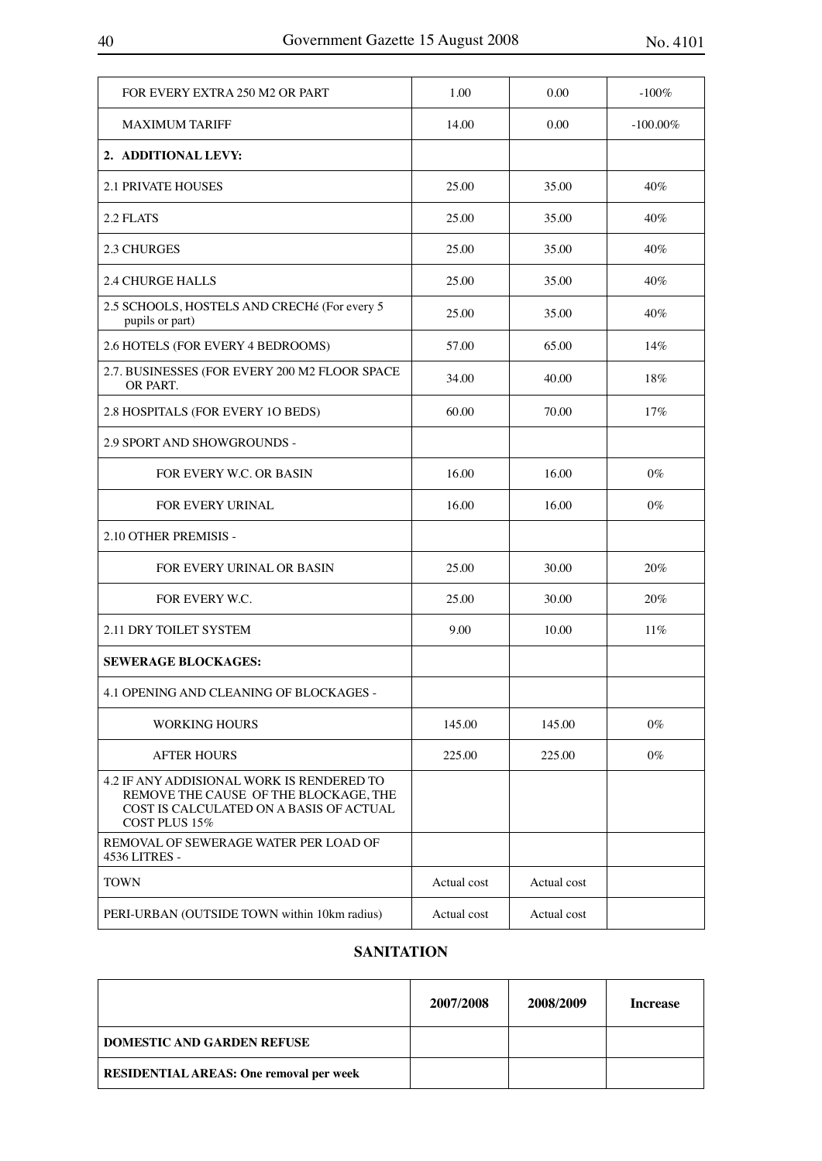| FOR EVERY EXTRA 250 M2 OR PART                                                                                                                 | 1.00        | 0.00        | $-100%$     |
|------------------------------------------------------------------------------------------------------------------------------------------------|-------------|-------------|-------------|
| <b>MAXIMUM TARIFF</b>                                                                                                                          | 14.00       | 0.00        | $-100.00\%$ |
| 2. ADDITIONAL LEVY:                                                                                                                            |             |             |             |
| <b>2.1 PRIVATE HOUSES</b>                                                                                                                      | 25.00       | 35.00       | $40\%$      |
| 2.2 FLATS                                                                                                                                      | 25.00       | 35.00       | $40\%$      |
| <b>2.3 CHURGES</b>                                                                                                                             | 25.00       | 35.00       | $40\%$      |
| <b>2.4 CHURGE HALLS</b>                                                                                                                        | 25.00       | 35.00       | 40%         |
| 2.5 SCHOOLS, HOSTELS AND CRECHé (For every 5<br>pupils or part)                                                                                | 25.00       | 35.00       | 40%         |
| 2.6 HOTELS (FOR EVERY 4 BEDROOMS)                                                                                                              | 57.00       | 65.00       | 14%         |
| 2.7. BUSINESSES (FOR EVERY 200 M2 FLOOR SPACE<br>OR PART.                                                                                      | 34.00       | 40.00       | 18%         |
| 2.8 HOSPITALS (FOR EVERY 1O BEDS)                                                                                                              | 60.00       | 70.00       | 17%         |
| <b>2.9 SPORT AND SHOWGROUNDS -</b>                                                                                                             |             |             |             |
| FOR EVERY W.C. OR BASIN                                                                                                                        | 16.00       | 16.00       | $0\%$       |
| FOR EVERY URINAL                                                                                                                               | 16.00       | 16.00       | $0\%$       |
| 2.10 OTHER PREMISIS -                                                                                                                          |             |             |             |
| FOR EVERY URINAL OR BASIN                                                                                                                      | 25.00       | 30.00       | $20\%$      |
| FOR EVERY W.C.                                                                                                                                 | 25.00       | 30.00       | 20%         |
| 2.11 DRY TOILET SYSTEM                                                                                                                         | 9.00        | 10.00       | $11\%$      |
| <b>SEWERAGE BLOCKAGES:</b>                                                                                                                     |             |             |             |
| 4.1 OPENING AND CLEANING OF BLOCKAGES -                                                                                                        |             |             |             |
| <b>WORKING HOURS</b>                                                                                                                           | 145.00      | 145.00      | $0\%$       |
| <b>AFTER HOURS</b>                                                                                                                             | 225.00      | 225.00      | $0\%$       |
| 4.2 IF ANY ADDISIONAL WORK IS RENDERED TO<br>REMOVE THE CAUSE OF THE BLOCKAGE, THE<br>COST IS CALCULATED ON A BASIS OF ACTUAL<br>COST PLUS 15% |             |             |             |
| REMOVAL OF SEWERAGE WATER PER LOAD OF<br>4536 LITRES -                                                                                         |             |             |             |
| <b>TOWN</b>                                                                                                                                    | Actual cost | Actual cost |             |
| PERI-URBAN (OUTSIDE TOWN within 10km radius)                                                                                                   | Actual cost | Actual cost |             |

## **SANITATION**

|                                                | 2007/2008 | 2008/2009 | Increase |
|------------------------------------------------|-----------|-----------|----------|
| <b>DOMESTIC AND GARDEN REFUSE</b>              |           |           |          |
| <b>RESIDENTIAL AREAS: One removal per week</b> |           |           |          |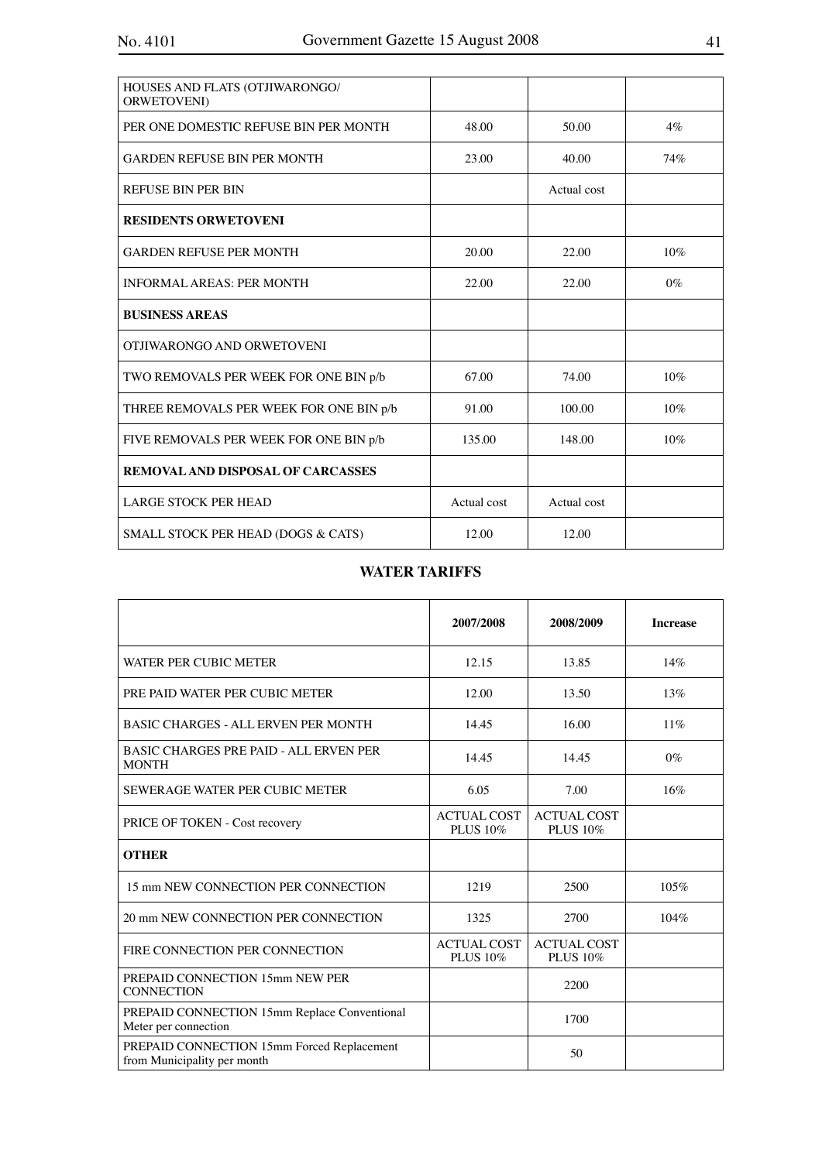| HOUSES AND FLATS (OTJIWARONGO/<br>ORWETOVENI) |             |             |        |
|-----------------------------------------------|-------------|-------------|--------|
| PER ONE DOMESTIC REFUSE BIN PER MONTH         | 48.00       | 50.00       | $4\%$  |
| GARDEN REFUSE BIN PER MONTH                   | 23.00       | 40.00       | 74%    |
| <b>REFUSE BIN PER BIN</b>                     |             | Actual cost |        |
| <b>RESIDENTS ORWETOVENI</b>                   |             |             |        |
| <b>GARDEN REFUSE PER MONTH</b>                | 20.00       | 22.00       | $10\%$ |
| <b>INFORMAL AREAS: PER MONTH</b>              | 22.00       | 22.00       | $0\%$  |
| <b>BUSINESS AREAS</b>                         |             |             |        |
| OTJIWARONGO AND ORWETOVENI                    |             |             |        |
| TWO REMOVALS PER WEEK FOR ONE BIN p/b         | 67.00       | 74.00       | 10%    |
| THREE REMOVALS PER WEEK FOR ONE BIN p/b       | 91.00       | 100.00      | 10%    |
| FIVE REMOVALS PER WEEK FOR ONE BIN p/b        | 135.00      | 148.00      | 10%    |
| REMOVAL AND DISPOSAL OF CARCASSES             |             |             |        |
| <b>LARGE STOCK PER HEAD</b>                   | Actual cost | Actual cost |        |
| SMALL STOCK PER HEAD (DOGS & CATS)            | 12.00       | 12.00       |        |

## **WATER TARIFFS**

|                                                                           | 2007/2008                      | 2008/2009                             | <b>Increase</b> |
|---------------------------------------------------------------------------|--------------------------------|---------------------------------------|-----------------|
| WATER PER CUBIC METER                                                     | 12.15                          | 13.85                                 | 14%             |
| PRE PAID WATER PER CUBIC METER                                            | 12.00                          | 13.50                                 | 13%             |
| <b>BASIC CHARGES - ALL ERVEN PER MONTH</b>                                | 14.45                          | 16.00                                 | $11\%$          |
| <b>BASIC CHARGES PRE PAID - ALL ERVEN PER</b><br><b>MONTH</b>             | 14.45                          | 14.45                                 | $0\%$           |
| SEWERAGE WATER PER CUBIC METER                                            | 6.05                           | 7.00                                  | 16%             |
| PRICE OF TOKEN - Cost recovery                                            | <b>ACTUAL COST</b><br>PLUS 10% | <b>ACTUAL COST</b><br>PLUS 10%        |                 |
| <b>OTHER</b>                                                              |                                |                                       |                 |
| 15 mm NEW CONNECTION PER CONNECTION                                       | 1219                           | 2500                                  | 105%            |
| 20 mm NEW CONNECTION PER CONNECTION                                       | 1325                           | 2700                                  | 104%            |
| FIRE CONNECTION PER CONNECTION                                            | <b>ACTUAL COST</b><br>PLUS 10% | <b>ACTUAL COST</b><br><b>PLUS 10%</b> |                 |
| PREPAID CONNECTION 15mm NEW PER<br><b>CONNECTION</b>                      |                                | 2200                                  |                 |
| PREPAID CONNECTION 15mm Replace Conventional<br>Meter per connection      |                                | 1700                                  |                 |
| PREPAID CONNECTION 15mm Forced Replacement<br>from Municipality per month |                                | 50                                    |                 |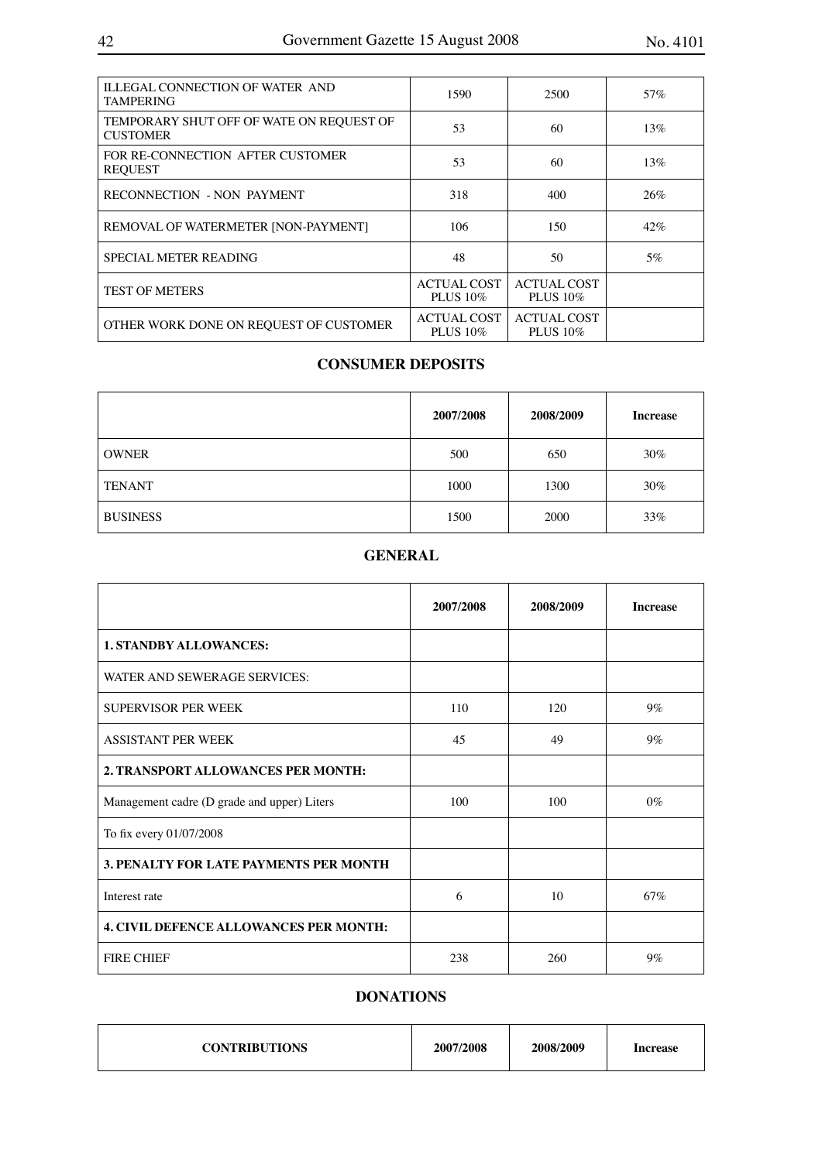| <b>ILLEGAL CONNECTION OF WATER AND</b><br><b>TAMPERING</b>  | 1590                           | 2500                           | 57% |
|-------------------------------------------------------------|--------------------------------|--------------------------------|-----|
| TEMPORARY SHUT OFF OF WATE ON REQUEST OF<br><b>CUSTOMER</b> | 53                             | 60                             | 13% |
| FOR RE-CONNECTION AFTER CUSTOMER<br><b>REOUEST</b>          | 53                             | 60                             | 13% |
| <b>RECONNECTION - NON PAYMENT</b>                           | 318                            | 400                            | 26% |
| REMOVAL OF WATERMETER [NON-PAYMENT]                         | 106                            | 150                            | 42% |
| SPECIAL METER READING                                       | 48                             | 50                             | 5%  |
| <b>TEST OF METERS</b>                                       | <b>ACTUAL COST</b><br>PLUS 10% | <b>ACTUAL COST</b><br>PLUS 10% |     |
| OTHER WORK DONE ON REQUEST OF CUSTOMER                      | <b>ACTUAL COST</b><br>PLUS 10% | <b>ACTUAL COST</b><br>PLUS 10% |     |

## **CONSUMER DEPOSITS**

|                 | 2007/2008 | 2008/2009 | <b>Increase</b> |
|-----------------|-----------|-----------|-----------------|
| <b>OWNER</b>    | 500       | 650       | $30\%$          |
| <b>TENANT</b>   | 1000      | 1300      | $30\%$          |
| <b>BUSINESS</b> | 1500      | 2000      | 33%             |

## **GENERAL**

|                                               | 2007/2008 | 2008/2009 | <b>Increase</b> |
|-----------------------------------------------|-----------|-----------|-----------------|
| <b>1. STANDBY ALLOWANCES:</b>                 |           |           |                 |
| WATER AND SEWERAGE SERVICES:                  |           |           |                 |
| <b>SUPERVISOR PER WEEK</b>                    | 110       | 120       | $9\%$           |
| <b>ASSISTANT PER WEEK</b>                     | 45        | 49        | $9\%$           |
| 2. TRANSPORT ALLOWANCES PER MONTH:            |           |           |                 |
| Management cadre (D grade and upper) Liters   | 100       | 100       | $0\%$           |
| To fix every 01/07/2008                       |           |           |                 |
| <b>3. PENALTY FOR LATE PAYMENTS PER MONTH</b> |           |           |                 |
| Interest rate                                 | 6         | 10        | 67%             |
| <b>4. CIVIL DEFENCE ALLOWANCES PER MONTH:</b> |           |           |                 |
| <b>FIRE CHIEF</b>                             | 238       | 260       | $9\%$           |

## **DONATIONS**

| <b>CONTRIBUTIONS</b> | 2007/2008 | 2008/2009 | <b>Increase</b> |
|----------------------|-----------|-----------|-----------------|
|----------------------|-----------|-----------|-----------------|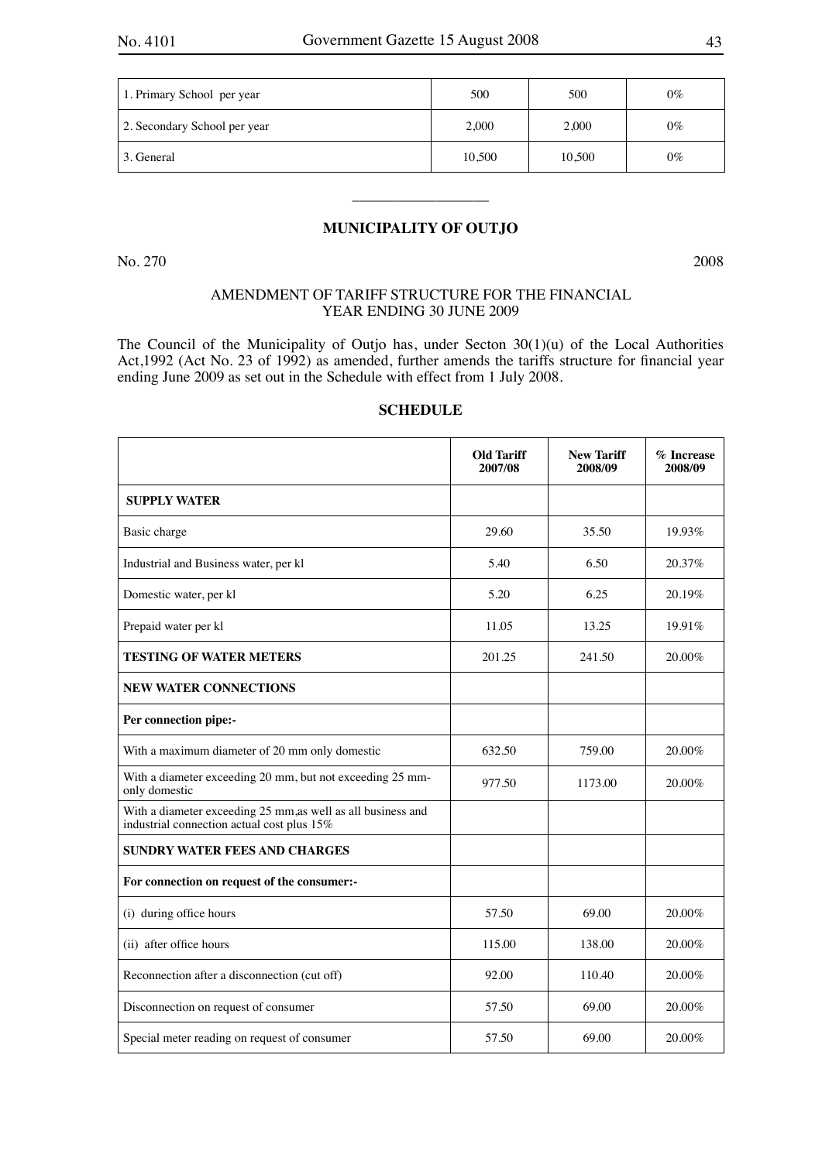| 1. Primary School per year   | 500    | 500    | $0\%$ |
|------------------------------|--------|--------|-------|
| 2. Secondary School per year | 2,000  | 2.000  | $0\%$ |
| 3. General                   | 10,500 | 10,500 | $0\%$ |

## **MUNICIPALITY OF OUTJO**

 $\overline{\phantom{a}}$  , where  $\overline{\phantom{a}}$ 

No. 270 2008

## AMENDMENT OF TARIFF STRUCTURE FOR THE FINANCIAL YEAR ENDING 30 JUNE 2009

The Council of the Municipality of Outjo has, under Secton 30(1)(u) of the Local Authorities Act,1992 (Act No. 23 of 1992) as amended, further amends the tariffs structure for financial year ending June 2009 as set out in the Schedule with effect from 1 July 2008.

|                                                                                                           | <b>Old Tariff</b><br>2007/08 | <b>New Tariff</b><br>2008/09 | % Increase<br>2008/09 |
|-----------------------------------------------------------------------------------------------------------|------------------------------|------------------------------|-----------------------|
| <b>SUPPLY WATER</b>                                                                                       |                              |                              |                       |
| Basic charge                                                                                              | 29.60                        | 35.50                        | 19.93%                |
| Industrial and Business water, per kl                                                                     | 5.40                         | 6.50                         | 20.37%                |
| Domestic water, per kl                                                                                    | 5.20                         | 6.25                         | 20.19%                |
| Prepaid water per kl                                                                                      | 11.05                        | 13.25                        | 19.91%                |
| <b>TESTING OF WATER METERS</b>                                                                            | 201.25                       | 241.50                       | 20.00%                |
| <b>NEW WATER CONNECTIONS</b>                                                                              |                              |                              |                       |
| Per connection pipe:-                                                                                     |                              |                              |                       |
| With a maximum diameter of 20 mm only domestic                                                            | 632.50                       | 759.00                       | 20.00%                |
| With a diameter exceeding 20 mm, but not exceeding 25 mm-<br>only domestic                                | 977.50                       | 1173.00                      | 20.00%                |
| With a diameter exceeding 25 mm,as well as all business and<br>industrial connection actual cost plus 15% |                              |                              |                       |
| <b>SUNDRY WATER FEES AND CHARGES</b>                                                                      |                              |                              |                       |
| For connection on request of the consumer:-                                                               |                              |                              |                       |
| (i) during office hours                                                                                   | 57.50                        | 69.00                        | 20.00%                |
| (ii) after office hours                                                                                   | 115.00                       | 138.00                       | 20.00%                |
| Reconnection after a disconnection (cut off)                                                              | 92.00                        | 110.40                       | 20.00%                |
| Disconnection on request of consumer                                                                      | 57.50                        | 69.00                        | 20.00%                |
| Special meter reading on request of consumer                                                              | 57.50                        | 69.00                        | 20.00%                |

## **SCHEDULE**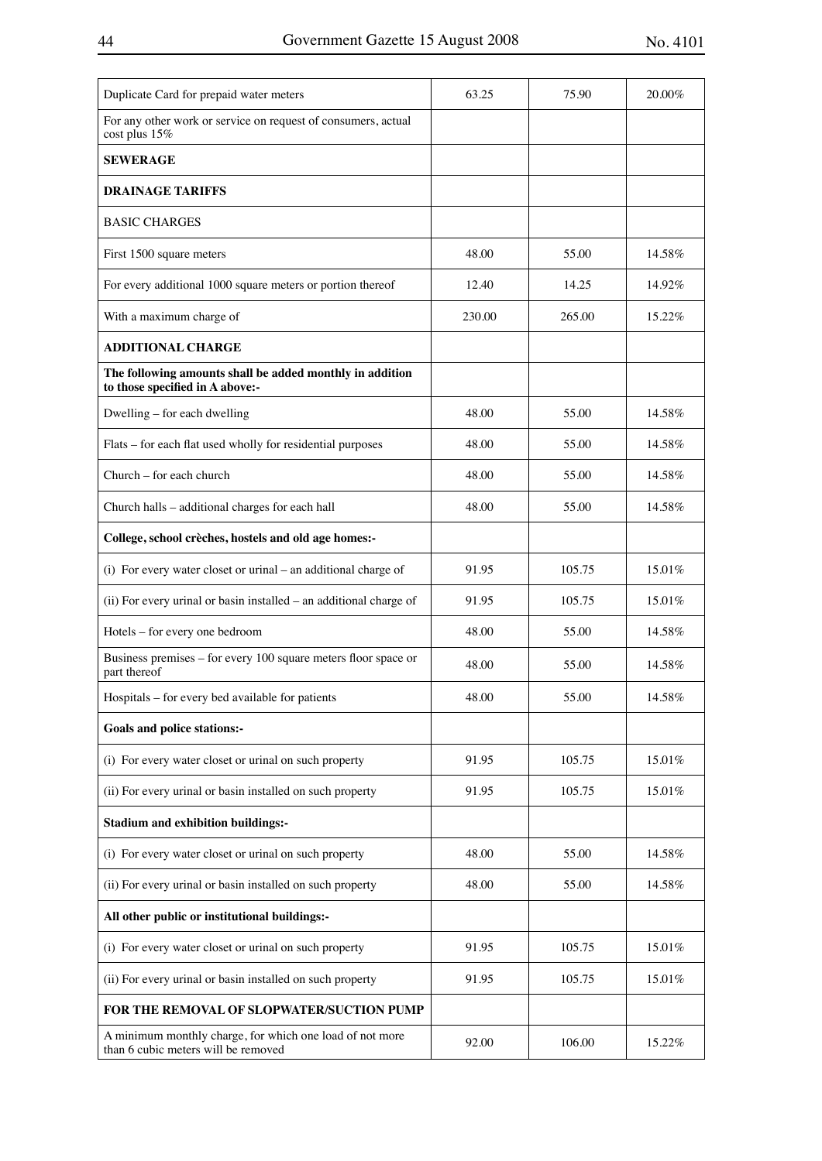| Duplicate Card for prepaid water meters                                                         | 63.25  | 75.90  | 20.00% |
|-------------------------------------------------------------------------------------------------|--------|--------|--------|
| For any other work or service on request of consumers, actual<br>cost plus 15%                  |        |        |        |
| <b>SEWERAGE</b>                                                                                 |        |        |        |
| <b>DRAINAGE TARIFFS</b>                                                                         |        |        |        |
| <b>BASIC CHARGES</b>                                                                            |        |        |        |
| First 1500 square meters                                                                        | 48.00  | 55.00  | 14.58% |
| For every additional 1000 square meters or portion thereof                                      | 12.40  | 14.25  | 14.92% |
| With a maximum charge of                                                                        | 230.00 | 265.00 | 15.22% |
| <b>ADDITIONAL CHARGE</b>                                                                        |        |        |        |
| The following amounts shall be added monthly in addition<br>to those specified in A above:-     |        |        |        |
| Dwelling – for each dwelling                                                                    | 48.00  | 55.00  | 14.58% |
| Flats – for each flat used wholly for residential purposes                                      | 48.00  | 55.00  | 14.58% |
| Church – for each church                                                                        | 48.00  | 55.00  | 14.58% |
| Church halls - additional charges for each hall                                                 | 48.00  | 55.00  | 14.58% |
| College, school crèches, hostels and old age homes:-                                            |        |        |        |
| (i) For every water closet or urinal – an additional charge of                                  | 91.95  | 105.75 | 15.01% |
| (ii) For every urinal or basin installed - an additional charge of                              | 91.95  | 105.75 | 15.01% |
| Hotels - for every one bedroom                                                                  | 48.00  | 55.00  | 14.58% |
| Business premises – for every 100 square meters floor space or<br>part thereof                  | 48.00  | 55.00  | 14.58% |
| Hospitals - for every bed available for patients                                                | 48.00  | 55.00  | 14.58% |
| <b>Goals and police stations:-</b>                                                              |        |        |        |
| (i) For every water closet or urinal on such property                                           | 91.95  | 105.75 | 15.01% |
| (ii) For every urinal or basin installed on such property                                       | 91.95  | 105.75 | 15.01% |
| <b>Stadium and exhibition buildings:-</b>                                                       |        |        |        |
| (i) For every water closet or urinal on such property                                           | 48.00  | 55.00  | 14.58% |
| (ii) For every urinal or basin installed on such property                                       | 48.00  | 55.00  | 14.58% |
| All other public or institutional buildings:-                                                   |        |        |        |
| (i) For every water closet or urinal on such property                                           | 91.95  | 105.75 | 15.01% |
| (ii) For every urinal or basin installed on such property                                       | 91.95  | 105.75 | 15.01% |
| FOR THE REMOVAL OF SLOPWATER/SUCTION PUMP                                                       |        |        |        |
| A minimum monthly charge, for which one load of not more<br>than 6 cubic meters will be removed | 92.00  | 106.00 | 15.22% |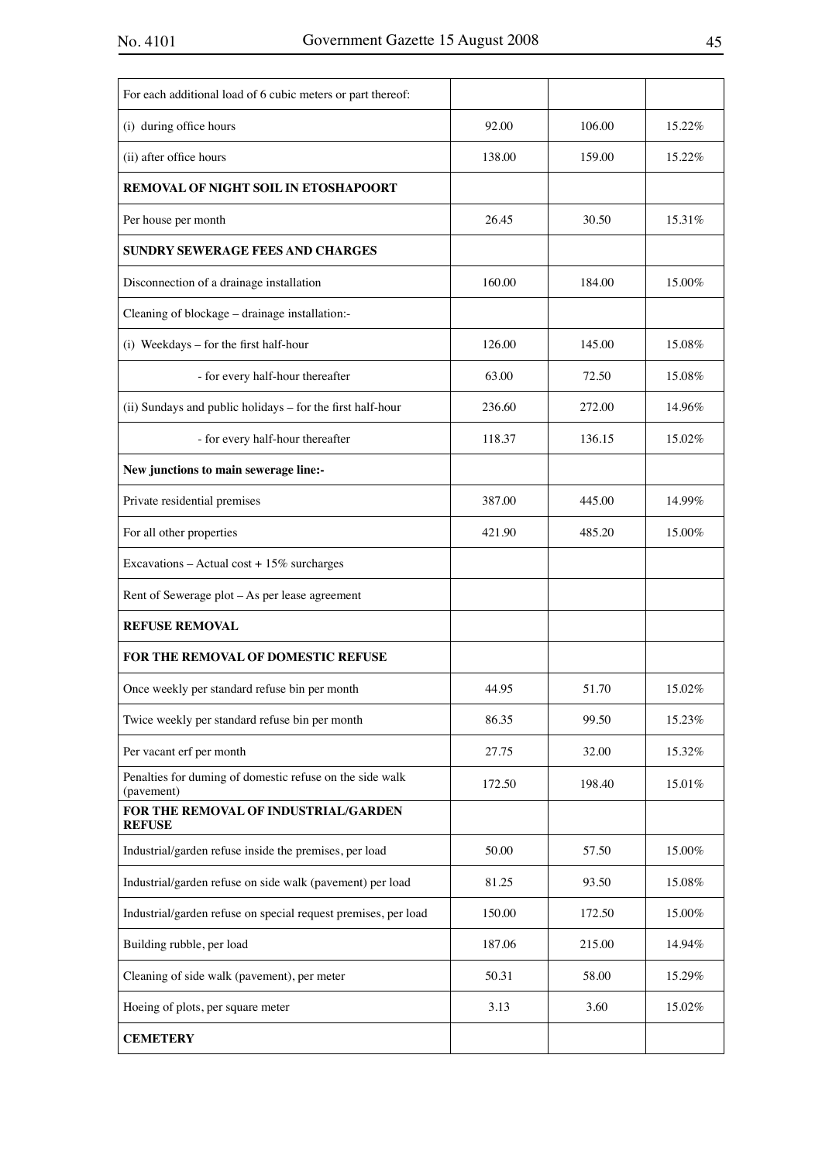| For each additional load of 6 cubic meters or part thereof:            |        |        |        |
|------------------------------------------------------------------------|--------|--------|--------|
| (i) during office hours                                                | 92.00  | 106.00 | 15.22% |
| (ii) after office hours                                                | 138.00 | 159.00 | 15.22% |
| <b>REMOVAL OF NIGHT SOIL IN ETOSHAPOORT</b>                            |        |        |        |
| Per house per month                                                    | 26.45  | 30.50  | 15.31% |
| <b>SUNDRY SEWERAGE FEES AND CHARGES</b>                                |        |        |        |
| Disconnection of a drainage installation                               | 160.00 | 184.00 | 15.00% |
| Cleaning of blockage - drainage installation:-                         |        |        |        |
| (i) Weekdays - for the first half-hour                                 | 126.00 | 145.00 | 15.08% |
| - for every half-hour thereafter                                       | 63.00  | 72.50  | 15.08% |
| (ii) Sundays and public holidays - for the first half-hour             | 236.60 | 272.00 | 14.96% |
| - for every half-hour thereafter                                       | 118.37 | 136.15 | 15.02% |
| New junctions to main sewerage line:-                                  |        |        |        |
| Private residential premises                                           | 387.00 | 445.00 | 14.99% |
| For all other properties                                               | 421.90 | 485.20 | 15.00% |
| Excavations - Actual cost + $15\%$ surcharges                          |        |        |        |
| Rent of Sewerage plot - As per lease agreement                         |        |        |        |
| <b>REFUSE REMOVAL</b>                                                  |        |        |        |
| <b>FOR THE REMOVAL OF DOMESTIC REFUSE</b>                              |        |        |        |
| Once weekly per standard refuse bin per month                          | 44.95  | 51.70  | 15.02% |
| Twice weekly per standard refuse bin per month                         | 86.35  | 99.50  | 15.23% |
| Per vacant erf per month                                               | 27.75  | 32.00  | 15.32% |
| Penalties for duming of domestic refuse on the side walk<br>(pavement) | 172.50 | 198.40 | 15.01% |
| FOR THE REMOVAL OF INDUSTRIAL/GARDEN<br><b>REFUSE</b>                  |        |        |        |
| Industrial/garden refuse inside the premises, per load                 | 50.00  | 57.50  | 15.00% |
| Industrial/garden refuse on side walk (pavement) per load              | 81.25  | 93.50  | 15.08% |
| Industrial/garden refuse on special request premises, per load         | 150.00 | 172.50 | 15.00% |
| Building rubble, per load                                              | 187.06 | 215.00 | 14.94% |
| Cleaning of side walk (pavement), per meter                            | 50.31  | 58.00  | 15.29% |
| Hoeing of plots, per square meter                                      | 3.13   | 3.60   | 15.02% |
| <b>CEMETERY</b>                                                        |        |        |        |
|                                                                        |        |        |        |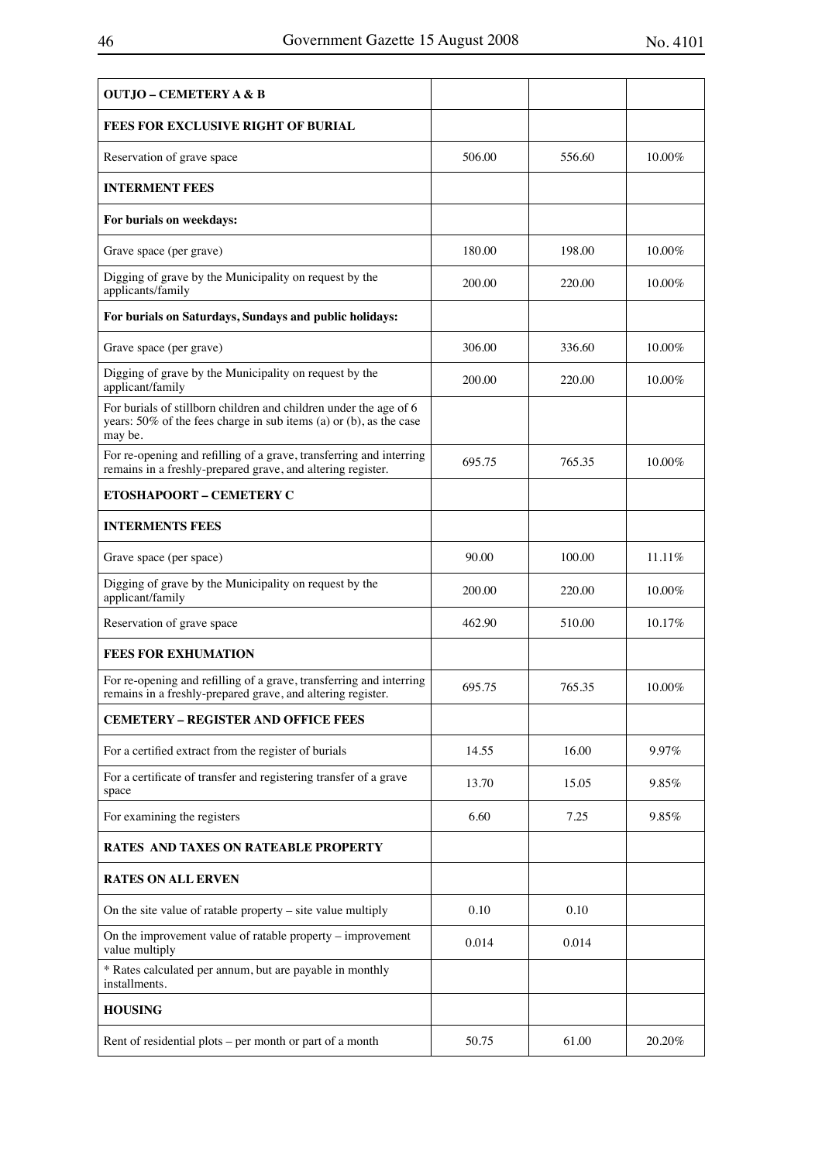| <b>OUTJO – CEMETERY A &amp; B</b>                                                                                                                  |        |        |        |
|----------------------------------------------------------------------------------------------------------------------------------------------------|--------|--------|--------|
| <b>FEES FOR EXCLUSIVE RIGHT OF BURIAL</b>                                                                                                          |        |        |        |
| Reservation of grave space                                                                                                                         | 506.00 | 556.60 | 10.00% |
| <b>INTERMENT FEES</b>                                                                                                                              |        |        |        |
| For burials on weekdays:                                                                                                                           |        |        |        |
| Grave space (per grave)                                                                                                                            | 180.00 | 198.00 | 10.00% |
| Digging of grave by the Municipality on request by the<br>applicants/family                                                                        | 200.00 | 220.00 | 10.00% |
| For burials on Saturdays, Sundays and public holidays:                                                                                             |        |        |        |
| Grave space (per grave)                                                                                                                            | 306.00 | 336.60 | 10.00% |
| Digging of grave by the Municipality on request by the<br>applicant/family                                                                         | 200.00 | 220.00 | 10.00% |
| For burials of stillborn children and children under the age of 6<br>years: 50% of the fees charge in sub items (a) or (b), as the case<br>may be. |        |        |        |
| For re-opening and refilling of a grave, transferring and interring<br>remains in a freshly-prepared grave, and altering register.                 | 695.75 | 765.35 | 10.00% |
| <b>ETOSHAPOORT - CEMETERY C</b>                                                                                                                    |        |        |        |
| <b>INTERMENTS FEES</b>                                                                                                                             |        |        |        |
| Grave space (per space)                                                                                                                            | 90.00  | 100.00 | 11.11% |
| Digging of grave by the Municipality on request by the<br>applicant/family                                                                         | 200.00 | 220.00 | 10.00% |
| Reservation of grave space                                                                                                                         | 462.90 | 510.00 | 10.17% |
| <b>FEES FOR EXHUMATION</b>                                                                                                                         |        |        |        |
| For re-opening and refilling of a grave, transferring and interring<br>remains in a freshly-prepared grave, and altering register.                 | 695.75 | 765.35 | 10.00% |
| <b>CEMETERY - REGISTER AND OFFICE FEES</b>                                                                                                         |        |        |        |
| For a certified extract from the register of burials                                                                                               | 14.55  | 16.00  | 9.97%  |
| For a certificate of transfer and registering transfer of a grave<br>space                                                                         | 13.70  | 15.05  | 9.85%  |
| For examining the registers                                                                                                                        | 6.60   | 7.25   | 9.85%  |
| <b>RATES AND TAXES ON RATEABLE PROPERTY</b>                                                                                                        |        |        |        |
| <b>RATES ON ALL ERVEN</b>                                                                                                                          |        |        |        |
| On the site value of ratable property - site value multiply                                                                                        | 0.10   | 0.10   |        |
| On the improvement value of ratable property – improvement<br>value multiply                                                                       | 0.014  | 0.014  |        |
| * Rates calculated per annum, but are payable in monthly<br>installments.                                                                          |        |        |        |
| <b>HOUSING</b>                                                                                                                                     |        |        |        |
| Rent of residential plots - per month or part of a month                                                                                           | 50.75  | 61.00  | 20.20% |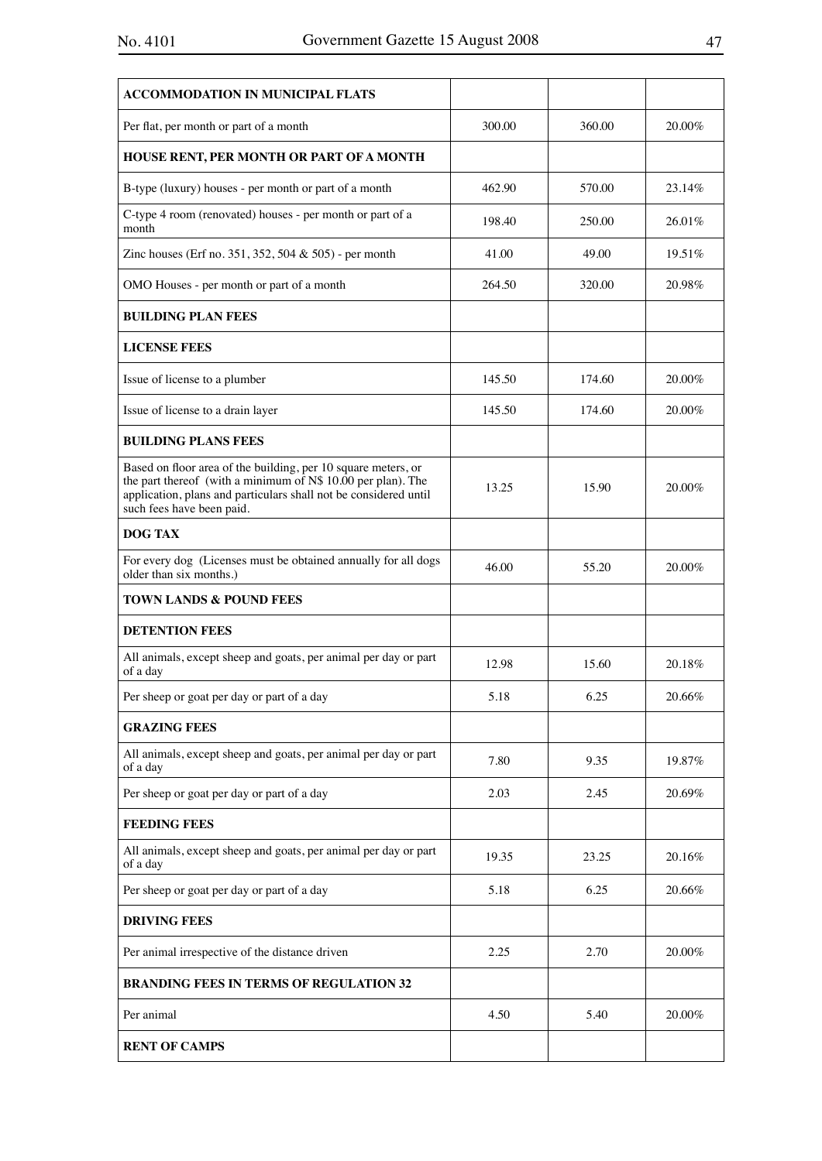| <b>ACCOMMODATION IN MUNICIPAL FLATS</b>                                                                                                                                                                                        |        |        |        |
|--------------------------------------------------------------------------------------------------------------------------------------------------------------------------------------------------------------------------------|--------|--------|--------|
| Per flat, per month or part of a month                                                                                                                                                                                         | 300.00 | 360.00 | 20.00% |
| HOUSE RENT, PER MONTH OR PART OF A MONTH                                                                                                                                                                                       |        |        |        |
| B-type (luxury) houses - per month or part of a month                                                                                                                                                                          | 462.90 | 570.00 | 23.14% |
| C-type 4 room (renovated) houses - per month or part of a<br>month                                                                                                                                                             | 198.40 | 250.00 | 26.01% |
| Zinc houses (Erf no. 351, 352, 504 & 505) - per month                                                                                                                                                                          | 41.00  | 49.00  | 19.51% |
| OMO Houses - per month or part of a month                                                                                                                                                                                      | 264.50 | 320.00 | 20.98% |
| <b>BUILDING PLAN FEES</b>                                                                                                                                                                                                      |        |        |        |
| <b>LICENSE FEES</b>                                                                                                                                                                                                            |        |        |        |
| Issue of license to a plumber                                                                                                                                                                                                  | 145.50 | 174.60 | 20.00% |
| Issue of license to a drain layer                                                                                                                                                                                              | 145.50 | 174.60 | 20.00% |
| <b>BUILDING PLANS FEES</b>                                                                                                                                                                                                     |        |        |        |
| Based on floor area of the building, per 10 square meters, or<br>the part thereof (with a minimum of N\$ 10.00 per plan). The<br>application, plans and particulars shall not be considered until<br>such fees have been paid. | 13.25  | 15.90  | 20.00% |
| <b>DOG TAX</b>                                                                                                                                                                                                                 |        |        |        |
| For every dog (Licenses must be obtained annually for all dogs<br>older than six months.)                                                                                                                                      | 46.00  | 55.20  | 20.00% |
| <b>TOWN LANDS &amp; POUND FEES</b>                                                                                                                                                                                             |        |        |        |
| <b>DETENTION FEES</b>                                                                                                                                                                                                          |        |        |        |
| All animals, except sheep and goats, per animal per day or part<br>of a day                                                                                                                                                    | 12.98  | 15.60  | 20.18% |
| Per sheep or goat per day or part of a day                                                                                                                                                                                     | 5.18   | 6.25   | 20.66% |
| <b>GRAZING FEES</b>                                                                                                                                                                                                            |        |        |        |
| All animals, except sheep and goats, per animal per day or part<br>of a day                                                                                                                                                    | 7.80   | 9.35   | 19.87% |
| Per sheep or goat per day or part of a day                                                                                                                                                                                     | 2.03   | 2.45   | 20.69% |
| <b>FEEDING FEES</b>                                                                                                                                                                                                            |        |        |        |
| All animals, except sheep and goats, per animal per day or part<br>of a day                                                                                                                                                    | 19.35  | 23.25  | 20.16% |
| Per sheep or goat per day or part of a day                                                                                                                                                                                     | 5.18   | 6.25   | 20.66% |
| <b>DRIVING FEES</b>                                                                                                                                                                                                            |        |        |        |
| Per animal irrespective of the distance driven                                                                                                                                                                                 | 2.25   | 2.70   | 20.00% |
| <b>BRANDING FEES IN TERMS OF REGULATION 32</b>                                                                                                                                                                                 |        |        |        |
| Per animal                                                                                                                                                                                                                     | 4.50   | 5.40   | 20.00% |
| <b>RENT OF CAMPS</b>                                                                                                                                                                                                           |        |        |        |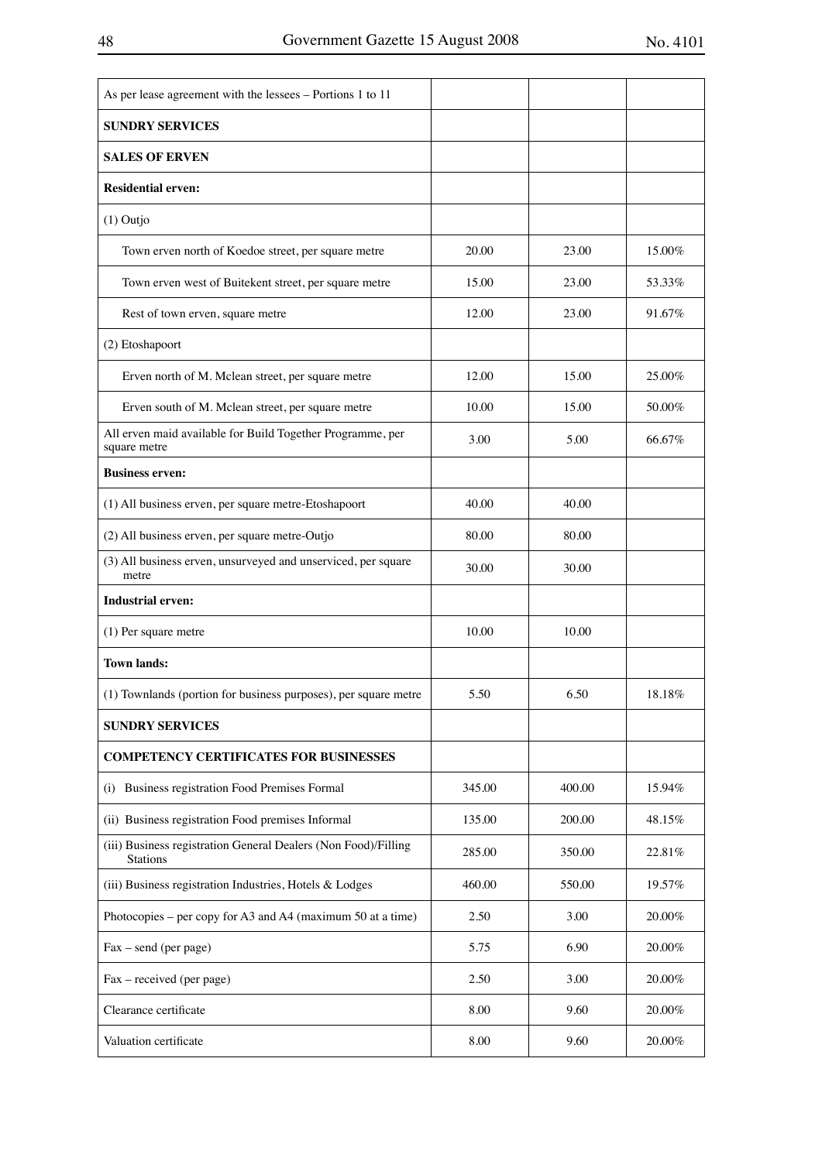| As per lease agreement with the lessees - Portions 1 to 11                        |        |        |           |
|-----------------------------------------------------------------------------------|--------|--------|-----------|
| <b>SUNDRY SERVICES</b>                                                            |        |        |           |
| <b>SALES OF ERVEN</b>                                                             |        |        |           |
| <b>Residential erven:</b>                                                         |        |        |           |
| $(1)$ Outjo                                                                       |        |        |           |
| Town erven north of Koedoe street, per square metre                               | 20.00  | 23.00  | 15.00%    |
| Town erven west of Buitekent street, per square metre                             | 15.00  | 23.00  | 53.33%    |
| Rest of town erven, square metre                                                  | 12.00  | 23.00  | 91.67%    |
| (2) Etoshapoort                                                                   |        |        |           |
| Erven north of M. Mclean street, per square metre                                 | 12.00  | 15.00  | 25.00%    |
| Erven south of M. Mclean street, per square metre                                 | 10.00  | 15.00  | 50.00%    |
| All erven maid available for Build Together Programme, per<br>square metre        | 3.00   | 5.00   | 66.67%    |
| <b>Business erven:</b>                                                            |        |        |           |
| (1) All business erven, per square metre-Etoshapoort                              | 40.00  | 40.00  |           |
| (2) All business erven, per square metre-Outjo                                    | 80.00  | 80.00  |           |
| (3) All business erven, unsurveyed and unserviced, per square<br>metre            | 30.00  | 30.00  |           |
| <b>Industrial erven:</b>                                                          |        |        |           |
| (1) Per square metre                                                              | 10.00  | 10.00  |           |
| <b>Town lands:</b>                                                                |        |        |           |
| (1) Townlands (portion for business purposes), per square metre                   | 5.50   | 6.50   | 18.18%    |
| <b>SUNDRY SERVICES</b>                                                            |        |        |           |
| <b>COMPETENCY CERTIFICATES FOR BUSINESSES</b>                                     |        |        |           |
| Business registration Food Premises Formal<br>(i)                                 | 345.00 | 400.00 | 15.94%    |
| (ii) Business registration Food premises Informal                                 | 135.00 | 200.00 | 48.15%    |
| (iii) Business registration General Dealers (Non Food)/Filling<br><b>Stations</b> | 285.00 | 350.00 | 22.81%    |
| (iii) Business registration Industries, Hotels & Lodges                           | 460.00 | 550.00 | 19.57%    |
| Photocopies – per copy for A3 and A4 (maximum 50 at a time)                       | 2.50   | 3.00   | $20.00\%$ |
| Fax – send (per page)                                                             | 5.75   | 6.90   | 20.00%    |
| Fax - received (per page)                                                         | 2.50   | 3.00   | $20.00\%$ |
| Clearance certificate                                                             | 8.00   | 9.60   | 20.00%    |
| Valuation certificate                                                             | 8.00   | 9.60   | 20.00%    |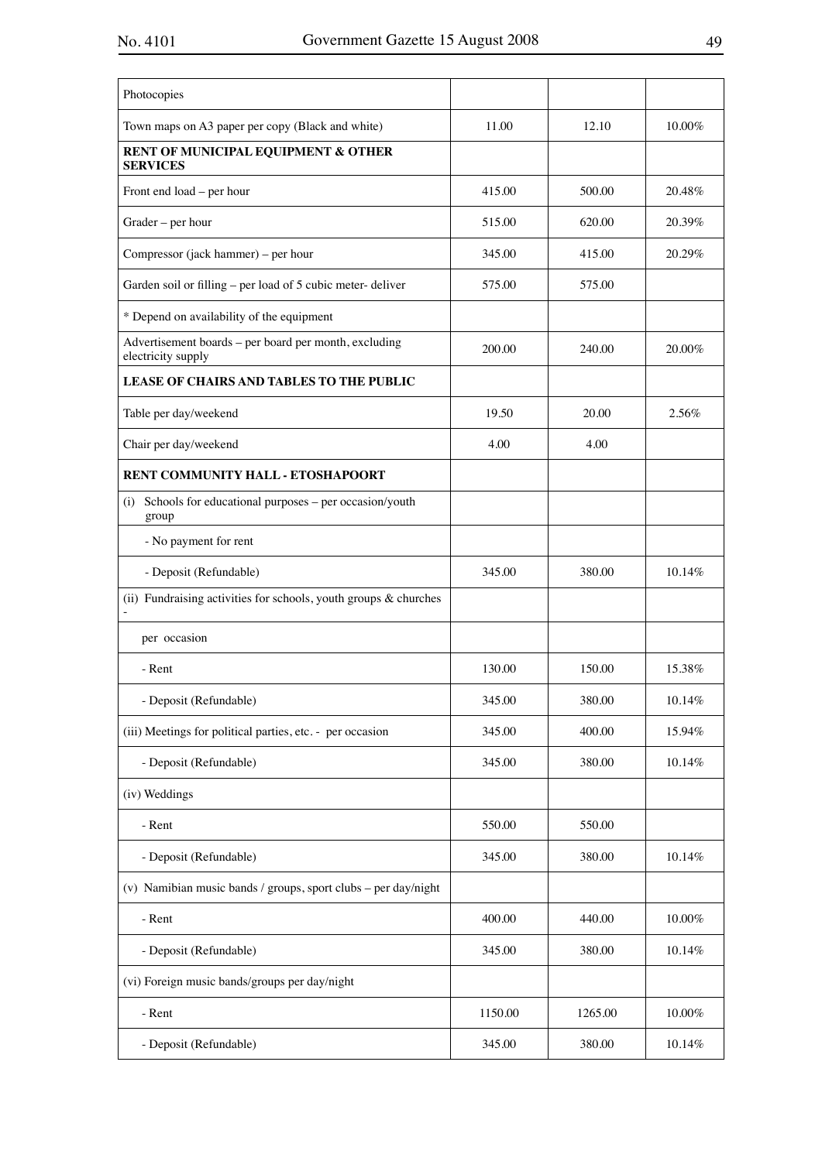| Photocopies                                                                 |         |         |           |
|-----------------------------------------------------------------------------|---------|---------|-----------|
| Town maps on A3 paper per copy (Black and white)                            | 11.00   | 12.10   | 10.00%    |
| RENT OF MUNICIPAL EQUIPMENT & OTHER<br><b>SERVICES</b>                      |         |         |           |
| Front end load – per hour                                                   | 415.00  | 500.00  | 20.48%    |
| Grader – per hour                                                           | 515.00  | 620.00  | 20.39%    |
| Compressor (jack hammer) – per hour                                         | 345.00  | 415.00  | 20.29%    |
| Garden soil or filling - per load of 5 cubic meter-deliver                  | 575.00  | 575.00  |           |
| * Depend on availability of the equipment                                   |         |         |           |
| Advertisement boards - per board per month, excluding<br>electricity supply | 200.00  | 240.00  | 20.00%    |
| LEASE OF CHAIRS AND TABLES TO THE PUBLIC                                    |         |         |           |
| Table per day/weekend                                                       | 19.50   | 20.00   | 2.56%     |
| Chair per day/weekend                                                       | 4.00    | 4.00    |           |
| RENT COMMUNITY HALL - ETOSHAPOORT                                           |         |         |           |
| (i) Schools for educational purposes – per occasion/youth<br>group          |         |         |           |
| - No payment for rent                                                       |         |         |           |
| - Deposit (Refundable)                                                      | 345.00  | 380.00  | 10.14%    |
| (ii) Fundraising activities for schools, youth groups $\&$ churches         |         |         |           |
| per occasion                                                                |         |         |           |
| - Rent                                                                      | 130.00  | 150.00  | 15.38%    |
| - Deposit (Refundable)                                                      | 345.00  | 380.00  | 10.14%    |
| (iii) Meetings for political parties, etc. - per occasion                   | 345.00  | 400.00  | 15.94%    |
| - Deposit (Refundable)                                                      | 345.00  | 380.00  | 10.14%    |
| (iv) Weddings                                                               |         |         |           |
| - Rent                                                                      | 550.00  | 550.00  |           |
| - Deposit (Refundable)                                                      | 345.00  | 380.00  | 10.14%    |
| (v) Namibian music bands / groups, sport clubs - per day/night              |         |         |           |
| - Rent                                                                      | 400.00  | 440.00  | $10.00\%$ |
| - Deposit (Refundable)                                                      | 345.00  | 380.00  | 10.14%    |
| (vi) Foreign music bands/groups per day/night                               |         |         |           |
| - Rent                                                                      | 1150.00 | 1265.00 | 10.00%    |
| - Deposit (Refundable)                                                      | 345.00  | 380.00  | 10.14%    |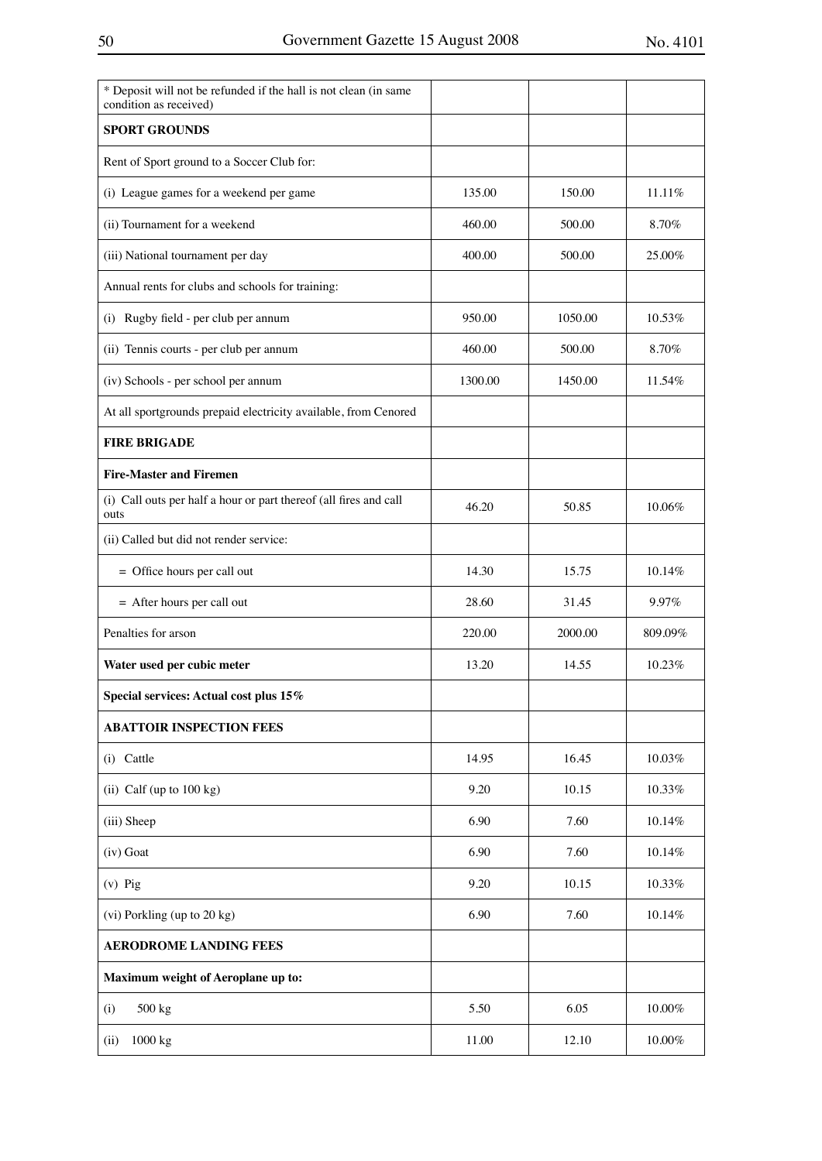| * Deposit will not be refunded if the hall is not clean (in same<br>condition as received) |         |         |           |
|--------------------------------------------------------------------------------------------|---------|---------|-----------|
| <b>SPORT GROUNDS</b>                                                                       |         |         |           |
| Rent of Sport ground to a Soccer Club for:                                                 |         |         |           |
| (i) League games for a weekend per game                                                    | 135.00  | 150.00  | 11.11%    |
| (ii) Tournament for a weekend                                                              | 460.00  | 500.00  | 8.70%     |
| (iii) National tournament per day                                                          | 400.00  | 500.00  | 25.00%    |
| Annual rents for clubs and schools for training:                                           |         |         |           |
| (i) Rugby field - per club per annum                                                       | 950.00  | 1050.00 | 10.53%    |
| (ii) Tennis courts - per club per annum                                                    | 460.00  | 500.00  | 8.70%     |
| (iv) Schools - per school per annum                                                        | 1300.00 | 1450.00 | 11.54%    |
| At all sportgrounds prepaid electricity available, from Cenored                            |         |         |           |
| <b>FIRE BRIGADE</b>                                                                        |         |         |           |
| <b>Fire-Master and Firemen</b>                                                             |         |         |           |
| (i) Call outs per half a hour or part thereof (all fires and call<br>outs                  | 46.20   | 50.85   | 10.06%    |
| (ii) Called but did not render service:                                                    |         |         |           |
| = Office hours per call out                                                                | 14.30   | 15.75   | 10.14%    |
| = After hours per call out                                                                 | 28.60   | 31.45   | 9.97%     |
| Penalties for arson                                                                        | 220.00  | 2000.00 | 809.09%   |
| Water used per cubic meter                                                                 | 13.20   | 14.55   | 10.23%    |
| Special services: Actual cost plus 15%                                                     |         |         |           |
| <b>ABATTOIR INSPECTION FEES</b>                                                            |         |         |           |
| (i) Cattle                                                                                 | 14.95   | 16.45   | 10.03%    |
| (ii) Calf (up to $100$ kg)                                                                 | 9.20    | 10.15   | 10.33%    |
| (iii) Sheep                                                                                | 6.90    | 7.60    | 10.14%    |
| (iv) Goat                                                                                  | 6.90    | 7.60    | 10.14%    |
| $(v)$ Pig                                                                                  | 9.20    | 10.15   | 10.33%    |
| (vi) Porkling (up to 20 kg)                                                                | 6.90    | 7.60    | 10.14%    |
| <b>AERODROME LANDING FEES</b>                                                              |         |         |           |
| Maximum weight of Aeroplane up to:                                                         |         |         |           |
| 500 kg<br>(i)                                                                              | 5.50    | 6.05    | $10.00\%$ |
| 1000 kg<br>(ii)                                                                            | 11.00   | 12.10   | 10.00%    |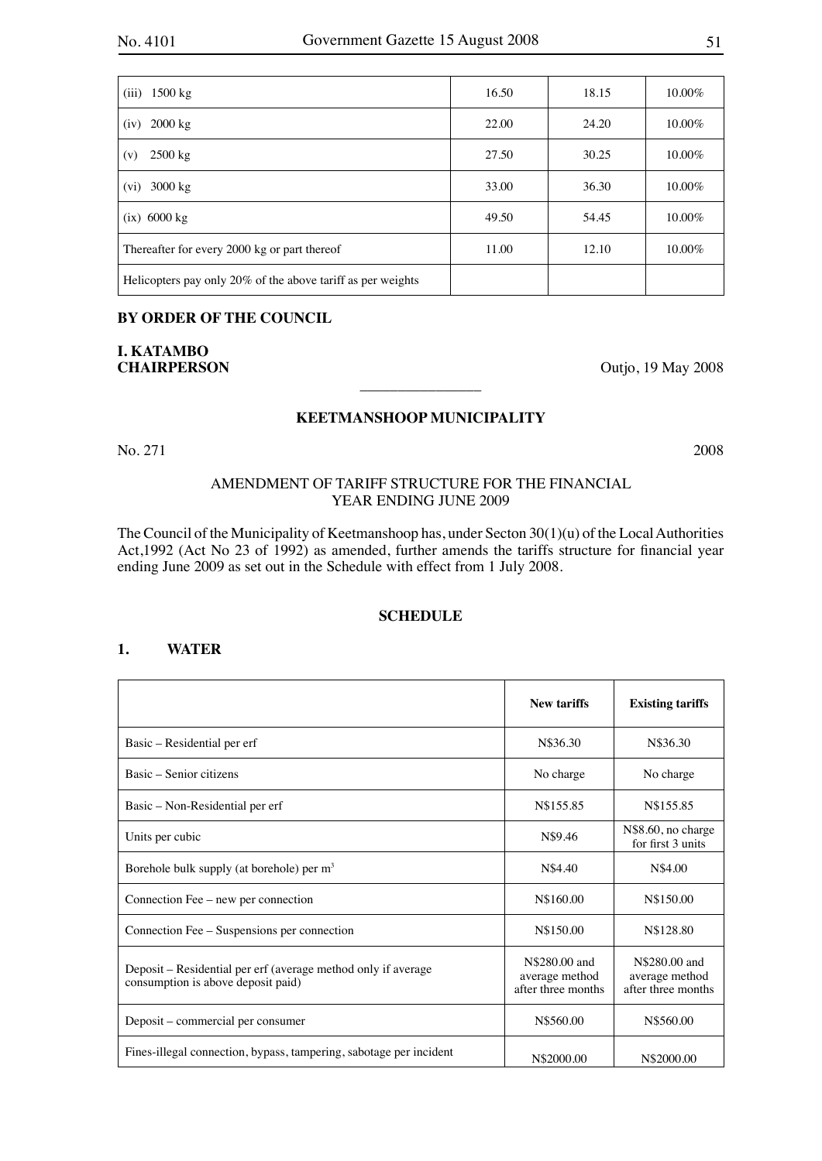| (iii)<br>$1500 \text{ kg}$                                  | 16.50 | 18.15 | 10.00%    |
|-------------------------------------------------------------|-------|-------|-----------|
| $2000 \text{ kg}$<br>(iv)                                   | 22.00 | 24.20 | $10.00\%$ |
| $2500 \text{ kg}$<br>(v)                                    | 27.50 | 30.25 | 10.00%    |
| $3000 \text{ kg}$<br>(vi)                                   | 33.00 | 36.30 | 10.00%    |
| $(ix)$ 6000 $kg$                                            | 49.50 | 54.45 | $10.00\%$ |
| Thereafter for every 2000 kg or part thereof                | 11.00 | 12.10 | 10.00%    |
| Helicopters pay only 20% of the above tariff as per weights |       |       |           |

## **BY ORDER OF THE COUNCIL**

# **I. KATAMBO**

**CHAIRPERSON** Outjo, 19 May 2008

## **KEETMANSHOOP MUNICIPALITY**

 $\overline{\phantom{a}}$  , where  $\overline{\phantom{a}}$ 

No. 271 2008

## AMENDMENT OF TARIFF STRUCTURE FOR THE FINANCIAL YEAR ENDING JUNE 2009

The Council of the Municipality of Keetmanshoop has, under Secton 30(1)(u) of the Local Authorities Act,1992 (Act No 23 of 1992) as amended, further amends the tariffs structure for financial year ending June 2009 as set out in the Schedule with effect from 1 July 2008.

## **SCHEDULE**

## **1. WATER**

|                                                                                                     | <b>New tariffs</b>                                    | <b>Existing tariffs</b>                               |
|-----------------------------------------------------------------------------------------------------|-------------------------------------------------------|-------------------------------------------------------|
| Basic – Residential per erf                                                                         | N\$36.30                                              | N\$36.30                                              |
| Basic – Senior citizens                                                                             | No charge                                             | No charge                                             |
| Basic – Non-Residential per erf                                                                     | N\$155.85                                             | N\$155.85                                             |
| Units per cubic                                                                                     | N\$9.46                                               | N\$8.60, no charge<br>for first 3 units               |
| Borehole bulk supply (at borehole) per $m3$                                                         | N\$4.40                                               | N\$4.00                                               |
| Connection Fee – new per connection                                                                 | N\$160.00                                             | N\$150.00                                             |
| Connection Fee – Suspensions per connection                                                         | N\$150.00                                             | N\$128.80                                             |
| Deposit – Residential per erf (average method only if average<br>consumption is above deposit paid) | N\$280.00 and<br>average method<br>after three months | N\$280.00 and<br>average method<br>after three months |
| Deposit – commercial per consumer                                                                   | N\$560.00                                             | N\$560.00                                             |
| Fines-illegal connection, bypass, tampering, sabotage per incident                                  | N\$2000.00                                            | N\$2000.00                                            |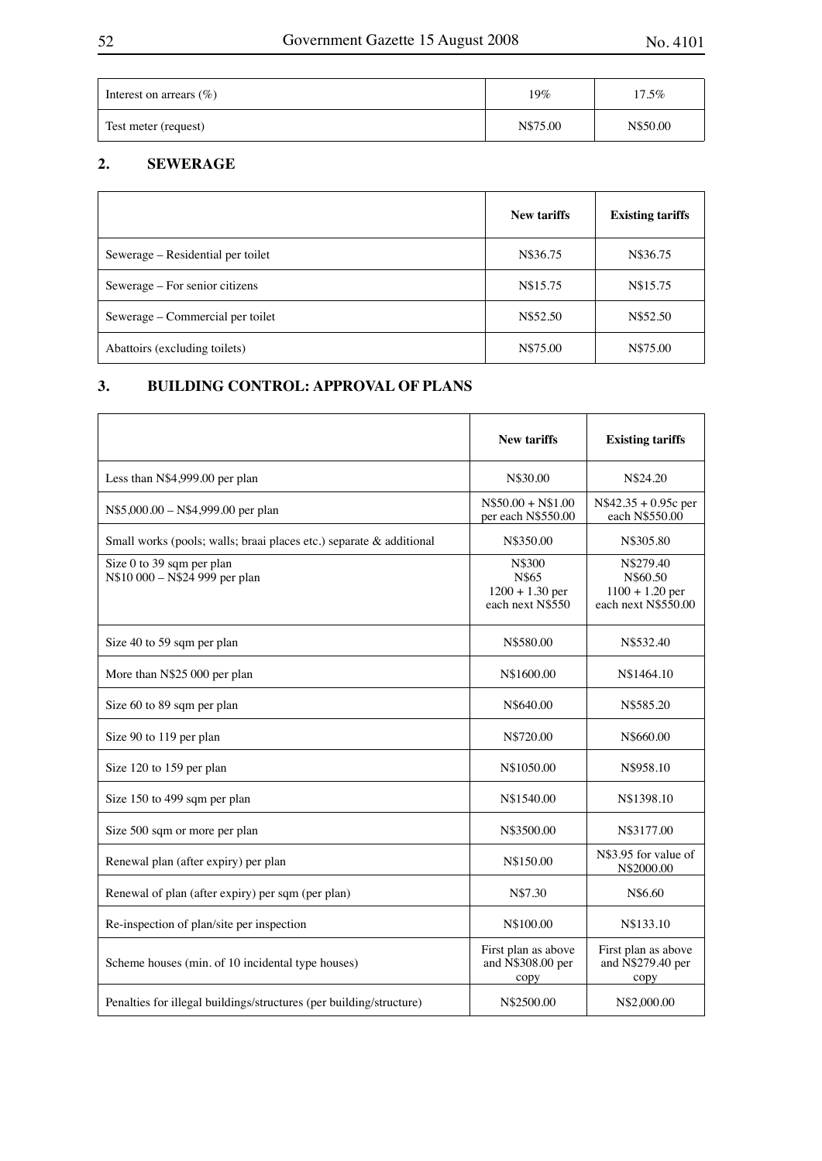| Interest on arrears $(\%)$ | 19%      | 17.5%    |
|----------------------------|----------|----------|
| Test meter (request)       | N\$75.00 | N\$50.00 |

## **2. SEWERAGE**

|                                   | <b>New tariffs</b> | <b>Existing tariffs</b> |
|-----------------------------------|--------------------|-------------------------|
| Sewerage – Residential per toilet | N\$36.75           | N\$36.75                |
| Sewerage – For senior citizens    | N\$15.75           | N\$15.75                |
| Sewerage – Commercial per toilet  | N\$52.50           | N\$52.50                |
| Abattoirs (excluding toilets)     | N\$75.00           | N\$75.00                |

## **3. BUILDING CONTROL: APPROVAL OF PLANS**

|                                                                     | <b>New tariffs</b>                                       | <b>Existing tariffs</b>                                           |
|---------------------------------------------------------------------|----------------------------------------------------------|-------------------------------------------------------------------|
| Less than N\$4,999.00 per plan                                      | N\$30.00                                                 | N\$24.20                                                          |
| N\$5,000.00 - N\$4,999.00 per plan                                  | $N$50.00 + N$1.00$<br>per each N\$550.00                 | $N$42.35 + 0.95c$ per<br>each N\$550.00                           |
| Small works (pools; walls; braai places etc.) separate & additional | N\$350.00                                                | N\$305.80                                                         |
| Size 0 to 39 sqm per plan<br>N\$10 000 - N\$24 999 per plan         | N\$300<br>N\$65<br>$1200 + 1.30$ per<br>each next N\$550 | N\$279.40<br>N\$60.50<br>$1100 + 1.20$ per<br>each next N\$550.00 |
| Size 40 to 59 sqm per plan                                          | N\$580.00                                                | N\$532.40                                                         |
| More than N\$25 000 per plan                                        | N\$1600.00                                               | N\$1464.10                                                        |
| Size 60 to 89 sqm per plan                                          | N\$640.00                                                | N\$585.20                                                         |
| Size 90 to 119 per plan                                             | N\$720.00                                                | N\$660.00                                                         |
| Size 120 to 159 per plan                                            | N\$1050.00                                               | N\$958.10                                                         |
| Size 150 to 499 sqm per plan                                        | N\$1540.00                                               | N\$1398.10                                                        |
| Size 500 sqm or more per plan                                       | N\$3500.00                                               | N\$3177.00                                                        |
| Renewal plan (after expiry) per plan                                | N\$150.00                                                | N\$3.95 for value of<br>N\$2000.00                                |
| Renewal of plan (after expiry) per sqm (per plan)                   | N\$7.30                                                  | N\$6.60                                                           |
| Re-inspection of plan/site per inspection                           | N\$100.00                                                | N\$133.10                                                         |
| Scheme houses (min. of 10 incidental type houses)                   | First plan as above<br>and N\$308.00 per<br>copy         | First plan as above<br>and N\$279.40 per<br>copy                  |
| Penalties for illegal buildings/structures (per building/structure) | N\$2500.00                                               | N\$2,000.00                                                       |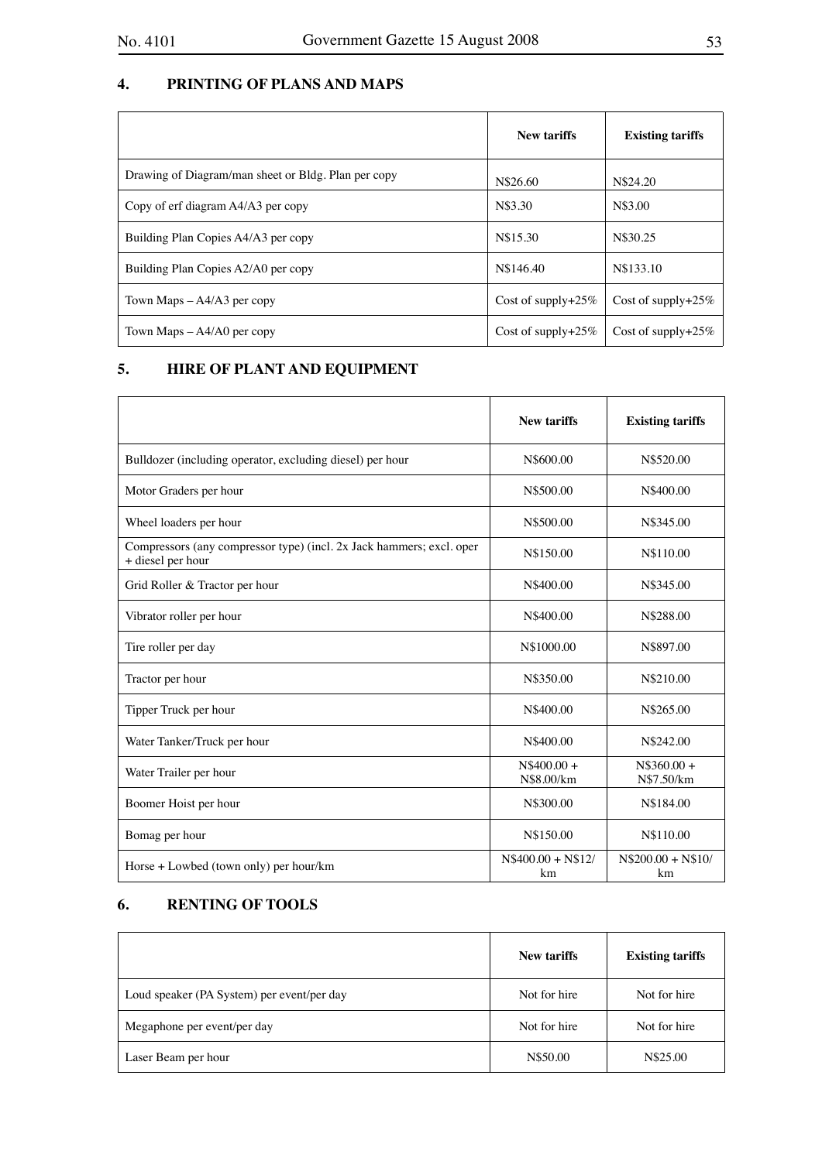## **4. PRINTING OF PLANS AND MAPS**

|                                                     | New tariffs         | <b>Existing tariffs</b> |
|-----------------------------------------------------|---------------------|-------------------------|
| Drawing of Diagram/man sheet or Bldg. Plan per copy | N\$26.60            | N\$24.20                |
| Copy of erf diagram A4/A3 per copy                  | N\$3.30             | N\$3.00                 |
| Building Plan Copies A4/A3 per copy                 | N\$15.30            | N\$30.25                |
| Building Plan Copies A2/A0 per copy                 | N\$146.40           | N\$133.10               |
| Town Maps $-A4/A3$ per copy                         | Cost of supply+25\% | Cost of supply+25\%     |
| Town Maps $-A4/AO$ per copy                         | Cost of supply+25\% | Cost of supply $+25\%$  |

## **5. HIRE OF PLANT AND EQUIPMENT**

|                                                                                           | <b>New tariffs</b>         | <b>Existing tariffs</b>    |
|-------------------------------------------------------------------------------------------|----------------------------|----------------------------|
| Bulldozer (including operator, excluding diesel) per hour                                 | N\$600.00                  | N\$520.00                  |
| Motor Graders per hour                                                                    | N\$500.00                  | N\$400.00                  |
| Wheel loaders per hour                                                                    | N\$500.00                  | N\$345.00                  |
| Compressors (any compressor type) (incl. 2x Jack hammers; excl. oper<br>+ diesel per hour | N\$150.00                  | N\$110.00                  |
| Grid Roller & Tractor per hour                                                            | N\$400.00                  | N\$345.00                  |
| Vibrator roller per hour                                                                  | N\$400.00                  | N\$288.00                  |
| Tire roller per day                                                                       | N\$1000.00                 | N\$897.00                  |
| Tractor per hour                                                                          | N\$350.00                  | N\$210.00                  |
| Tipper Truck per hour                                                                     | N\$400.00                  | N\$265.00                  |
| Water Tanker/Truck per hour                                                               | N\$400.00                  | N\$242.00                  |
| Water Trailer per hour                                                                    | $N$400.00 +$<br>N\$8.00/km | $N$360.00 +$<br>N\$7.50/km |
| Boomer Hoist per hour                                                                     | N\$300.00                  | N\$184.00                  |
| Bomag per hour                                                                            | N\$150.00                  | N\$110.00                  |
| Horse $+$ Lowbed (town only) per hour/km                                                  | $N$400.00 + N$12/$<br>km   | $N$200.00 + N$10/$<br>km   |

## **6. RENTING OF TOOLS**

|                                            | New tariffs  | <b>Existing tariffs</b> |
|--------------------------------------------|--------------|-------------------------|
| Loud speaker (PA System) per event/per day | Not for hire | Not for hire            |
| Megaphone per event/per day                | Not for hire | Not for hire            |
| Laser Beam per hour                        | N\$50.00     | N\$25.00                |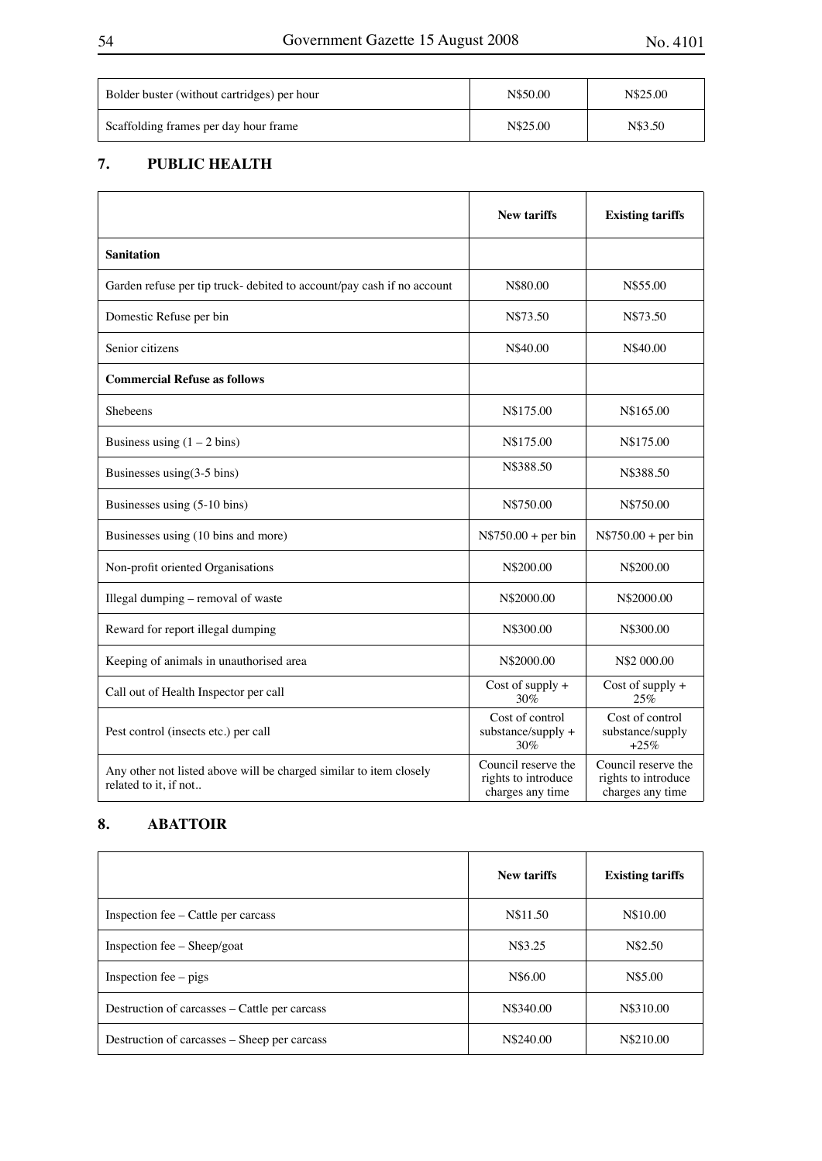| Bolder buster (without cartridges) per hour | N\$50.00 | N\$25.00 |
|---------------------------------------------|----------|----------|
| Scaffolding frames per day hour frame       | N\$25.00 | N\$3.50  |

## **7. PUBLIC HEALTH**

|                                                                                             | <b>New tariffs</b>                                             | <b>Existing tariffs</b>                                        |
|---------------------------------------------------------------------------------------------|----------------------------------------------------------------|----------------------------------------------------------------|
| <b>Sanitation</b>                                                                           |                                                                |                                                                |
| Garden refuse per tip truck- debited to account/pay cash if no account                      | N\$80.00                                                       | N\$55.00                                                       |
| Domestic Refuse per bin                                                                     | N\$73.50                                                       | N\$73.50                                                       |
| Senior citizens                                                                             | N\$40.00                                                       | N\$40.00                                                       |
| <b>Commercial Refuse as follows</b>                                                         |                                                                |                                                                |
| <b>Shebeens</b>                                                                             | N\$175.00                                                      | N\$165.00                                                      |
| Business using $(1 – 2 bins)$                                                               | N\$175.00                                                      | N\$175.00                                                      |
| Businesses using $(3-5 \text{ bins})$                                                       | N\$388.50                                                      | N\$388.50                                                      |
| Businesses using (5-10 bins)                                                                | N\$750.00                                                      | N\$750.00                                                      |
| Businesses using (10 bins and more)                                                         | $N$750.00 + per bin$                                           | $N$750.00 + per bin$                                           |
| Non-profit oriented Organisations                                                           | N\$200.00                                                      | N\$200.00                                                      |
| Illegal dumping - removal of waste                                                          | N\$2000.00                                                     | N\$2000.00                                                     |
| Reward for report illegal dumping                                                           | N\$300.00                                                      | N\$300.00                                                      |
| Keeping of animals in unauthorised area                                                     | N\$2000.00                                                     | N\$2 000.00                                                    |
| Call out of Health Inspector per call                                                       | Cost of supply +<br>30%                                        | Cost of supply +<br>25%                                        |
| Pest control (insects etc.) per call                                                        | Cost of control<br>substance/supply +<br>30%                   | Cost of control<br>substance/supply<br>$+25%$                  |
| Any other not listed above will be charged similar to item closely<br>related to it, if not | Council reserve the<br>rights to introduce<br>charges any time | Council reserve the<br>rights to introduce<br>charges any time |

## **8. ABATTOIR**

|                                               | <b>New tariffs</b> | <b>Existing tariffs</b> |
|-----------------------------------------------|--------------------|-------------------------|
| Inspection fee – Cattle per carcass           | N\$11.50           | N\$10.00                |
| Inspection fee $-$ Sheep/goat                 | N\$3.25            | N\$2.50                 |
| Inspection fee $-$ pigs                       | N\$6.00            | N\$5.00                 |
| Destruction of carcasses – Cattle per carcass | N\$340.00          | N\$310.00               |
| Destruction of carcasses – Sheep per carcass  | N\$240.00          | N\$210.00               |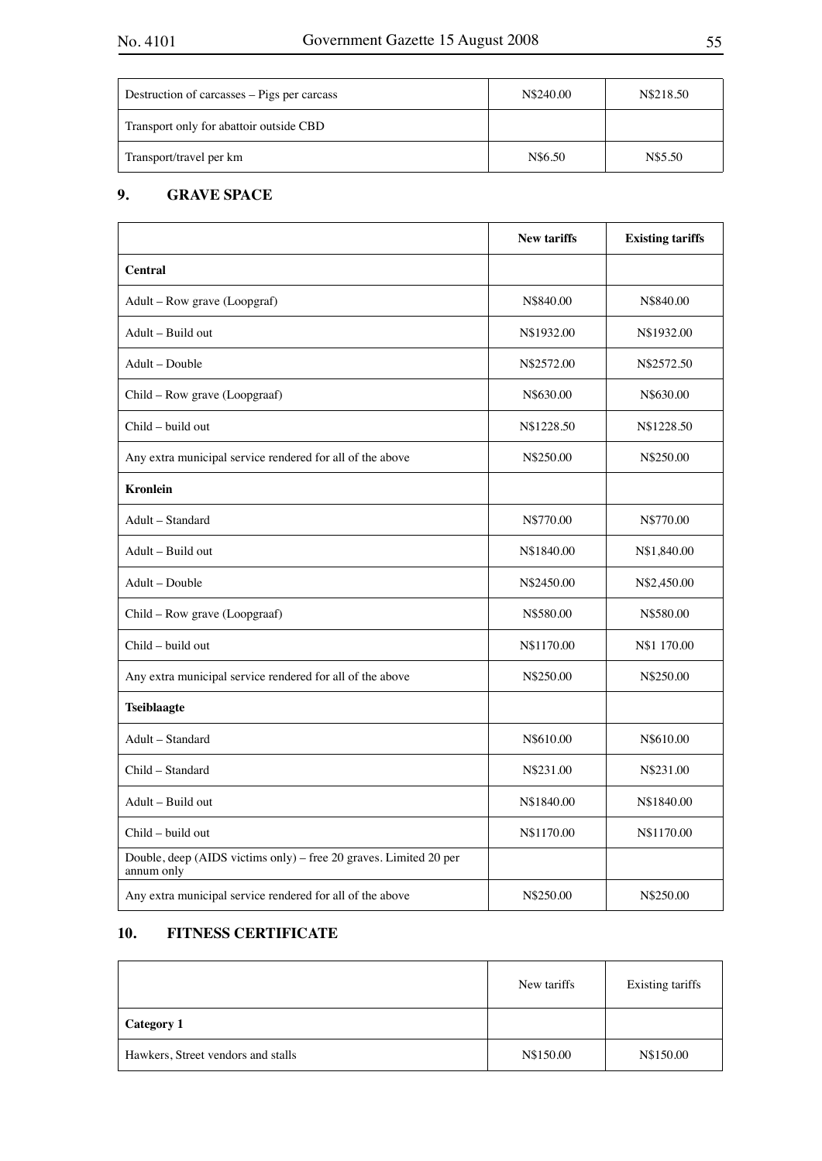| Destruction of carcasses – Pigs per carcass | N\$240.00 | N\$218.50 |
|---------------------------------------------|-----------|-----------|
| Transport only for abattoir outside CBD     |           |           |
| Transport/travel per km                     | N\$6.50   | N\$5.50   |

## **9. GRAVE SPACE**

|                                                                                 | <b>New tariffs</b> | <b>Existing tariffs</b> |
|---------------------------------------------------------------------------------|--------------------|-------------------------|
| <b>Central</b>                                                                  |                    |                         |
| Adult - Row grave (Loopgraf)                                                    | N\$840.00          | N\$840.00               |
| Adult - Build out                                                               | N\$1932.00         | N\$1932.00              |
| Adult - Double                                                                  | N\$2572.00         | N\$2572.50              |
| Child - Row grave (Loopgraaf)                                                   | N\$630.00          | N\$630.00               |
| Child - build out                                                               | N\$1228.50         | N\$1228.50              |
| Any extra municipal service rendered for all of the above                       | N\$250.00          | N\$250.00               |
| <b>Kronlein</b>                                                                 |                    |                         |
| Adult - Standard                                                                | N\$770.00          | N\$770.00               |
| Adult - Build out                                                               | N\$1840.00         | N\$1,840.00             |
| Adult – Double                                                                  | N\$2450.00         | N\$2,450.00             |
| Child - Row grave (Loopgraaf)                                                   | N\$580.00          | N\$580.00               |
| Child - build out                                                               | N\$1170.00         | N\$1 170.00             |
| Any extra municipal service rendered for all of the above                       | N\$250.00          | N\$250.00               |
| <b>Tseiblaagte</b>                                                              |                    |                         |
| Adult - Standard                                                                | N\$610.00          | N\$610.00               |
| Child - Standard                                                                | N\$231.00          | N\$231.00               |
| Adult - Build out                                                               | N\$1840.00         | N\$1840.00              |
| Child - build out                                                               | N\$1170.00         | N\$1170.00              |
| Double, deep (AIDS victims only) - free 20 graves. Limited 20 per<br>annum only |                    |                         |
| Any extra municipal service rendered for all of the above                       | N\$250.00          | N\$250.00               |

## **10. FITNESS CERTIFICATE**

|                                    | New tariffs | Existing tariffs |
|------------------------------------|-------------|------------------|
| <b>Category 1</b>                  |             |                  |
| Hawkers, Street vendors and stalls | N\$150.00   | N\$150.00        |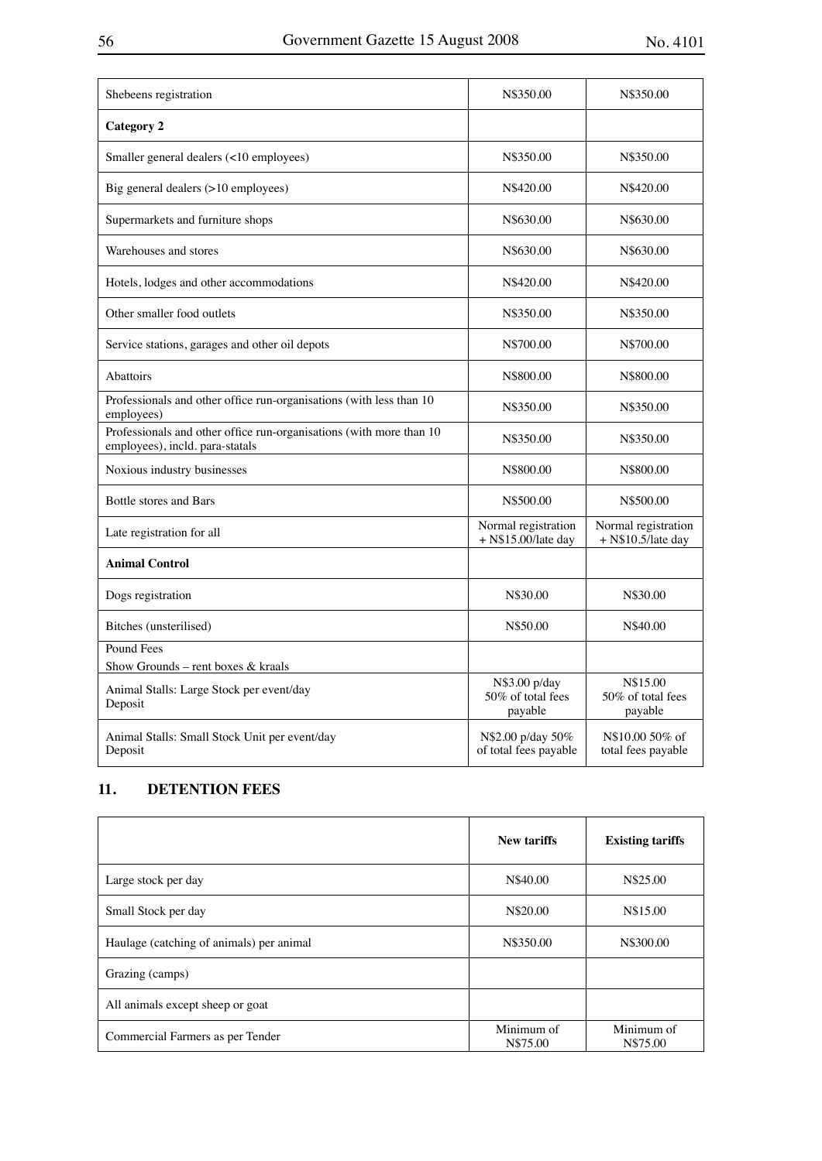| Shebeens registration                                                                                  | N\$350.00                                     | N\$350.00                                   |
|--------------------------------------------------------------------------------------------------------|-----------------------------------------------|---------------------------------------------|
| <b>Category 2</b>                                                                                      |                                               |                                             |
| Smaller general dealers (<10 employees)                                                                | N\$350.00                                     | N\$350.00                                   |
| Big general dealers (>10 employees)                                                                    | N\$420.00                                     | N\$420.00                                   |
| Supermarkets and furniture shops                                                                       | N\$630.00                                     | N\$630.00                                   |
| Warehouses and stores                                                                                  | N\$630.00                                     | N\$630.00                                   |
| Hotels, lodges and other accommodations                                                                | N\$420.00                                     | N\$420.00                                   |
| Other smaller food outlets                                                                             | N\$350.00                                     | N\$350.00                                   |
| Service stations, garages and other oil depots                                                         | N\$700.00                                     | N\$700.00                                   |
| <b>Abattoirs</b>                                                                                       | N\$800.00                                     | N\$800.00                                   |
| Professionals and other office run-organisations (with less than 10<br>employees)                      | N\$350.00                                     | N\$350.00                                   |
| Professionals and other office run-organisations (with more than 10<br>employees), incld. para-statals | N\$350.00                                     | N\$350.00                                   |
| Noxious industry businesses                                                                            | N\$800.00                                     | N\$800.00                                   |
| <b>Bottle stores and Bars</b>                                                                          | N\$500.00                                     | N\$500.00                                   |
| Late registration for all                                                                              | Normal registration<br>$+$ N\$15.00/late day  | Normal registration<br>$+$ N\$10.5/late day |
| <b>Animal Control</b>                                                                                  |                                               |                                             |
| Dogs registration                                                                                      | N\$30.00                                      | N\$30.00                                    |
| Bitches (unsterilised)                                                                                 | N\$50.00                                      | N\$40.00                                    |
| Pound Fees                                                                                             |                                               |                                             |
| Show Grounds - rent boxes & kraals                                                                     |                                               |                                             |
| Animal Stalls: Large Stock per event/day<br>Deposit                                                    | N\$3.00 p/day<br>50% of total fees<br>payable | N\$15.00<br>50% of total fees<br>payable    |
| Animal Stalls: Small Stock Unit per event/day<br>Deposit                                               | N\$2.00 p/day 50%<br>of total fees payable    | N\$10.00 50% of<br>total fees payable       |

## **11. DETENTION FEES**

|                                          | New tariffs            | <b>Existing tariffs</b> |
|------------------------------------------|------------------------|-------------------------|
| Large stock per day                      | N\$40.00               | N\$25.00                |
| Small Stock per day                      | N\$20.00               | N\$15.00                |
| Haulage (catching of animals) per animal | N\$350.00              | N\$300.00               |
| Grazing (camps)                          |                        |                         |
| All animals except sheep or goat         |                        |                         |
| Commercial Farmers as per Tender         | Minimum of<br>N\$75.00 | Minimum of<br>N\$75.00  |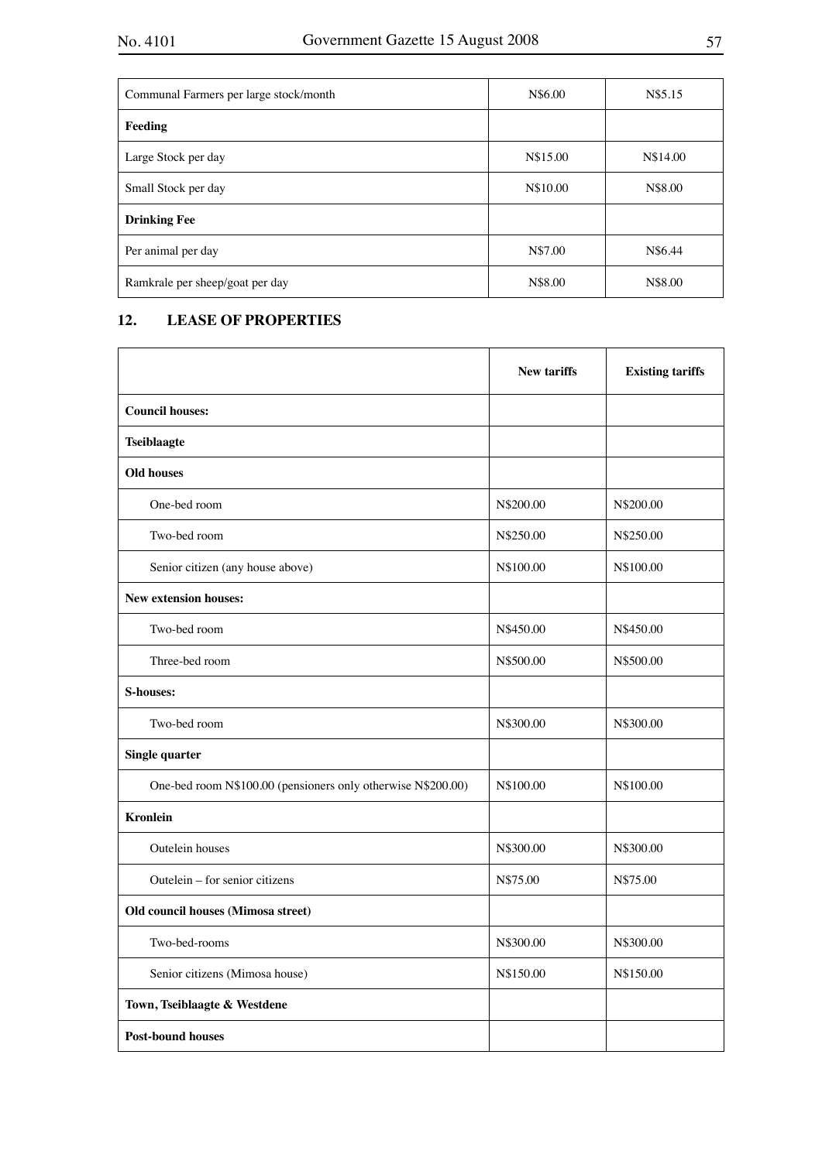| Communal Farmers per large stock/month | N\$6.00  | N\$5.15  |
|----------------------------------------|----------|----------|
| Feeding                                |          |          |
| Large Stock per day                    | N\$15.00 | N\$14.00 |
| Small Stock per day                    | N\$10.00 | N\$8.00  |
| <b>Drinking Fee</b>                    |          |          |
| Per animal per day                     | N\$7.00  | N\$6.44  |
| Ramkrale per sheep/goat per day        | N\$8.00  | N\$8.00  |

## **12. LEASE OF PROPERTIES**

|                                                              | <b>New tariffs</b> | <b>Existing tariffs</b> |
|--------------------------------------------------------------|--------------------|-------------------------|
| <b>Council houses:</b>                                       |                    |                         |
| <b>Tseiblaagte</b>                                           |                    |                         |
| <b>Old houses</b>                                            |                    |                         |
| One-bed room                                                 | N\$200.00          | N\$200.00               |
| Two-bed room                                                 | N\$250.00          | N\$250.00               |
| Senior citizen (any house above)                             | N\$100.00          | N\$100.00               |
| <b>New extension houses:</b>                                 |                    |                         |
| Two-bed room                                                 | N\$450.00          | N\$450.00               |
| Three-bed room                                               | N\$500.00          | N\$500.00               |
| <b>S-houses:</b>                                             |                    |                         |
| Two-bed room                                                 | N\$300.00          | N\$300.00               |
| <b>Single quarter</b>                                        |                    |                         |
| One-bed room N\$100.00 (pensioners only otherwise N\$200.00) | N\$100.00          | N\$100.00               |
| <b>Kronlein</b>                                              |                    |                         |
| Outelein houses                                              | N\$300.00          | N\$300.00               |
| Outelein – for senior citizens                               | N\$75.00           | N\$75.00                |
| Old council houses (Mimosa street)                           |                    |                         |
| Two-bed-rooms                                                | N\$300.00          | N\$300.00               |
| Senior citizens (Mimosa house)                               | N\$150.00          | N\$150.00               |
| Town, Tseiblaagte & Westdene                                 |                    |                         |
| <b>Post-bound houses</b>                                     |                    |                         |

7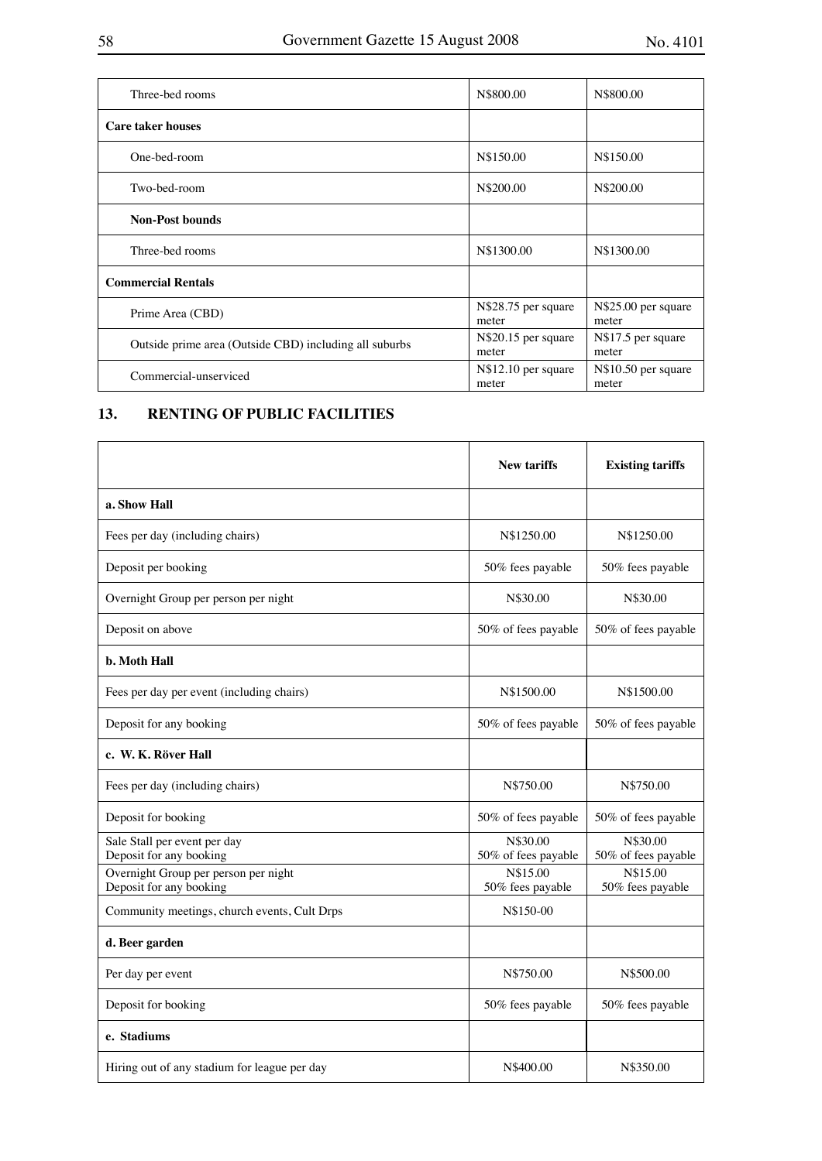| Three-bed rooms                                        | N\$800.00                    | N\$800.00                    |
|--------------------------------------------------------|------------------------------|------------------------------|
| <b>Care taker houses</b>                               |                              |                              |
| One-bed-room                                           | N\$150.00                    | N\$150.00                    |
| Two-bed-room                                           | N\$200.00                    | N\$200.00                    |
| <b>Non-Post bounds</b>                                 |                              |                              |
| Three-bed rooms                                        | N\$1300.00                   | N\$1300.00                   |
| <b>Commercial Rentals</b>                              |                              |                              |
| Prime Area (CBD)                                       | N\$28.75 per square<br>meter | N\$25.00 per square<br>meter |
| Outside prime area (Outside CBD) including all suburbs | N\$20.15 per square<br>meter | N\$17.5 per square<br>meter  |
| Commercial-unserviced                                  | N\$12.10 per square<br>meter | N\$10.50 per square<br>meter |
|                                                        |                              |                              |

## **13. RENTING OF PUBLIC FACILITIES**

|                                                                 | <b>New tariffs</b>              | <b>Existing tariffs</b>         |
|-----------------------------------------------------------------|---------------------------------|---------------------------------|
| a. Show Hall                                                    |                                 |                                 |
| Fees per day (including chairs)                                 | N\$1250.00                      | N\$1250.00                      |
| Deposit per booking                                             | 50% fees payable                | 50% fees payable                |
| Overnight Group per person per night                            | N\$30.00                        | N\$30.00                        |
| Deposit on above                                                | 50% of fees payable             | 50% of fees payable             |
| <b>b.</b> Moth Hall                                             |                                 |                                 |
| Fees per day per event (including chairs)                       | N\$1500.00                      | N\$1500.00                      |
| Deposit for any booking                                         | 50% of fees payable             | 50% of fees payable             |
| c. W. K. Röver Hall                                             |                                 |                                 |
| Fees per day (including chairs)                                 | N\$750.00                       | N\$750.00                       |
| Deposit for booking                                             | 50% of fees payable             | 50% of fees payable             |
| Sale Stall per event per day<br>Deposit for any booking         | N\$30.00<br>50% of fees payable | N\$30.00<br>50% of fees payable |
| Overnight Group per person per night<br>Deposit for any booking | N\$15.00<br>50% fees payable    | N\$15.00<br>50% fees payable    |
| Community meetings, church events, Cult Drps                    | N\$150-00                       |                                 |
| d. Beer garden                                                  |                                 |                                 |
| Per day per event                                               | N\$750.00                       | N\$500.00                       |
| Deposit for booking                                             | 50% fees payable                | 50% fees payable                |
| e. Stadiums                                                     |                                 |                                 |
| Hiring out of any stadium for league per day                    | N\$400.00                       | N\$350.00                       |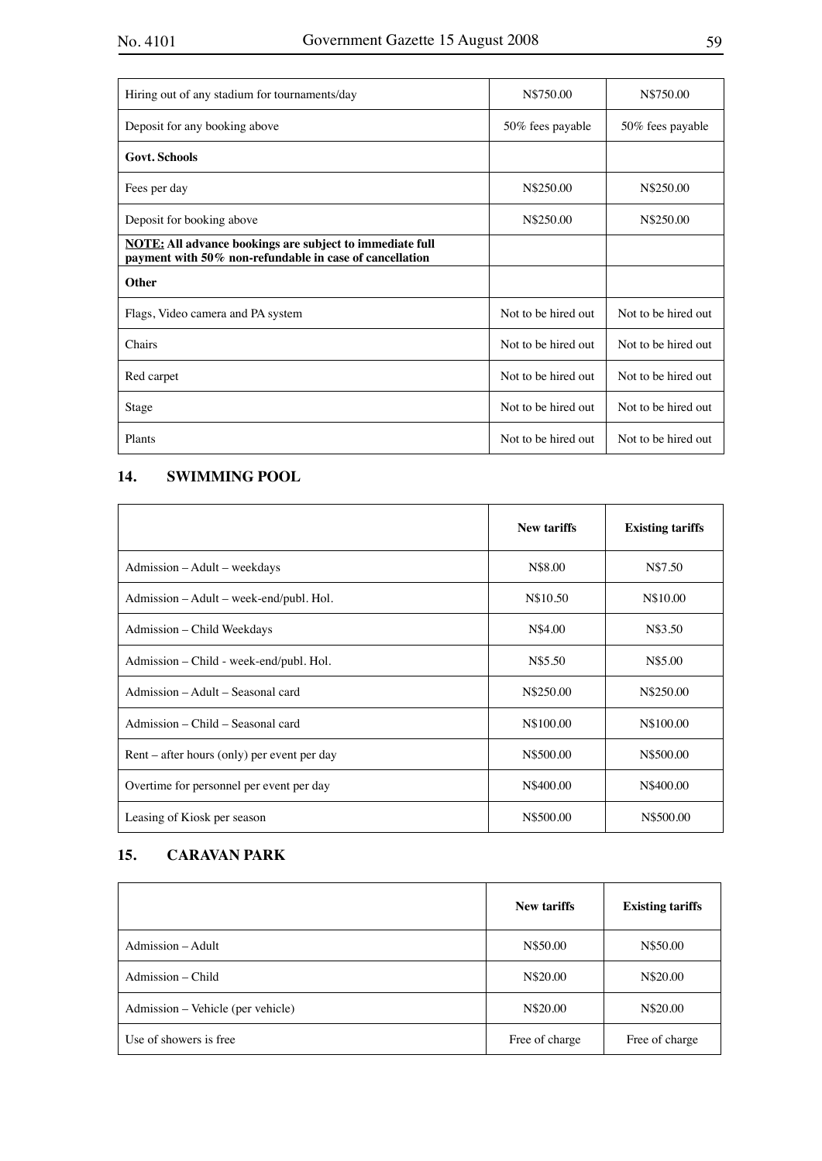| Hiring out of any stadium for tournaments/day                                                                              | N\$750.00           | N\$750.00           |
|----------------------------------------------------------------------------------------------------------------------------|---------------------|---------------------|
| Deposit for any booking above                                                                                              | 50% fees payable    | 50% fees payable    |
| <b>Govt. Schools</b>                                                                                                       |                     |                     |
| Fees per day                                                                                                               | N\$250.00           | N\$250.00           |
| Deposit for booking above                                                                                                  | N\$250.00           | N\$250.00           |
| <b>NOTE:</b> All advance bookings are subject to immediate full<br>payment with 50% non-refundable in case of cancellation |                     |                     |
| <b>Other</b>                                                                                                               |                     |                     |
| Flags, Video camera and PA system                                                                                          | Not to be hired out | Not to be hired out |
| Chairs                                                                                                                     | Not to be hired out | Not to be hired out |
| Red carpet                                                                                                                 | Not to be hired out | Not to be hired out |
| Stage                                                                                                                      | Not to be hired out | Not to be hired out |
| Plants                                                                                                                     | Not to be hired out | Not to be hired out |

## **14. SWIMMING POOL**

|                                             | <b>New tariffs</b> | <b>Existing tariffs</b> |
|---------------------------------------------|--------------------|-------------------------|
| Admission – Adult – weekdays                | N\$8.00            | N\$7.50                 |
| Admission – Adult – week-end/publ. Hol.     | N\$10.50           | N\$10.00                |
| Admission - Child Weekdays                  | N\$4.00            | N\$3.50                 |
| Admission – Child - week-end/publ. Hol.     | N\$5.50            | N\$5.00                 |
| Admission – Adult – Seasonal card           | N\$250.00          | N\$250.00               |
| Admission – Child – Seasonal card           | N\$100.00          | N\$100.00               |
| Rent – after hours (only) per event per day | N\$500.00          | N\$500.00               |
| Overtime for personnel per event per day    | N\$400.00          | N\$400.00               |
| Leasing of Kiosk per season                 | N\$500.00          | N\$500.00               |

## **15. CARAVAN PARK**

|                                   | <b>New tariffs</b> | <b>Existing tariffs</b> |
|-----------------------------------|--------------------|-------------------------|
| Admission – Adult                 | N\$50.00           | N\$50.00                |
| Admission – Child                 | N\$20.00           | N\$20.00                |
| Admission - Vehicle (per vehicle) | N\$20.00           | N\$20.00                |
| Use of showers is free            | Free of charge     | Free of charge          |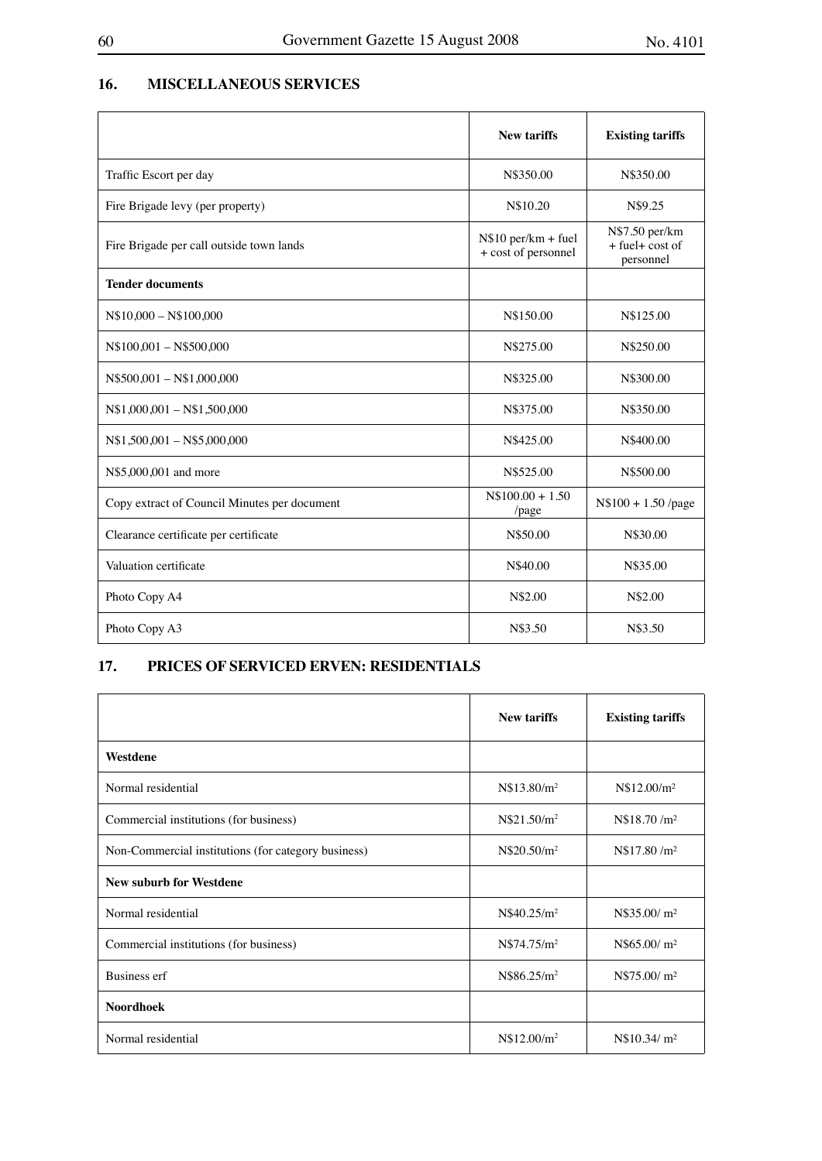## **16. MISCELLANEOUS SERVICES**

|                                              | <b>New tariffs</b>                          | <b>Existing tariffs</b>                           |
|----------------------------------------------|---------------------------------------------|---------------------------------------------------|
| Traffic Escort per day                       | N\$350.00                                   | N\$350.00                                         |
| Fire Brigade levy (per property)             | N\$10.20                                    | N\$9.25                                           |
| Fire Brigade per call outside town lands     | $N$10 per/km + fuel$<br>+ cost of personnel | N\$7.50 per/km<br>$+$ fuel + cost of<br>personnel |
| <b>Tender documents</b>                      |                                             |                                                   |
| N\$10,000 - N\$100,000                       | N\$150.00                                   | N\$125.00                                         |
| N\$100,001 - N\$500,000                      | N\$275.00                                   | N\$250.00                                         |
| $N$500,001 - N$1,000,000$                    | N\$325.00                                   | N\$300.00                                         |
| $N$1,000,001 - N$1,500,000$                  | N\$375.00                                   | N\$350.00                                         |
| N\$1,500,001 - N\$5,000,000                  | N\$425.00                                   | N\$400.00                                         |
| N\$5,000,001 and more                        | N\$525.00                                   | N\$500.00                                         |
| Copy extract of Council Minutes per document | $N$100.00 + 1.50$<br>/page                  | $N$100 + 1.50$ /page                              |
| Clearance certificate per certificate        | N\$50.00                                    | N\$30.00                                          |
| Valuation certificate                        | N\$40.00                                    | N\$35.00                                          |
| Photo Copy A4                                | N\$2.00                                     | N\$2.00                                           |
| Photo Copy A3                                | N\$3.50                                     | N\$3.50                                           |

## **17. PRICES OF SERVICED ERVEN: RESIDENTIALS**

|                                                     | <b>New tariffs</b>      | <b>Existing tariffs</b>  |
|-----------------------------------------------------|-------------------------|--------------------------|
| Westdene                                            |                         |                          |
| Normal residential                                  | N\$13.80/m <sup>2</sup> | N\$12.00/m <sup>2</sup>  |
| Commercial institutions (for business)              | N\$21.50/m <sup>2</sup> | N\$18.70/m <sup>2</sup>  |
| Non-Commercial institutions (for category business) | N\$20.50/m <sup>2</sup> | N\$17.80 /m <sup>2</sup> |
| <b>New suburb for Westdene</b>                      |                         |                          |
| Normal residential                                  | N\$40.25/m <sup>2</sup> | N\$35.00/m <sup>2</sup>  |
| Commercial institutions (for business)              | N\$74.75/m <sup>2</sup> | N\$65.00/m <sup>2</sup>  |
| <b>Business erf</b>                                 | N\$86.25/m <sup>2</sup> | N\$75.00/m <sup>2</sup>  |
| <b>Noordhoek</b>                                    |                         |                          |
| Normal residential                                  | N\$12.00/m <sup>2</sup> | N\$10.34/m <sup>2</sup>  |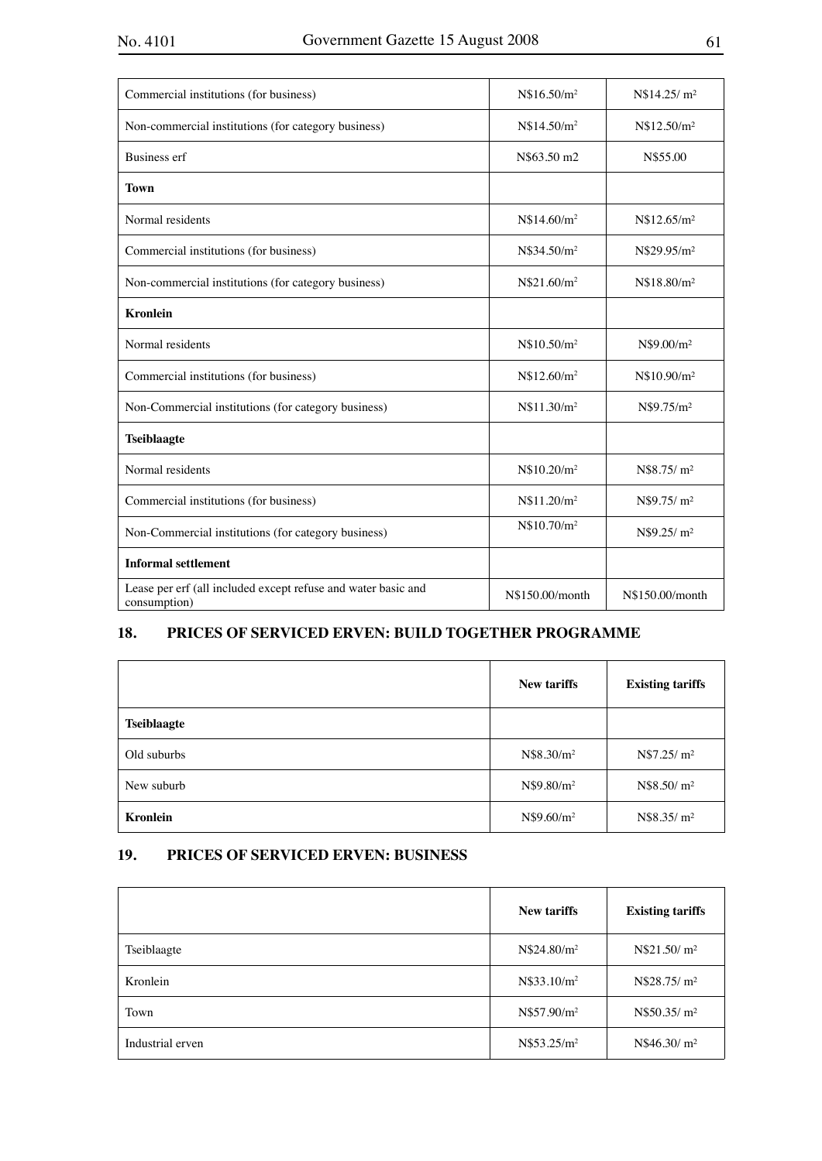| Commercial institutions (for business)                                        | N\$16.50/m <sup>2</sup> | N\$14.25/m <sup>2</sup> |
|-------------------------------------------------------------------------------|-------------------------|-------------------------|
| Non-commercial institutions (for category business)                           | N\$14.50/m <sup>2</sup> | N\$12.50/m <sup>2</sup> |
| <b>Business erf</b>                                                           | N\$63.50 m2             | N\$55.00                |
| <b>Town</b>                                                                   |                         |                         |
| Normal residents                                                              | N\$14.60/m <sup>2</sup> | N\$12.65/m <sup>2</sup> |
| Commercial institutions (for business)                                        | N\$34.50/m <sup>2</sup> | N\$29.95/m <sup>2</sup> |
| Non-commercial institutions (for category business)                           | N\$21.60/m <sup>2</sup> | N\$18.80/m <sup>2</sup> |
| <b>Kronlein</b>                                                               |                         |                         |
| Normal residents                                                              | N\$10.50/m <sup>2</sup> | N\$9.00/m <sup>2</sup>  |
| Commercial institutions (for business)                                        | N\$12.60/m <sup>2</sup> | N\$10.90/m <sup>2</sup> |
| Non-Commercial institutions (for category business)                           | N\$11.30/m <sup>2</sup> | N\$9.75/m <sup>2</sup>  |
| <b>Tseiblaagte</b>                                                            |                         |                         |
| Normal residents                                                              | N\$10.20/m <sup>2</sup> | N\$8.75/m <sup>2</sup>  |
| Commercial institutions (for business)                                        | N\$11.20/m <sup>2</sup> | N\$9.75/ m <sup>2</sup> |
| Non-Commercial institutions (for category business)                           | N\$10.70/m <sup>2</sup> | N\$9.25/m <sup>2</sup>  |
| <b>Informal settlement</b>                                                    |                         |                         |
| Lease per erf (all included except refuse and water basic and<br>consumption) | N\$150.00/month         | N\$150.00/month         |

## **18. PRICES OF SERVICED ERVEN: BUILD TOGETHER PROGRAMME**

|                    | <b>New tariffs</b>     | <b>Existing tariffs</b> |
|--------------------|------------------------|-------------------------|
| <b>Tseiblaagte</b> |                        |                         |
| Old suburbs        | N\$8.30/m <sup>2</sup> | N\$7.25/m <sup>2</sup>  |
| New suburb         | N\$9.80/m <sup>2</sup> | N\$8.50/m <sup>2</sup>  |
| <b>Kronlein</b>    | N\$9.60/m <sup>2</sup> | N\$8.35/m <sup>2</sup>  |

## **19. PRICES OF SERVICED ERVEN: BUSINESS**

|                  | <b>New tariffs</b>      | <b>Existing tariffs</b>  |
|------------------|-------------------------|--------------------------|
| Tseiblaagte      | N\$24.80/m <sup>2</sup> | N\$21.50/m <sup>2</sup>  |
| Kronlein         | N\$33.10/m <sup>2</sup> | N\$28.75/ m <sup>2</sup> |
| Town             | N\$57.90/m <sup>2</sup> | N\$50.35/ m <sup>2</sup> |
| Industrial erven | N\$53.25/m <sup>2</sup> | N\$46.30/m <sup>2</sup>  |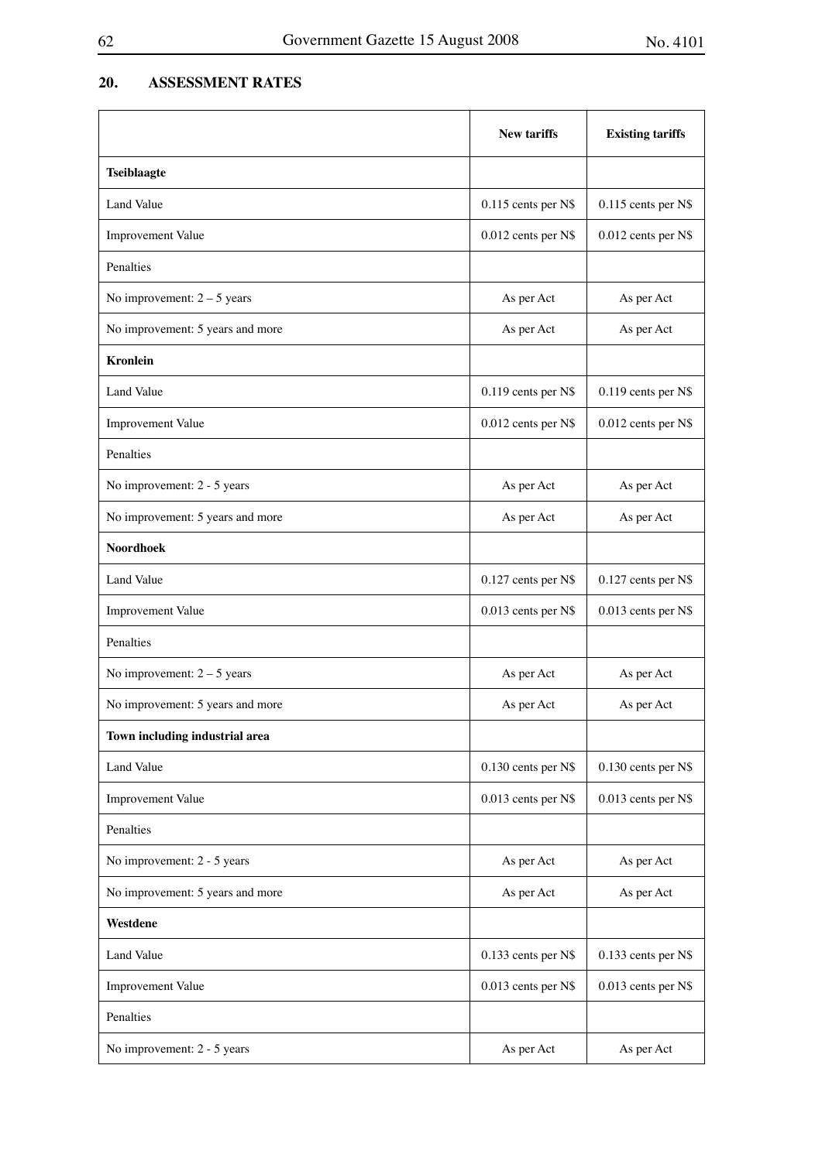## **20. ASSESSMENT RATES**

|                                  | <b>New tariffs</b>  | <b>Existing tariffs</b> |
|----------------------------------|---------------------|-------------------------|
| <b>Tseiblaagte</b>               |                     |                         |
| Land Value                       | 0.115 cents per N\$ | 0.115 cents per N\$     |
| <b>Improvement Value</b>         | 0.012 cents per N\$ | $0.012$ cents per N\$   |
| Penalties                        |                     |                         |
| No improvement: $2 - 5$ years    | As per Act          | As per Act              |
| No improvement: 5 years and more | As per Act          | As per Act              |
| <b>Kronlein</b>                  |                     |                         |
| <b>Land Value</b>                | 0.119 cents per N\$ | 0.119 cents per N\$     |
| Improvement Value                | 0.012 cents per N\$ | 0.012 cents per N\$     |
| Penalties                        |                     |                         |
| No improvement: 2 - 5 years      | As per Act          | As per Act              |
| No improvement: 5 years and more | As per Act          | As per Act              |
| <b>Noordhoek</b>                 |                     |                         |
| Land Value                       | 0.127 cents per N\$ | 0.127 cents per N\$     |
| Improvement Value                | 0.013 cents per N\$ | 0.013 cents per N\$     |
| Penalties                        |                     |                         |
| No improvement: $2 - 5$ years    | As per Act          | As per Act              |
| No improvement: 5 years and more | As per Act          | As per Act              |
| Town including industrial area   |                     |                         |
| Land Value                       | 0.130 cents per N\$ | 0.130 cents per N\$     |
| Improvement Value                | 0.013 cents per N\$ | 0.013 cents per N\$     |
| Penalties                        |                     |                         |
| No improvement: 2 - 5 years      | As per Act          | As per Act              |
| No improvement: 5 years and more | As per Act          | As per Act              |
| Westdene                         |                     |                         |
| Land Value                       | 0.133 cents per N\$ | 0.133 cents per N\$     |
| Improvement Value                | 0.013 cents per N\$ | 0.013 cents per N\$     |
| Penalties                        |                     |                         |
| No improvement: 2 - 5 years      | As per Act          | As per Act              |